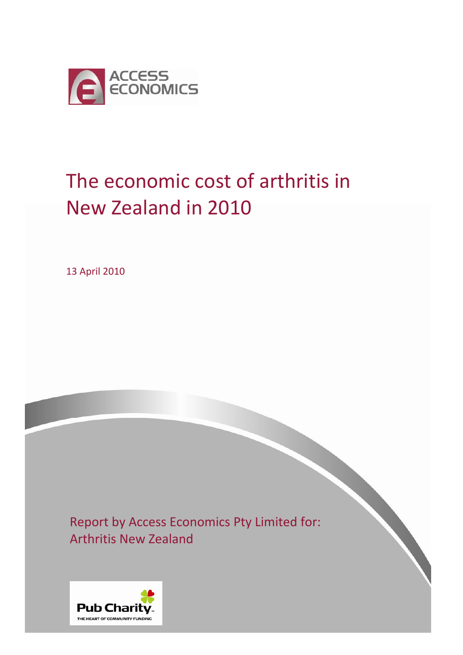

# The economic cost of arthritis in New Zealand in 2010

13 April 2010

Report by Access Economics Pty Limited for: Arthritis New Zealand

 $\mathcal{L}(\mathcal{L}(\mathcal{L}(\mathcal{L}(\mathcal{L}(\mathcal{L}(\mathcal{L}(\mathcal{L}(\mathcal{L}(\mathcal{L}(\mathcal{L}(\mathcal{L}(\mathcal{L}(\mathcal{L}(\mathcal{L}(\mathcal{L}(\mathcal{L}(\mathcal{L}(\mathcal{L}(\mathcal{L}(\mathcal{L}(\mathcal{L}(\mathcal{L}(\mathcal{L}(\mathcal{L}(\mathcal{L}(\mathcal{L}(\mathcal{L}(\mathcal{L}(\mathcal{L}(\mathcal{L}(\mathcal{L}(\mathcal{L}(\mathcal{L}(\mathcal{L}(\mathcal{L}(\mathcal{$ 

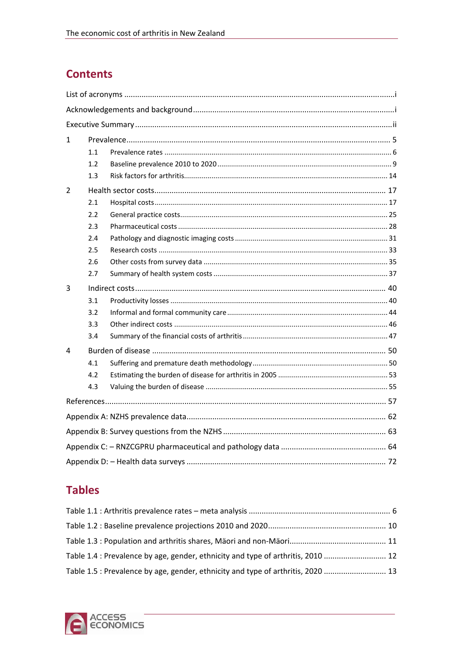# **Contents**

| 1 |     |  |  |  |  |  |  |  |  |  |
|---|-----|--|--|--|--|--|--|--|--|--|
|   | 1.1 |  |  |  |  |  |  |  |  |  |
|   | 1.2 |  |  |  |  |  |  |  |  |  |
|   | 1.3 |  |  |  |  |  |  |  |  |  |
| 2 |     |  |  |  |  |  |  |  |  |  |
|   | 2.1 |  |  |  |  |  |  |  |  |  |
|   | 2.2 |  |  |  |  |  |  |  |  |  |
|   | 2.3 |  |  |  |  |  |  |  |  |  |
|   | 2.4 |  |  |  |  |  |  |  |  |  |
|   | 2.5 |  |  |  |  |  |  |  |  |  |
|   | 2.6 |  |  |  |  |  |  |  |  |  |
|   | 2.7 |  |  |  |  |  |  |  |  |  |
| 3 |     |  |  |  |  |  |  |  |  |  |
|   | 3.1 |  |  |  |  |  |  |  |  |  |
|   | 3.2 |  |  |  |  |  |  |  |  |  |
|   | 3.3 |  |  |  |  |  |  |  |  |  |
|   | 3.4 |  |  |  |  |  |  |  |  |  |
| 4 |     |  |  |  |  |  |  |  |  |  |
|   | 4.1 |  |  |  |  |  |  |  |  |  |
|   | 4.2 |  |  |  |  |  |  |  |  |  |
|   | 4.3 |  |  |  |  |  |  |  |  |  |
|   |     |  |  |  |  |  |  |  |  |  |
|   |     |  |  |  |  |  |  |  |  |  |
|   |     |  |  |  |  |  |  |  |  |  |
|   |     |  |  |  |  |  |  |  |  |  |
|   |     |  |  |  |  |  |  |  |  |  |

# **Tables**

| Table 1.4 : Prevalence by age, gender, ethnicity and type of arthritis, 2010  12 |  |
|----------------------------------------------------------------------------------|--|
| Table 1.5 : Prevalence by age, gender, ethnicity and type of arthritis, 2020  13 |  |

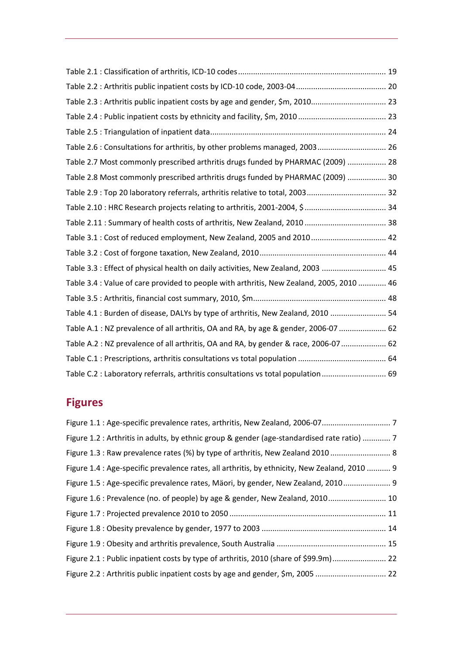| Table 2.3 : Arthritis public inpatient costs by age and gender, \$m, 2010 23             |
|------------------------------------------------------------------------------------------|
|                                                                                          |
|                                                                                          |
| Table 2.6 : Consultations for arthritis, by other problems managed, 2003 26              |
| Table 2.7 Most commonly prescribed arthritis drugs funded by PHARMAC (2009)  28          |
| Table 2.8 Most commonly prescribed arthritis drugs funded by PHARMAC (2009)  30          |
| Table 2.9: Top 20 laboratory referrals, arthritis relative to total, 2003 32             |
|                                                                                          |
|                                                                                          |
| Table 3.1 : Cost of reduced employment, New Zealand, 2005 and 2010 42                    |
|                                                                                          |
| Table 3.3 : Effect of physical health on daily activities, New Zealand, 2003  45         |
| Table 3.4 : Value of care provided to people with arthritis, New Zealand, 2005, 2010  46 |
|                                                                                          |
| Table 4.1 : Burden of disease, DALYs by type of arthritis, New Zealand, 2010  54         |
| Table A.1 : NZ prevalence of all arthritis, OA and RA, by age & gender, 2006-07  62      |
| Table A.2 : NZ prevalence of all arthritis, OA and RA, by gender & race, 2006-07  62     |
|                                                                                          |
| Table C.2 : Laboratory referrals, arthritis consultations vs total population  69        |

# **Figures**

| Figure 1.2 : Arthritis in adults, by ethnic group & gender (age-standardised rate ratio)  7   |  |
|-----------------------------------------------------------------------------------------------|--|
| Figure 1.3 : Raw prevalence rates (%) by type of arthritis, New Zealand 2010  8               |  |
| Figure 1.4 : Age-specific prevalence rates, all arthritis, by ethnicity, New Zealand, 2010  9 |  |
| Figure 1.5 : Age-specific prevalence rates, Mäori, by gender, New Zealand, 2010 9             |  |
| Figure 1.6 : Prevalence (no. of people) by age & gender, New Zealand, 2010 10                 |  |
|                                                                                               |  |
|                                                                                               |  |
|                                                                                               |  |
| Figure 2.1 : Public inpatient costs by type of arthritis, 2010 (share of \$99.9m) 22          |  |
| Figure 2.2 : Arthritis public inpatient costs by age and gender, \$m, 2005  22                |  |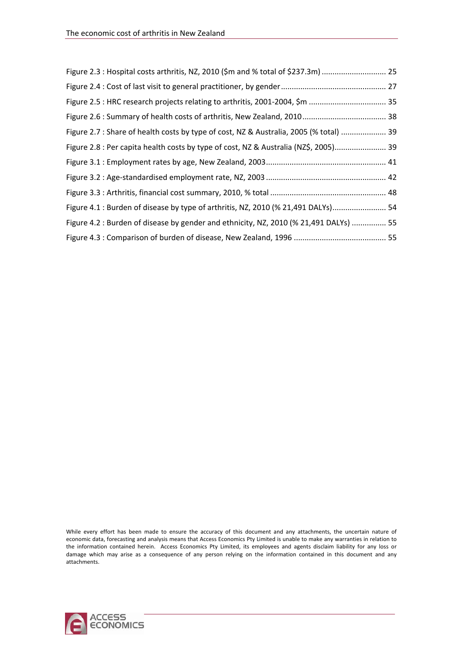| Figure 2.3 : Hospital costs arthritis, NZ, 2010 (\$m and % total of \$237.3m)  25      |  |
|----------------------------------------------------------------------------------------|--|
|                                                                                        |  |
|                                                                                        |  |
|                                                                                        |  |
| Figure 2.7 : Share of health costs by type of cost, NZ & Australia, 2005 (% total)  39 |  |
| Figure 2.8 : Per capita health costs by type of cost, NZ & Australia (NZ\$, 2005) 39   |  |
|                                                                                        |  |
|                                                                                        |  |
|                                                                                        |  |
| Figure 4.1 : Burden of disease by type of arthritis, NZ, 2010 (% 21,491 DALYs) 54      |  |
| Figure 4.2 : Burden of disease by gender and ethnicity, NZ, 2010 (% 21,491 DALYs)  55  |  |
|                                                                                        |  |

While every effort has been made to ensure the accuracy of this document and any attachments, the uncertain nature of economic data, forecasting and analysis means that Access Economics Pty Limited is unable to make any warranties in relation to the information contained herein. Access Economics Pty Limited, its employees and agents disclaim liability for any loss or damage which may arise as a consequence of any person relying on the information contained in this document and any attachments.

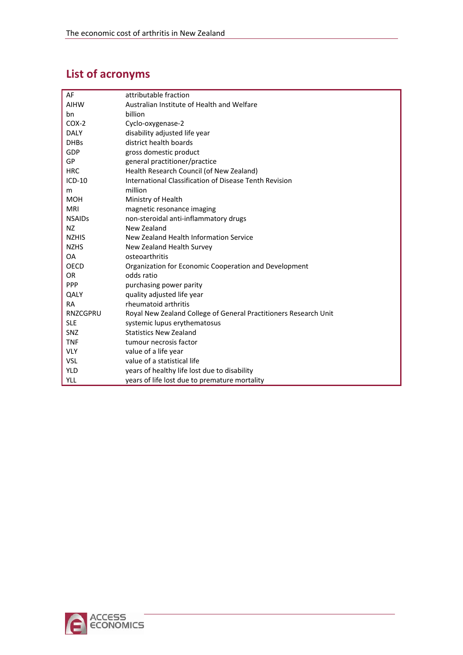# <span id="page-4-0"></span>**List of acronyms**

| AF              | attributable fraction                                            |
|-----------------|------------------------------------------------------------------|
| <b>AIHW</b>     | Australian Institute of Health and Welfare                       |
| bn              | billion                                                          |
| $COX-2$         | Cyclo-oxygenase-2                                                |
| <b>DALY</b>     | disability adjusted life year                                    |
| <b>DHBs</b>     | district health boards                                           |
| GDP             | gross domestic product                                           |
| GP              | general practitioner/practice                                    |
| <b>HRC</b>      | Health Research Council (of New Zealand)                         |
| $ICD-10$        | International Classification of Disease Tenth Revision           |
| m               | million                                                          |
| <b>MOH</b>      | Ministry of Health                                               |
| <b>MRI</b>      | magnetic resonance imaging                                       |
| <b>NSAIDs</b>   | non-steroidal anti-inflammatory drugs                            |
| <b>NZ</b>       | New Zealand                                                      |
| <b>NZHIS</b>    | New Zealand Health Information Service                           |
| <b>NZHS</b>     | New Zealand Health Survey                                        |
| <b>OA</b>       | osteoarthritis                                                   |
| <b>OECD</b>     | Organization for Economic Cooperation and Development            |
| <b>OR</b>       | odds ratio                                                       |
| <b>PPP</b>      | purchasing power parity                                          |
| QALY            | quality adjusted life year                                       |
| <b>RA</b>       | rheumatoid arthritis                                             |
| <b>RNZCGPRU</b> | Royal New Zealand College of General Practitioners Research Unit |
| <b>SLE</b>      | systemic lupus erythematosus                                     |
| SNZ             | <b>Statistics New Zealand</b>                                    |
| <b>TNF</b>      | tumour necrosis factor                                           |
| <b>VLY</b>      | value of a life year                                             |
| <b>VSL</b>      | value of a statistical life                                      |
| <b>YLD</b>      | years of healthy life lost due to disability                     |
| <b>YLL</b>      | years of life lost due to premature mortality                    |

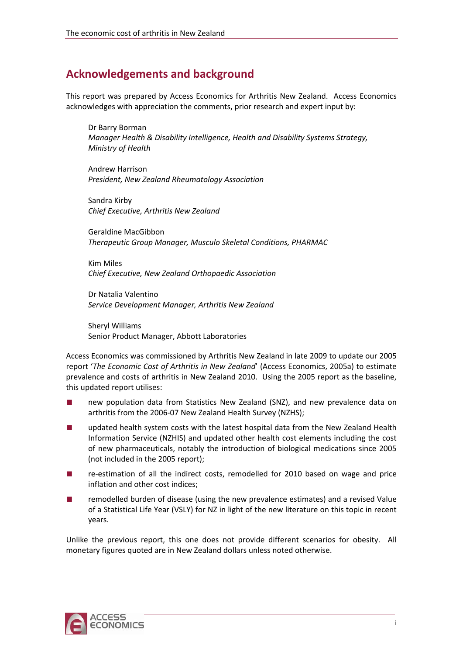# <span id="page-5-0"></span>**Acknowledgements and background**

This report was prepared by Access Economics for Arthritis New Zealand. Access Economics acknowledges with appreciation the comments, prior research and expert input by:

Dr Barry Borman *Manager Health & Disability Intelligence, Health and Disability Systems Strategy, Ministry of Health*

Andrew Harrison *President, New Zealand Rheumatology Association*

Sandra Kirby *Chief Executive, Arthritis New Zealand* 

Geraldine MacGibbon *Therapeutic Group Manager, Musculo Skeletal Conditions, PHARMAC*

Kim Miles *Chief Executive, New Zealand Orthopaedic Association*

Dr Natalia Valentino *Service Development Manager, Arthritis New Zealand*

Sheryl Williams Senior Product Manager, Abbott Laboratories

Access Economics was commissioned by Arthritis New Zealand in late 2009 to update our 2005 report '*The Economic Cost of Arthritis in New Zealand*' (Access Economics, 2005a) to estimate prevalence and costs of arthritis in New Zealand 2010. Using the 2005 report as the baseline, this updated report utilises:

- new population data from Statistics New Zealand (SNZ), and new prevalence data on arthritis from the 2006‐07 New Zealand Health Survey (NZHS);
- updated health system costs with the latest hospital data from the New Zealand Health Information Service (NZHIS) and updated other health cost elements including the cost of new pharmaceuticals, notably the introduction of biological medications since 2005 (not included in the 2005 report);
- re-estimation of all the indirect costs, remodelled for 2010 based on wage and price inflation and other cost indices;
- remodelled burden of disease (using the new prevalence estimates) and a revised Value of a Statistical Life Year (VSLY) for NZ in light of the new literature on this topic in recent years.

Unlike the previous report, this one does not provide different scenarios for obesity. All monetary figures quoted are in New Zealand dollars unless noted otherwise.

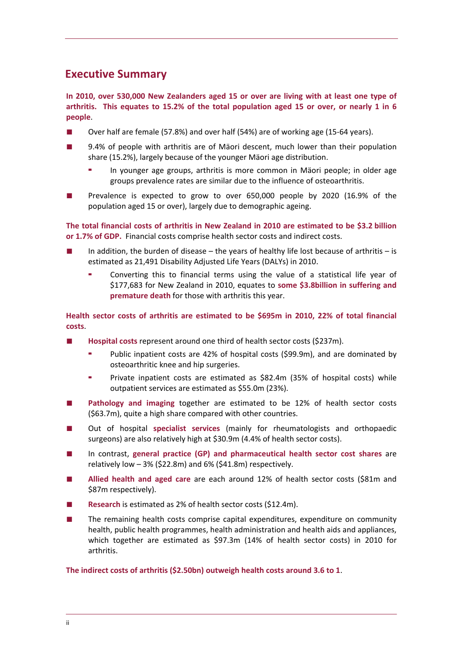# <span id="page-6-0"></span>**Executive Summary**

**In 2010, over 530,000 New Zealanders aged 15 or over are living with at least one type of** arthritis. This equates to 15.2% of the total population aged 15 or over, or nearly 1 in 6 **people**.

- Over half are female (57.8%) and over half (54%) are of working age (15-64 years).
- 9.4% of people with arthritis are of Mäori descent, much lower than their population share (15.2%), largely because of the younger Mäori age distribution.
	- In younger age groups, arthritis is more common in Mäori people; in older age groups prevalence rates are similar due to the influence of osteoarthritis.
- Prevalence is expected to grow to over 650,000 people by 2020 (16.9% of the population aged 15 or over), largely due to demographic ageing.

**The total financial costs of arthritis in New Zealand in 2010 are estimated to be \$3.2 billion or 1.7% of GDP.** Financial costs comprise health sector costs and indirect costs.

- In addition, the burden of disease the years of healthy life lost because of arthritis is estimated as 21,491 Disability Adjusted Life Years (DALYs) in 2010.
	- Converting this to financial terms using the value of a statistical life year of \$177,683 for New Zealand in 2010, equates to **some \$3.8billion in suffering and premature death** for those with arthritis this year.

**Health sector costs of arthritis are estimated to be \$695m in 2010, 22% of total financial costs**.

- **Hospital costs** represent around one third of health sector costs (\$237m).
	- Public inpatient costs are 42% of hospital costs (\$99.9m), and are dominated by osteoarthritic knee and hip surgeries.
	- Private inpatient costs are estimated as \$82.4m (35% of hospital costs) while outpatient services are estimated as \$55.0m (23%).
- **Pathology and imaging** together are estimated to be 12% of health sector costs (\$63.7m), quite a high share compared with other countries.
- Out of hospital specialist services (mainly for rheumatologists and orthopaedic surgeons) are also relatively high at \$30.9m (4.4% of health sector costs).
- In contrast, **general practice (GP) and pharmaceutical health sector cost shares** are relatively low  $-3\%$  (\$22.8m) and 6% (\$41.8m) respectively.
- **Allied health and aged care** are each around 12% of health sector costs (\$81m and \$87m respectively).
- **Research** is estimated as 2% of health sector costs (\$12.4m).
- The remaining health costs comprise capital expenditures, expenditure on community health, public health programmes, health administration and health aids and appliances, which together are estimated as \$97.3m (14% of health sector costs) in 2010 for arthritis.

**The indirect costs of arthritis (\$2.50bn) outweigh health costs around 3.6 to 1**.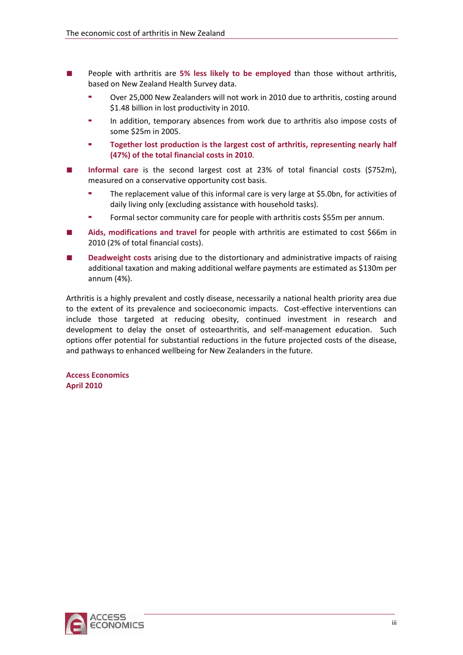- People with arthritis are **5% less likely to be employed** than those without arthritis, based on New Zealand Health Survey data.
	- Over 25,000 New Zealanders will not work in 2010 due to arthritis, costing around \$1.48 billion in lost productivity in 2010.
	- In addition, temporary absences from work due to arthritis also impose costs of some \$25m in 2005.
	- **Together lost production is the largest cost of arthritis, representing nearly half (47%) of the total financial costs in 2010**.
- **Informal care** is the second largest cost at 23% of total financial costs (\$752m), measured on a conservative opportunity cost basis.
	- The replacement value of this informal care is very large at \$5.0bn, for activities of daily living only (excluding assistance with household tasks).
	- Formal sector community care for people with arthritis costs \$55m per annum.
- **Aids, modifications and travel** for people with arthritis are estimated to cost \$66m in 2010 (2% of total financial costs).
- **Deadweight costs** arising due to the distortionary and administrative impacts of raising additional taxation and making additional welfare payments are estimated as \$130m per annum (4%).

Arthritis is a highly prevalent and costly disease, necessarily a national health priority area due to the extent of its prevalence and socioeconomic impacts. Cost-effective interventions can include those targeted at reducing obesity, continued investment in research and development to delay the onset of osteoarthritis, and self-management education. Such options offer potential for substantial reductions in the future projected costs of the disease, and pathways to enhanced wellbeing for New Zealanders in the future.

**Access Economics April 2010**

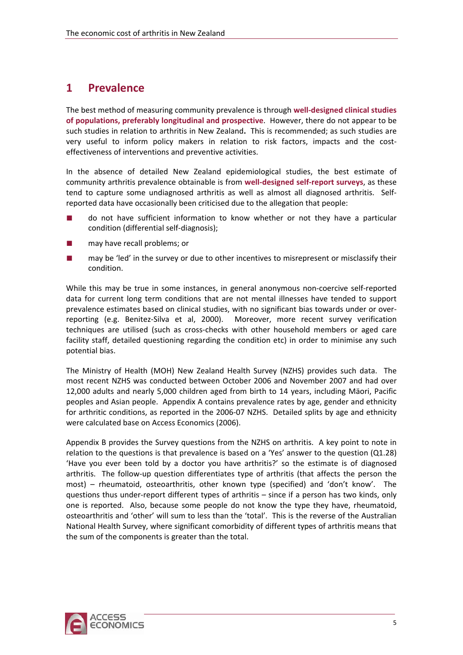# <span id="page-8-0"></span>**1 Prevalence**

The best method of measuring community prevalence is through **well‐designed clinical studies of populations, preferably longitudinal and prospective**. However, there do not appear to be such studies in relation to arthritis in New Zealand**.** This is recommended; as such studies are very useful to inform policy makers in relation to risk factors, impacts and the cost‐ effectiveness of interventions and preventive activities.

In the absence of detailed New Zealand epidemiological studies, the best estimate of community arthritis prevalence obtainable is from **well‐designed self‐report surveys**, as these tend to capture some undiagnosed arthritis as well as almost all diagnosed arthritis. Selfreported data have occasionally been criticised due to the allegation that people:

- do not have sufficient information to know whether or not they have a particular condition (differential self‐diagnosis);
- may have recall problems; or
- may be 'led' in the survey or due to other incentives to misrepresent or misclassify their condition.

While this may be true in some instances, in general anonymous non-coercive self-reported data for current long term conditions that are not mental illnesses have tended to support prevalence estimates based on clinical studies, with no significant bias towards under or over‐ reporting (e.g. Benitez‐Silva et al, 2000). Moreover, more recent survey verification techniques are utilised (such as cross-checks with other household members or aged care facility staff, detailed questioning regarding the condition etc) in order to minimise any such potential bias.

The Ministry of Health (MOH) New Zealand Health Survey (NZHS) provides such data. The most recent NZHS was conducted between October 2006 and November 2007 and had over 12,000 adults and nearly 5,000 children aged from birth to 14 years, including Mäori, Pacific peoples and Asian people. Appendix A contains prevalence rates by age, gender and ethnicity for arthritic conditions, as reported in the 2006‐07 NZHS. Detailed splits by age and ethnicity were calculated base on Access Economics (2006).

Appendix B provides the Survey questions from the NZHS on arthritis. A key point to note in relation to the questions is that prevalence is based on a 'Yes' answer to the question (Q1.28) 'Have you ever been told by a doctor you have arthritis?' so the estimate is of diagnosed arthritis. The follow-up question differentiates type of arthritis (that affects the person the most) – rheumatoid, osteoarthritis, other known type (specified) and 'don't know'. The questions thus under‐report different types of arthritis – since if a person has two kinds, only one is reported. Also, because some people do not know the type they have, rheumatoid, osteoarthritis and 'other' will sum to less than the 'total'. This is the reverse of the Australian National Health Survey, where significant comorbidity of different types of arthritis means that the sum of the components is greater than the total.

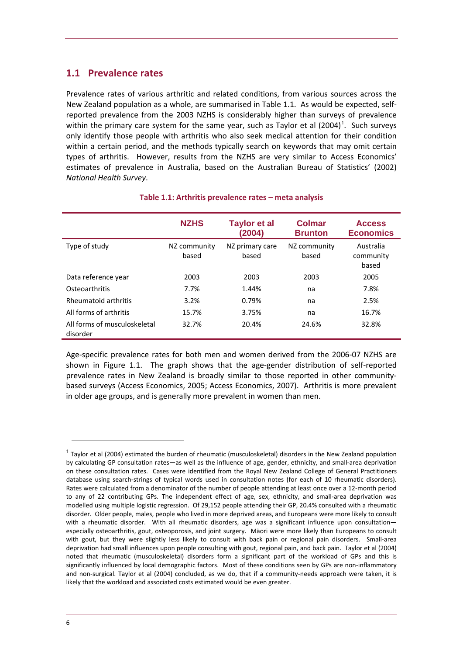### <span id="page-9-0"></span>**1.1 Prevalence rates**

Prevalence rates of various arthritic and related conditions, from various sources across the New Zealand population as a whole, are summarised in [Table](#page-9-0) 1.1. As would be expected, self‐ reported prevalence from the 2003 NZHS is considerably higher than surveys of prevalence within the primary care system for the same year, such as Taylor et al  $(2004)^1$  $(2004)^1$ . Such surveys only identify those people with arthritis who also seek medical attention for their condition within a certain period, and the methods typically search on keywords that may omit certain types of arthritis. However, results from the NZHS are very similar to Access Economics' estimates of prevalence in Australia, based on the Australian Bureau of Statistics' (2002) *National Health Survey*.

|                                          | <b>NZHS</b>           | <b>Taylor et al</b><br>(2004) | Colmar<br><b>Brunton</b> | <b>Access</b><br><b>Economics</b> |
|------------------------------------------|-----------------------|-------------------------------|--------------------------|-----------------------------------|
| Type of study                            | NZ community<br>based | NZ primary care<br>based      | NZ community<br>based    | Australia<br>community<br>based   |
| Data reference year                      | 2003                  | 2003                          | 2003                     | 2005                              |
| Osteoarthritis                           | 7.7%                  | 1.44%                         | na                       | 7.8%                              |
| <b>Rheumatoid arthritis</b>              | 3.2%                  | 0.79%                         | na                       | 2.5%                              |
| All forms of arthritis                   | 15.7%                 | 3.75%                         | na                       | 16.7%                             |
| All forms of musculoskeletal<br>disorder | 32.7%                 | 20.4%                         | 24.6%                    | 32.8%                             |

#### **Table 1.1: Arthritis prevalence rates – meta analysis**

Age‐specific prevalence rates for both men and women derived from the 2006‐07 NZHS are shown in [Figure](#page-10-0) 1.1. The graph shows that the age-gender distribution of self-reported prevalence rates in New Zealand is broadly similar to those reported in other community‐ based surveys (Access Economics, 2005; Access Economics, 2007). Arthritis is more prevalent in older age groups, and is generally more prevalent in women than men.

<span id="page-9-1"></span> $1$  Taylor et al (2004) estimated the burden of rheumatic (musculoskeletal) disorders in the New Zealand population by calculating GP consultation rates—as well as the influence of age, gender, ethnicity, and small‐area deprivation on these consultation rates. Cases were identified from the Royal New Zealand College of General Practitioners database using search‐strings of typical words used in consultation notes (for each of 10 rheumatic disorders). Rates were calculated from a denominator of the number of people attending at least once over a 12‐month period to any of 22 contributing GPs. The independent effect of age, sex, ethnicity, and small-area deprivation was modelled using multiple logistic regression. Of 29,152 people attending their GP, 20.4% consulted with a rheumatic disorder. Older people, males, people who lived in more deprived areas, and Europeans were more likely to consult with a rheumatic disorder. With all rheumatic disorders, age was a significant influence upon consultationespecially osteoarthritis, gout, osteoporosis, and joint surgery. Mäori were more likely than Europeans to consult with gout, but they were slightly less likely to consult with back pain or regional pain disorders. Small-area deprivation had small influences upon people consulting with gout, regional pain, and back pain. Taylor et al (2004) noted that rheumatic (musculoskeletal) disorders form a significant part of the workload of GPs and this is significantly influenced by local demographic factors. Most of these conditions seen by GPs are non-inflammatory and non-surgical. Taylor et al (2004) concluded, as we do, that if a community-needs approach were taken, it is likely that the workload and associated costs estimated would be even greater.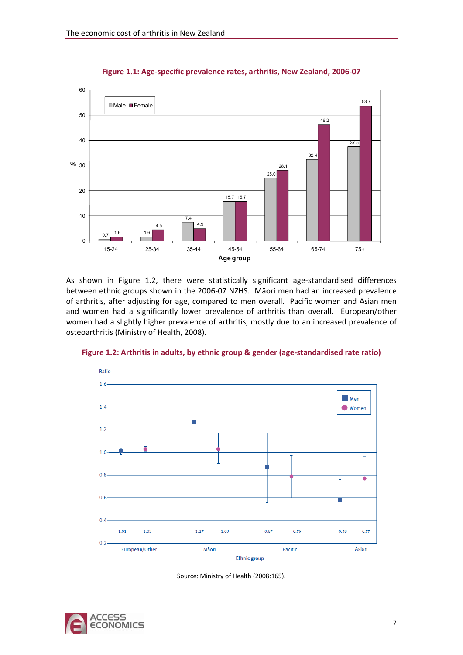<span id="page-10-0"></span>

**Figure 1.1: Age‐specific prevalence rates, arthritis, New Zealand, 2006‐07**

As shown in [Figure](#page-10-0) 1.2, there were statistically significant age-standardised differences between ethnic groups shown in the 2006‐07 NZHS. Mäori men had an increased prevalence of arthritis, after adjusting for age, compared to men overall. Pacific women and Asian men and women had a significantly lower prevalence of arthritis than overall. European/other women had a slightly higher prevalence of arthritis, mostly due to an increased prevalence of osteoarthritis (Ministry of Health, 2008).



**Figure 1.2: Arthritis in adults, by ethnic group & gender (age‐standardised rate ratio)**



Source: Ministry of Health (2008:165).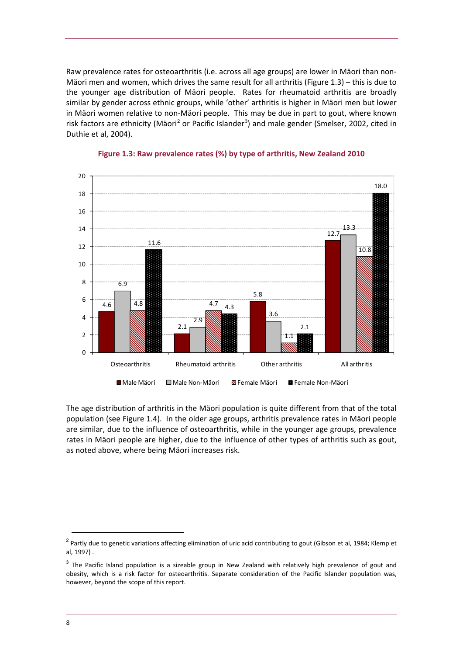<span id="page-11-0"></span>Raw prevalence rates for osteoarthritis (i.e. across all age groups) are lower in Mäori than non‐ Mäori men and women, which drives the same result for all arthritis [\(Figure](#page-11-0) 1.3) – this is due to the younger age distribution of Mäori people. Rates for rheumatoid arthritis are broadly similar by gender across ethnic groups, while 'other' arthritis is higher in Mäori men but lower in Mäori women relative to non‐Mäori people. This may be due in part to gout, where known risk factors are ethnicity (Mäori<sup>[2](#page-11-1)</sup> or Pacific Islander<sup>[3](#page-11-2)</sup>) and male gender (Smelser, 2002, cited in Duthie et al, 2004).



#### **Figure 1.3: Raw prevalence rates (%) by type of arthritis, New Zealand 2010**

The age distribution of arthritis in the Mäori population is quite different from that of the total population (see [Figure](#page-12-0) 1.4). In the older age groups, arthritis prevalence rates in Mäori people are similar, due to the influence of osteoarthritis, while in the younger age groups, prevalence rates in Mäori people are higher, due to the influence of other types of arthritis such as gout, as noted above, where being Mäori increases risk.

<span id="page-11-1"></span><sup>&</sup>lt;sup>2</sup> Partly due to genetic variations affecting elimination of uric acid contributing to gout (Gibson et al, 1984; Klemp et al, 1997) .

<span id="page-11-2"></span> $3$  The Pacific Island population is a sizeable group in New Zealand with relatively high prevalence of gout and obesity, which is a risk factor for osteoarthritis. Separate consideration of the Pacific Islander population was, however, beyond the scope of this report.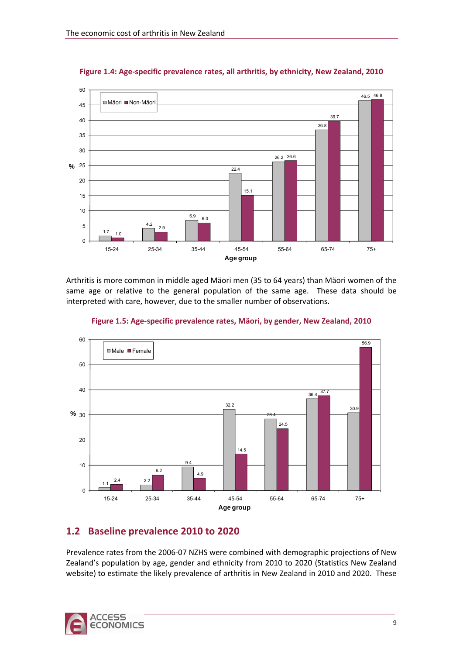<span id="page-12-0"></span>

**Figure 1.4: Age‐specific prevalence rates, all arthritis, by ethnicity, New Zealand, 2010**

Arthritis is more common in middle aged Mäori men (35 to 64 years) than Mäori women of the same age or relative to the general population of the same age. These data should be interpreted with care, however, due to the smaller number of observations.



**Figure 1.5: Age‐specific prevalence rates, Mäori, by gender, New Zealand, 2010**

# **1.2 Baseline prevalence 2010 to 2020**

Prevalence rates from the 2006‐07 NZHS were combined with demographic projections of New Zealand's population by age, gender and ethnicity from 2010 to 2020 (Statistics New Zealand website) to estimate the likely prevalence of arthritis in New Zealand in 2010 and 2020. These

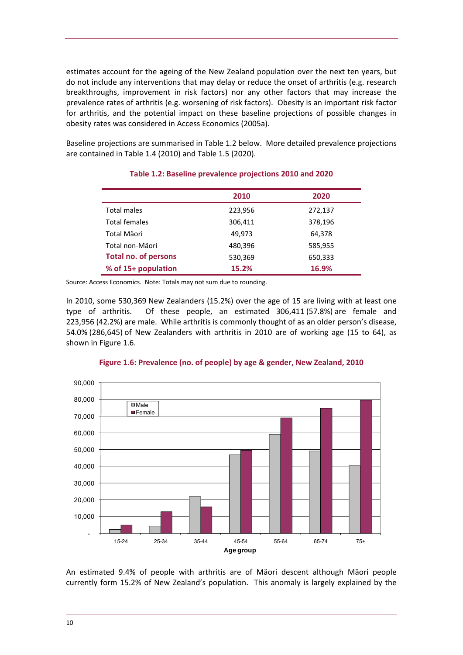<span id="page-13-0"></span>estimates account for the ageing of the New Zealand population over the next ten years, but do not include any interventions that may delay or reduce the onset of arthritis (e.g. research breakthroughs, improvement in risk factors) nor any other factors that may increase the prevalence rates of arthritis (e.g. worsening of risk factors). Obesity is an important risk factor for arthritis, and the potential impact on these baseline projections of possible changes in obesity rates was considered in Access Economics (2005a).

Baseline projections are summarised in [Table](#page-13-0) 1.2 below. More detailed prevalence projections are contained in [Table](#page-15-0) 1.4 (2010) and [Table](#page-16-0) 1.5 (2020).

|                             | 2010    | 2020    |
|-----------------------------|---------|---------|
| <b>Total males</b>          | 223,956 | 272,137 |
| <b>Total females</b>        | 306,411 | 378,196 |
| Total Mäori                 | 49.973  | 64,378  |
| Total non-Mäori             | 480,396 | 585,955 |
| <b>Total no. of persons</b> | 530,369 | 650,333 |
| % of 15+ population         | 15.2%   | 16.9%   |

#### **Table 1.2: Baseline prevalence projections 2010 and 2020**

Source: Access Economics. Note: Totals may not sum due to rounding.

In 2010, some 530,369 New Zealanders (15.2%) over the age of 15 are living with at least one type of arthritis. Of these people, an estimated 306,411 (57.8%) are female and 223,956 (42.2%) are male. While arthritis is commonly thought of as an older person's disease, 54.0% (286,645) of New Zealanders with arthritis in 2010 are of working age (15 to 64), as shown in [Figure](#page-13-0) 1.6.



#### **Figure 1.6: Prevalence (no. of people) by age & gender, New Zealand, 2010**

An estimated 9.4% of people with arthritis are of Mäori descent although Mäori people currently form 15.2% of New Zealand's population. This anomaly is largely explained by the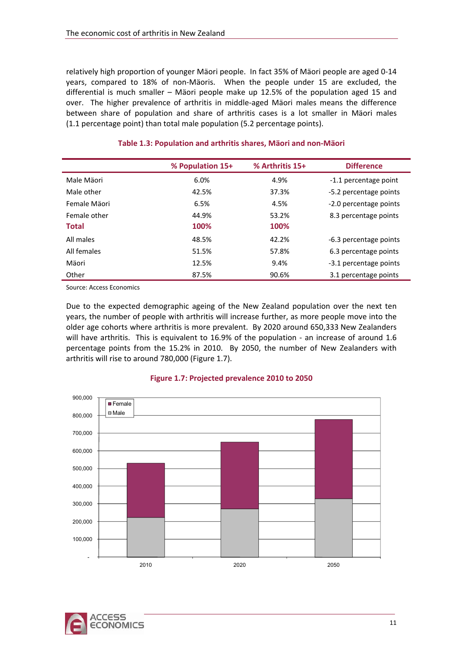<span id="page-14-0"></span>relatively high proportion of younger Mäori people. In fact 35% of Mäori people are aged 0‐14 years, compared to 18% of non‐Mäoris. When the people under 15 are excluded, the differential is much smaller – Mäori people make up 12.5% of the population aged 15 and over. The higher prevalence of arthritis in middle‐aged Mäori males means the difference between share of population and share of arthritis cases is a lot smaller in Mäori males (1.1 percentage point) than total male population (5.2 percentage points).

|              | % Population 15+ | % Arthritis 15+ | <b>Difference</b>      |
|--------------|------------------|-----------------|------------------------|
| Male Mäori   | 6.0%             | 4.9%            | -1.1 percentage point  |
| Male other   | 42.5%            | 37.3%           | -5.2 percentage points |
| Female Mäori | 6.5%             | 4.5%            | -2.0 percentage points |
| Female other | 44.9%            | 53.2%           | 8.3 percentage points  |
| <b>Total</b> | 100%             | 100%            |                        |
| All males    | 48.5%            | 42.2%           | -6.3 percentage points |
| All females  | 51.5%            | 57.8%           | 6.3 percentage points  |
| Mäori        | 12.5%            | 9.4%            | -3.1 percentage points |
| Other        | 87.5%            | 90.6%           | 3.1 percentage points  |

#### **Table 1.3: Population and arthritis shares, Mäori and non‐Mäori**

Source: Access Economics

Due to the expected demographic ageing of the New Zealand population over the next ten years, the number of people with arthritis will increase further, as more people move into the older age cohorts where arthritis is more prevalent. By 2020 around 650,333 New Zealanders will have arthritis. This is equivalent to 16.9% of the population - an increase of around 1.6 percentage points from the 15.2% in 2010. By 2050, the number of New Zealanders with arthritis will rise to around 780,000 [\(Figure](#page-14-0) 1.7).



#### **Figure 1.7: Projected prevalence 2010 to 2050**

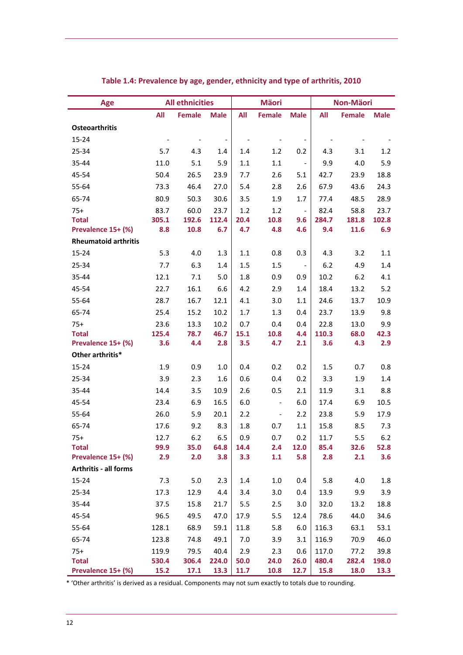<span id="page-15-0"></span>

| <b>Age</b>                  | <b>All ethnicities</b> |               | <b>Mäori</b>             |      |                          | Non-Mäori                    |       |               |             |
|-----------------------------|------------------------|---------------|--------------------------|------|--------------------------|------------------------------|-------|---------------|-------------|
|                             | All                    | <b>Female</b> | <b>Male</b>              | All  | <b>Female</b>            | <b>Male</b>                  | All   | <b>Female</b> | <b>Male</b> |
| <b>Osteoarthritis</b>       |                        |               |                          |      |                          |                              |       |               |             |
| 15-24                       |                        |               | $\overline{\phantom{a}}$ |      |                          | $\qquad \qquad \blacksquare$ |       |               |             |
| 25-34                       | 5.7                    | 4.3           | 1.4                      | 1.4  | 1.2                      | 0.2                          | 4.3   | 3.1           | 1.2         |
| 35-44                       | 11.0                   | 5.1           | 5.9                      | 1.1  | 1.1                      | $\overline{\phantom{a}}$     | 9.9   | 4.0           | 5.9         |
| 45-54                       | 50.4                   | 26.5          | 23.9                     | 7.7  | 2.6                      | 5.1                          | 42.7  | 23.9          | 18.8        |
| 55-64                       | 73.3                   | 46.4          | 27.0                     | 5.4  | 2.8                      | 2.6                          | 67.9  | 43.6          | 24.3        |
| 65-74                       | 80.9                   | 50.3          | 30.6                     | 3.5  | 1.9                      | 1.7                          | 77.4  | 48.5          | 28.9        |
| $75+$                       | 83.7                   | 60.0          | 23.7                     | 1.2  | 1.2                      | $\overline{\phantom{a}}$     | 82.4  | 58.8          | 23.7        |
| <b>Total</b>                | 305.1                  | 192.6         | 112.4                    | 20.4 | 10.8                     | 9.6                          | 284.7 | 181.8         | 102.8       |
| Prevalence 15+ (%)          | 8.8                    | 10.8          | 6.7                      | 4.7  | 4.8                      | 4.6                          | 9.4   | 11.6          | 6.9         |
| <b>Rheumatoid arthritis</b> |                        |               |                          |      |                          |                              |       |               |             |
| $15 - 24$                   | 5.3                    | 4.0           | 1.3                      | 1.1  | 0.8                      | 0.3                          | 4.3   | 3.2           | 1.1         |
| 25-34                       | 7.7                    | 6.3           | 1.4                      | 1.5  | 1.5                      | $\overline{\phantom{a}}$     | 6.2   | 4.9           | 1.4         |
| 35-44                       | 12.1                   | 7.1           | 5.0                      | 1.8  | 0.9                      | 0.9                          | 10.2  | 6.2           | 4.1         |
| 45-54                       | 22.7                   | 16.1          | 6.6                      | 4.2  | 2.9                      | 1.4                          | 18.4  | 13.2          | 5.2         |
| 55-64                       | 28.7                   | 16.7          | 12.1                     | 4.1  | 3.0                      | 1.1                          | 24.6  | 13.7          | 10.9        |
| 65-74                       | 25.4                   | 15.2          | 10.2                     | 1.7  | 1.3                      | 0.4                          | 23.7  | 13.9          | 9.8         |
| $75+$                       | 23.6                   | 13.3          | 10.2                     | 0.7  | 0.4                      | 0.4                          | 22.8  | 13.0          | 9.9         |
| <b>Total</b>                | 125.4                  | 78.7          | 46.7                     | 15.1 | 10.8                     | 4.4                          | 110.3 | 68.0          | 42.3        |
| Prevalence 15+ (%)          | 3.6                    | 4.4           | 2.8                      | 3.5  | 4.7                      | 2.1                          | 3.6   | 4.3           | 2.9         |
| Other arthritis*            |                        |               |                          |      |                          |                              |       |               |             |
| 15-24                       | 1.9                    | 0.9           | 1.0                      | 0.4  | 0.2                      | 0.2                          | 1.5   | 0.7           | 0.8         |
| 25-34                       | 3.9                    | 2.3           | 1.6                      | 0.6  | 0.4                      | 0.2                          | 3.3   | 1.9           | 1.4         |
| 35-44                       | 14.4                   | 3.5           | 10.9                     | 2.6  | 0.5                      | 2.1                          | 11.9  | 3.1           | 8.8         |
| 45-54                       | 23.4                   | 6.9           | 16.5                     | 6.0  | $\overline{\phantom{a}}$ | 6.0                          | 17.4  | 6.9           | 10.5        |
| 55-64                       | 26.0                   | 5.9           | 20.1                     | 2.2  | $\overline{\phantom{a}}$ | 2.2                          | 23.8  | 5.9           | 17.9        |
| 65-74                       | 17.6                   | 9.2           | 8.3                      | 1.8  | 0.7                      | 1.1                          | 15.8  | 8.5           | 7.3         |
| $75+$                       | 12.7                   | 6.2           | 6.5                      | 0.9  | 0.7                      | 0.2                          | 11.7  | 5.5           | 6.2         |
| <b>Total</b>                | 99.9                   | 35.0          | 64.8                     | 14.4 | 2.4                      | 12.0                         | 85.4  | 32.6          | 52.8        |
| Prevalence 15+ (%)          | 2.9                    | 2.0           | 3.8                      | 3.3  | 1.1                      | 5.8                          | 2.8   | 2.1           | 3.6         |
| Arthritis - all forms       |                        |               |                          |      |                          |                              |       |               |             |
| $15 - 24$                   | 7.3                    | 5.0           | 2.3                      | 1.4  | $1.0\,$                  | 0.4                          | 5.8   | 4.0           | 1.8         |
| 25-34                       | 17.3                   | 12.9          | 4.4                      | 3.4  | 3.0                      | 0.4                          | 13.9  | 9.9           | 3.9         |
| 35-44                       | 37.5                   | 15.8          | 21.7                     | 5.5  | 2.5                      | 3.0                          | 32.0  | 13.2          | 18.8        |
| 45-54                       | 96.5                   | 49.5          | 47.0                     | 17.9 | 5.5                      | 12.4                         | 78.6  | 44.0          | 34.6        |
| 55-64                       | 128.1                  | 68.9          | 59.1                     | 11.8 | 5.8                      | 6.0                          | 116.3 | 63.1          | 53.1        |
| 65-74                       | 123.8                  | 74.8          | 49.1                     | 7.0  | 3.9                      | 3.1                          | 116.9 | 70.9          | 46.0        |
| $75+$                       | 119.9                  | 79.5          | 40.4                     | 2.9  | 2.3                      | 0.6                          | 117.0 | 77.2          | 39.8        |
| <b>Total</b>                | 530.4                  | 306.4         | 224.0                    | 50.0 | 24.0                     | 26.0                         | 480.4 | 282.4         | 198.0       |
| Prevalence 15+ (%)          | 15.2                   | 17.1          | 13.3                     | 11.7 | 10.8                     | 12.7                         | 15.8  | 18.0          | 13.3        |

### **Table 1.4: Prevalence by age, gender, ethnicity and type of arthritis, 2010**

\* 'Other arthritis' is derived as a residual. Components may not sum exactly to totals due to rounding.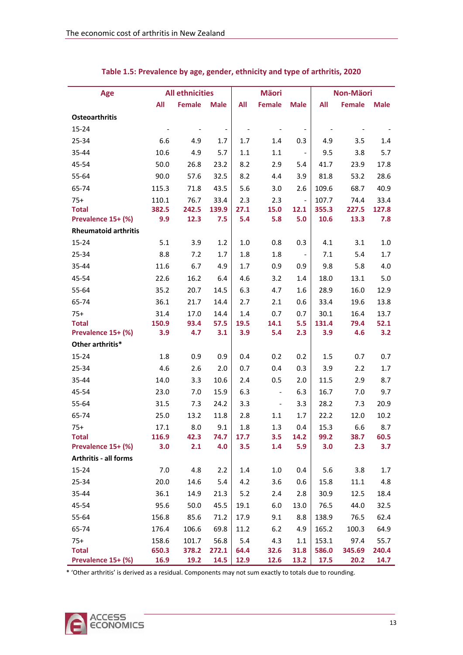<span id="page-16-0"></span>

| Age                                | <b>All ethnicities</b> |                | <b>Mäori</b>                 |             |                          | Non-Mäori                    |                |                |               |
|------------------------------------|------------------------|----------------|------------------------------|-------------|--------------------------|------------------------------|----------------|----------------|---------------|
|                                    | All                    | <b>Female</b>  | <b>Male</b>                  | All         | <b>Female</b>            | <b>Male</b>                  | All            | <b>Female</b>  | <b>Male</b>   |
| Osteoarthritis                     |                        |                |                              |             |                          |                              |                |                |               |
| 15-24                              |                        |                | $\qquad \qquad \blacksquare$ |             |                          | $\qquad \qquad \blacksquare$ |                |                |               |
| 25-34                              | 6.6                    | 4.9            | 1.7                          | 1.7         | 1.4                      | 0.3                          | 4.9            | 3.5            | 1.4           |
| 35-44                              | 10.6                   | 4.9            | 5.7                          | 1.1         | 1.1                      | $\overline{\phantom{a}}$     | 9.5            | 3.8            | 5.7           |
| 45-54                              | 50.0                   | 26.8           | 23.2                         | 8.2         | 2.9                      | 5.4                          | 41.7           | 23.9           | 17.8          |
| 55-64                              | 90.0                   | 57.6           | 32.5                         | 8.2         | 4.4                      | 3.9                          | 81.8           | 53.2           | 28.6          |
| 65-74                              | 115.3                  | 71.8           | 43.5                         | 5.6         | 3.0                      | 2.6                          | 109.6          | 68.7           | 40.9          |
| $75+$                              | 110.1                  | 76.7           | 33.4                         | 2.3         | 2.3                      | $\overline{\phantom{a}}$     | 107.7          | 74.4           | 33.4          |
| <b>Total</b>                       | 382.5                  | 242.5          | 139.9                        | 27.1        | 15.0                     | 12.1                         | 355.3          | 227.5          | 127.8         |
| Prevalence 15+ (%)                 | 9.9                    | 12.3           | 7.5                          | 5.4         | 5.8                      | 5.0                          | 10.6           | 13.3           | 7.8           |
| <b>Rheumatoid arthritis</b>        |                        |                |                              |             |                          |                              |                |                |               |
| $15 - 24$                          | 5.1                    | 3.9            | 1.2                          | 1.0         | 0.8                      | 0.3                          | 4.1            | 3.1            | 1.0           |
| 25-34                              | 8.8                    | 7.2            | 1.7                          | 1.8         | 1.8                      | $\overline{\phantom{a}}$     | 7.1            | 5.4            | 1.7           |
| 35-44                              | 11.6                   | 6.7            | 4.9                          | 1.7         | 0.9                      | 0.9                          | 9.8            | 5.8            | 4.0           |
| 45-54                              | 22.6                   | 16.2           | 6.4                          | 4.6         | 3.2                      | 1.4                          | 18.0           | 13.1           | 5.0           |
| 55-64                              | 35.2                   | 20.7           | 14.5                         | 6.3         | 4.7                      | 1.6                          | 28.9           | 16.0           | 12.9          |
| 65-74                              | 36.1                   | 21.7           | 14.4                         | 2.7         | 2.1                      | 0.6                          | 33.4           | 19.6           | 13.8          |
| $75+$                              | 31.4                   | 17.0           | 14.4                         | 1.4         | 0.7                      | 0.7                          | 30.1           | 16.4           | 13.7          |
| <b>Total</b>                       | 150.9                  | 93.4           | 57.5                         | 19.5        | 14.1                     | 5.5                          | 131.4          | 79.4           | 52.1          |
| Prevalence 15+ (%)                 | 3.9                    | 4.7            | 3.1                          | 3.9         | 5.4                      | 2.3                          | 3.9            | 4.6            | 3.2           |
| Other arthritis*                   |                        |                |                              |             |                          |                              |                |                |               |
| $15 - 24$                          | 1.8                    | 0.9            | 0.9                          | 0.4         | 0.2                      | 0.2                          | 1.5            | 0.7            | 0.7           |
| $25 - 34$                          | 4.6                    | 2.6            | 2.0                          | 0.7         | 0.4                      | 0.3                          | 3.9            | 2.2            | 1.7           |
| 35-44                              | 14.0                   | 3.3            | 10.6                         | 2.4         | 0.5                      | 2.0                          | 11.5           | 2.9            | 8.7           |
| 45-54                              | 23.0                   | 7.0            | 15.9                         | 6.3         | $\overline{\phantom{a}}$ | 6.3                          | 16.7           | 7.0            | 9.7           |
| 55-64                              | 31.5                   | 7.3            | 24.2                         | 3.3         | $\blacksquare$           | 3.3                          | 28.2           | 7.3            | 20.9          |
| 65-74                              | 25.0                   | 13.2           | 11.8                         | 2.8         | 1.1                      | 1.7                          | 22.2           | 12.0           | 10.2          |
| $75+$                              | 17.1                   | 8.0            | 9.1                          | 1.8         | 1.3                      | 0.4                          | 15.3           | 6.6            | 8.7           |
| <b>Total</b><br>Prevalence 15+ (%) | 116.9<br>3.0           | 42.3<br>2.1    | 74.7<br>4.0                  | 17.7<br>3.5 | 3.5<br>1.4               | 14.2<br>5.9                  | 99.2<br>3.0    | 38.7<br>2.3    | 60.5<br>3.7   |
| <b>Arthritis - all forms</b>       |                        |                |                              |             |                          |                              |                |                |               |
| 15-24                              | 7.0                    | 4.8            | 2.2                          | 1.4         | 1.0                      | 0.4                          | 5.6            | 3.8            | 1.7           |
| 25-34                              | 20.0                   | 14.6           | 5.4                          | 4.2         | 3.6                      | 0.6                          | 15.8           | 11.1           | 4.8           |
|                                    |                        |                |                              |             |                          |                              |                |                |               |
| 35-44                              | 36.1                   | 14.9           | 21.3                         | 5.2         | 2.4                      | 2.8                          | 30.9           | 12.5           | 18.4          |
| 45-54                              | 95.6                   | 50.0           | 45.5                         | 19.1        | 6.0                      | 13.0                         | 76.5           | 44.0           | 32.5          |
| 55-64                              | 156.8                  | 85.6           | 71.2                         | 17.9        | 9.1                      | 8.8                          | 138.9          | 76.5           | 62.4          |
| 65-74                              | 176.4                  | 106.6          | 69.8                         | 11.2        | 6.2                      | 4.9                          | 165.2          | 100.3          | 64.9          |
| $75+$<br><b>Total</b>              | 158.6<br>650.3         | 101.7<br>378.2 | 56.8<br>272.1                | 5.4<br>64.4 | 4.3<br>32.6              | 1.1<br>31.8                  | 153.1<br>586.0 | 97.4<br>345.69 | 55.7<br>240.4 |
| Prevalence 15+ (%)                 | 16.9                   | 19.2           | 14.5                         | 12.9        | 12.6                     | 13.2                         | 17.5           | 20.2           | 14.7          |

#### **Table 1.5: Prevalence by age, gender, ethnicity and type of arthritis, 2020**

\* 'Other arthritis' is derived as a residual. Components may not sum exactly to totals due to rounding.

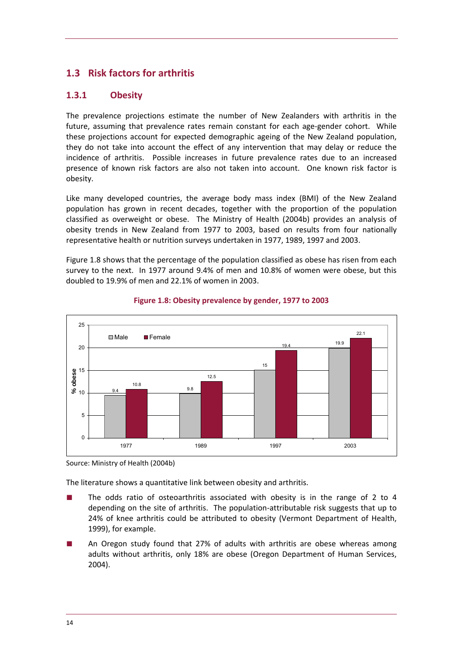# <span id="page-17-0"></span>**1.3 Risk factors for arthritis**

# **1.3.1 Obesity**

The prevalence projections estimate the number of New Zealanders with arthritis in the future, assuming that prevalence rates remain constant for each age‐gender cohort. While these projections account for expected demographic ageing of the New Zealand population, they do not take into account the effect of any intervention that may delay or reduce the incidence of arthritis. Possible increases in future prevalence rates due to an increased presence of known risk factors are also not taken into account. One known risk factor is obesity.

Like many developed countries, the average body mass index (BMI) of the New Zealand population has grown in recent decades, together with the proportion of the population classified as overweight or obese. The Ministry of Health (2004b) provides an analysis of obesity trends in New Zealand from 1977 to 2003, based on results from four nationally representative health or nutrition surveys undertaken in 1977, 1989, 1997 and 2003.

[Figure](#page-17-0) 1.8 shows that the percentage of the population classified as obese has risen from each survey to the next. In 1977 around 9.4% of men and 10.8% of women were obese, but this doubled to 19.9% of men and 22.1% of women in 2003.



#### **Figure 1.8: Obesity prevalence by gender, 1977 to 2003**

Source: Ministry of Health (2004b)

The literature shows a quantitative link between obesity and arthritis.

- The odds ratio of osteoarthritis associated with obesity is in the range of 2 to 4 depending on the site of arthritis. The population‐attributable risk suggests that up to 24% of knee arthritis could be attributed to obesity (Vermont Department of Health, 1999), for example.
- An Oregon study found that 27% of adults with arthritis are obese whereas among adults without arthritis, only 18% are obese (Oregon Department of Human Services, 2004).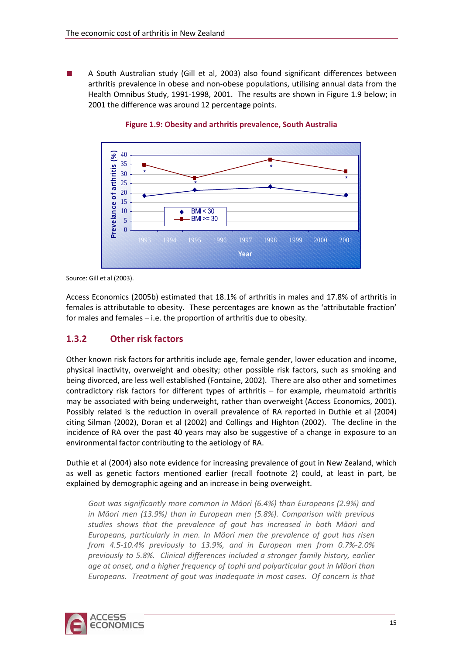<span id="page-18-0"></span>A South Australian study (Gill et al, 2003) also found significant differences between arthritis prevalence in obese and non‐obese populations, utilising annual data from the Health Omnibus Study, 1991‐1998, 2001. The results are shown in [Figure](#page-18-0) 1.9 below; in 2001 the difference was around 12 percentage points.



#### **Figure 1.9: Obesity and arthritis prevalence, South Australia**

Source: Gill et al (2003).

Access Economics (2005b) estimated that 18.1% of arthritis in males and 17.8% of arthritis in females is attributable to obesity. These percentages are known as the 'attributable fraction' for males and females – i.e. the proportion of arthritis due to obesity.

# **1.3.2 Other risk factors**

Other known risk factors for arthritis include age, female gender, lower education and income, physical inactivity, overweight and obesity; other possible risk factors, such as smoking and being divorced, are less well established (Fontaine, 2002). There are also other and sometimes contradictory risk factors for different types of arthritis – for example, rheumatoid arthritis may be associated with being underweight, rather than overweight (Access Economics, 2001). Possibly related is the reduction in overall prevalence of RA reported in Duthie et al (2004) citing Silman (2002), Doran et al (2002) and Collings and Highton (2002). The decline in the incidence of RA over the past 40 years may also be suggestive of a change in exposure to an environmental factor contributing to the aetiology of RA.

Duthie et al (2004) also note evidence for increasing prevalence of gout in New Zealand, which as well as genetic factors mentioned earlier (recall footnote [2\)](#page-11-0) could, at least in part, be explained by demographic ageing and an increase in being overweight.

*Gout was significantly more common in Mäori (6.4%) than Europeans (2.9%) and in Mäori men (13.9%) than in European men (5.8%). Comparison with previous studies shows that the prevalence of gout has increased in both Mäori and Europeans, particularly in men. In Mäori men the prevalence of gout has risen from 4.5‐10.4% previously to 13.9%, and in European men from 0.7%‐2.0% previously to 5.8%. Clinical differences included a stronger family history, earlier age at onset, and a higher frequency of tophi and polyarticular gout in Mäori than Europeans. Treatment of gout was inadequate in most cases. Of concern is that*

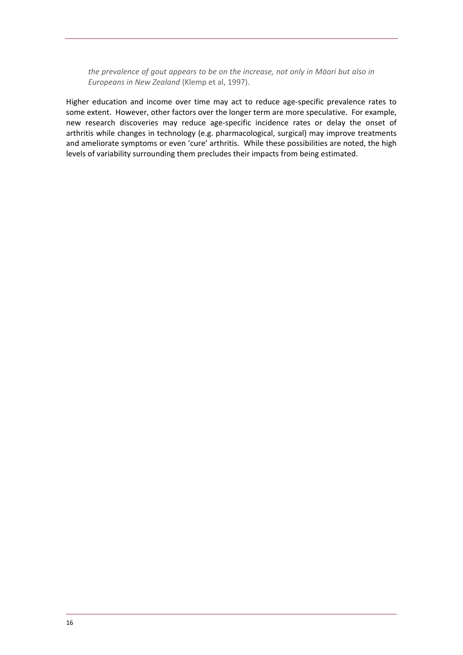*the prevalence of gout appears to be on the increase, not only in Mäori but also in Europeans in New Zealand* (Klemp et al, 1997).

Higher education and income over time may act to reduce age-specific prevalence rates to some extent. However, other factors over the longer term are more speculative. For example, new research discoveries may reduce age‐specific incidence rates or delay the onset of arthritis while changes in technology (e.g. pharmacological, surgical) may improve treatments and ameliorate symptoms or even 'cure' arthritis. While these possibilities are noted, the high levels of variability surrounding them precludes their impacts from being estimated.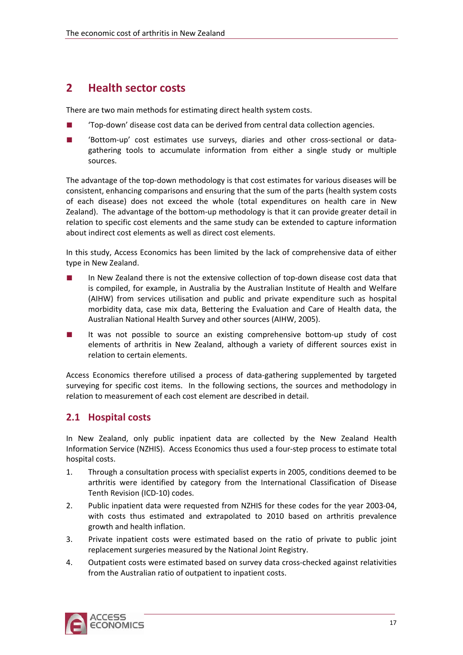# <span id="page-20-0"></span>**2 Health sector costs**

There are two main methods for estimating direct health system costs.

- 'Top-down' disease cost data can be derived from central data collection agencies.
- 'Bottom-up' cost estimates use surveys, diaries and other cross-sectional or datagathering tools to accumulate information from either a single study or multiple sources.

The advantage of the top-down methodology is that cost estimates for various diseases will be consistent, enhancing comparisons and ensuring that the sum of the parts (health system costs of each disease) does not exceed the whole (total expenditures on health care in New Zealand). The advantage of the bottom‐up methodology is that it can provide greater detail in relation to specific cost elements and the same study can be extended to capture information about indirect cost elements as well as direct cost elements.

In this study, Access Economics has been limited by the lack of comprehensive data of either type in New Zealand.

- In New Zealand there is not the extensive collection of top-down disease cost data that is compiled, for example, in Australia by the Australian Institute of Health and Welfare (AIHW) from services utilisation and public and private expenditure such as hospital morbidity data, case mix data, Bettering the Evaluation and Care of Health data, the Australian National Health Survey and other sources (AIHW, 2005).
- It was not possible to source an existing comprehensive bottom-up study of cost elements of arthritis in New Zealand, although a variety of different sources exist in relation to certain elements.

Access Economics therefore utilised a process of data‐gathering supplemented by targeted surveying for specific cost items. In the following sections, the sources and methodology in relation to measurement of each cost element are described in detail.

# **2.1 Hospital costs**

In New Zealand, only public inpatient data are collected by the New Zealand Health Information Service (NZHIS). Access Economics thus used a four‐step process to estimate total hospital costs.

- 1. Through a consultation process with specialist experts in 2005, conditions deemed to be arthritis were identified by category from the International Classification of Disease Tenth Revision (ICD‐10) codes.
- 2. Public inpatient data were requested from NZHIS for these codes for the year 2003‐04, with costs thus estimated and extrapolated to 2010 based on arthritis prevalence growth and health inflation.
- 3. Private inpatient costs were estimated based on the ratio of private to public joint replacement surgeries measured by the National Joint Registry.
- 4. Outpatient costs were estimated based on survey data cross-checked against relativities from the Australian ratio of outpatient to inpatient costs.

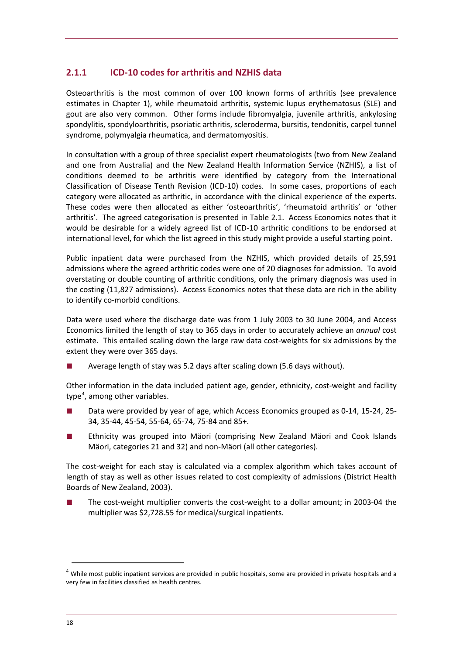# **2.1.1 ICD‐10 codes for arthritis and NZHIS data**

Osteoarthritis is the most common of over 100 known forms of arthritis (see prevalence estimates in Chapter [1\)](#page-8-0), while rheumatoid arthritis, systemic lupus erythematosus (SLE) and gout are also very common. Other forms include fibromyalgia, juvenile arthritis, ankylosing spondylitis, spondyloarthritis, psoriatic arthritis, scleroderma, bursitis, tendonitis, carpel tunnel syndrome, polymyalgia rheumatica, and dermatomyositis.

In consultation with a group of three specialist expert rheumatologists (two from New Zealand and one from Australia) and the New Zealand Health Information Service (NZHIS), a list of conditions deemed to be arthritis were identified by category from the International Classification of Disease Tenth Revision (ICD‐10) codes. In some cases, proportions of each category were allocated as arthritic, in accordance with the clinical experience of the experts. These codes were then allocated as either 'osteoarthritis', 'rheumatoid arthritis' or 'other arthritis'. The agreed categorisation is presented in [Table](#page-22-0) 2.1. Access Economics notes that it would be desirable for a widely agreed list of ICD-10 arthritic conditions to be endorsed at international level, for which the list agreed in this study might provide a useful starting point.

Public inpatient data were purchased from the NZHIS, which provided details of 25,591 admissions where the agreed arthritic codes were one of 20 diagnoses for admission. To avoid overstating or double counting of arthritic conditions, only the primary diagnosis was used in the costing (11,827 admissions). Access Economics notes that these data are rich in the ability to identify co‐morbid conditions.

Data were used where the discharge date was from 1 July 2003 to 30 June 2004, and Access Economics limited the length of stay to 365 days in order to accurately achieve an *annual* cost estimate. This entailed scaling down the large raw data cost‐weights for six admissions by the extent they were over 365 days.

Average length of stay was 5.2 days after scaling down (5.6 days without).

Other information in the data included patient age, gender, ethnicity, cost-weight and facility type<sup>[4](#page-21-0)</sup>, among other variables.

- Data were provided by year of age, which Access Economics grouped as 0-14, 15-24, 25-34, 35‐44, 45‐54, 55‐64, 65‐74, 75‐84 and 85+.
- Ethnicity was grouped into Mäori (comprising New Zealand Mäori and Cook Islands Mäori, categories 21 and 32) and non‐Mäori (all other categories).

The cost-weight for each stay is calculated via a complex algorithm which takes account of length of stay as well as other issues related to cost complexity of admissions (District Health Boards of New Zealand, 2003).

The cost-weight multiplier converts the cost-weight to a dollar amount; in 2003-04 the multiplier was \$2,728.55 for medical/surgical inpatients.

<span id="page-21-0"></span><sup>&</sup>lt;sup>4</sup> While most public inpatient services are provided in public hospitals, some are provided in private hospitals and a very few in facilities classified as health centres.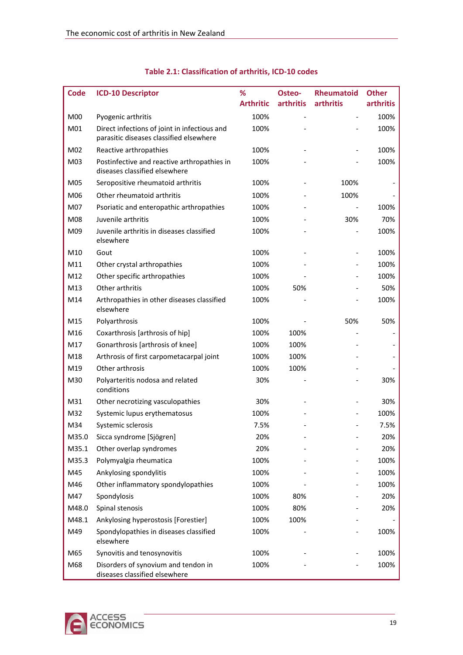<span id="page-22-0"></span>

| <b>Code</b>     | <b>ICD-10 Descriptor</b>                                                                | %                | Osteo-           | <b>Rheumatoid</b> | <b>Other</b> |
|-----------------|-----------------------------------------------------------------------------------------|------------------|------------------|-------------------|--------------|
|                 |                                                                                         | <b>Arthritic</b> | <b>arthritis</b> | arthritis         | arthritis    |
| M00             | Pyogenic arthritis                                                                      | 100%             |                  |                   | 100%         |
| M01             | Direct infections of joint in infectious and<br>parasitic diseases classified elsewhere | 100%             |                  |                   | 100%         |
| M02             | Reactive arthropathies                                                                  | 100%             |                  |                   | 100%         |
| M <sub>03</sub> | Postinfective and reactive arthropathies in<br>diseases classified elsewhere            | 100%             |                  |                   | 100%         |
| M05             | Seropositive rheumatoid arthritis                                                       | 100%             |                  | 100%              |              |
| M06             | Other rheumatoid arthritis                                                              | 100%             |                  | 100%              |              |
| M07             | Psoriatic and enteropathic arthropathies                                                | 100%             |                  |                   | 100%         |
| M08             | Juvenile arthritis                                                                      | 100%             |                  | 30%               | 70%          |
| M09             | Juvenile arthritis in diseases classified<br>elsewhere                                  | 100%             |                  |                   | 100%         |
| M10             | Gout                                                                                    | 100%             |                  |                   | 100%         |
| M11             | Other crystal arthropathies                                                             | 100%             |                  |                   | 100%         |
| M12             | Other specific arthropathies                                                            | 100%             |                  |                   | 100%         |
| M13             | Other arthritis                                                                         | 100%             | 50%              |                   | 50%          |
| M14             | Arthropathies in other diseases classified<br>elsewhere                                 | 100%             |                  |                   | 100%         |
| M15             | Polyarthrosis                                                                           | 100%             |                  | 50%               | 50%          |
| M16             | Coxarthrosis [arthrosis of hip]                                                         | 100%             | 100%             |                   |              |
| M17             | Gonarthrosis [arthrosis of knee]                                                        | 100%             | 100%             |                   |              |
| M18             | Arthrosis of first carpometacarpal joint                                                | 100%             | 100%             |                   |              |
| M19             | Other arthrosis                                                                         | 100%             | 100%             |                   |              |
| M30             | Polyarteritis nodosa and related<br>conditions                                          | 30%              |                  |                   | 30%          |
| M31             | Other necrotizing vasculopathies                                                        | 30%              |                  |                   | 30%          |
| M32             | Systemic lupus erythematosus                                                            | 100%             |                  |                   | 100%         |
| M34             | Systemic sclerosis                                                                      | 7.5%             |                  |                   | 7.5%         |
| M35.0           | Sicca syndrome [Sjögren]                                                                | 20%              |                  |                   | 20%          |
| M35.1           | Other overlap syndromes                                                                 | 20%              |                  |                   | 20%          |
| M35.3           | Polymyalgia rheumatica                                                                  | 100%             |                  |                   | 100%         |
| M45             | Ankylosing spondylitis                                                                  | 100%             |                  |                   | 100%         |
| M46             | Other inflammatory spondylopathies                                                      | 100%             |                  |                   | 100%         |
| M47             | Spondylosis                                                                             | 100%             | 80%              |                   | 20%          |
| M48.0           | Spinal stenosis                                                                         | 100%             | 80%              |                   | 20%          |
| M48.1           | Ankylosing hyperostosis [Forestier]                                                     | 100%             | 100%             |                   |              |
| M49             | Spondylopathies in diseases classified<br>elsewhere                                     | 100%             |                  |                   | 100%         |
| M65             | Synovitis and tenosynovitis                                                             | 100%             |                  |                   | 100%         |
| M68             | Disorders of synovium and tendon in<br>diseases classified elsewhere                    | 100%             |                  |                   | 100%         |

# **Table 2.1: Classification of arthritis, ICD‐10 codes**

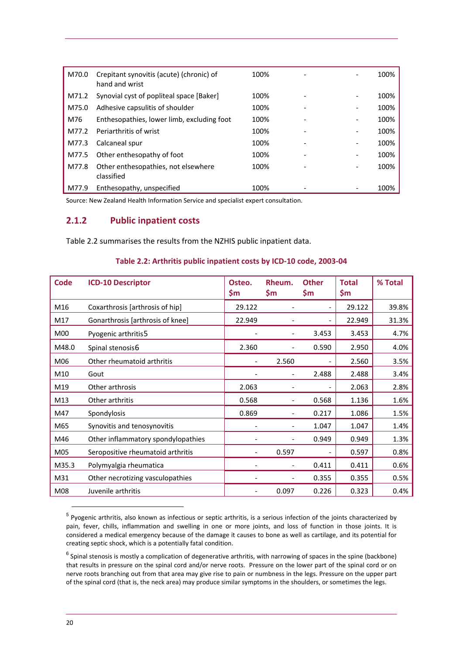<span id="page-23-0"></span>

| M70.0 | Crepitant synovitis (acute) (chronic) of<br>hand and wrist | 100% |                          | 100% |
|-------|------------------------------------------------------------|------|--------------------------|------|
| M71.2 | Synovial cyst of popliteal space [Baker]                   | 100% |                          | 100% |
| M75.0 | Adhesive capsulitis of shoulder                            | 100% |                          | 100% |
| M76   | Enthesopathies, lower limb, excluding foot                 | 100% |                          | 100% |
| M77.2 | Periarthritis of wrist                                     | 100% |                          | 100% |
| M77.3 | Calcaneal spur                                             | 100% | $\overline{\phantom{a}}$ | 100% |
| M77.5 | Other enthesopathy of foot                                 | 100% |                          | 100% |
| M77.8 | Other enthesopathies, not elsewhere<br>classified          | 100% |                          | 100% |
| M77.9 | Enthesopathy, unspecified                                  | 100% |                          | 100% |

Source: New Zealand Health Information Service and specialist expert consultation.

#### **2.1.2 Public inpatient costs**

[Table](#page-23-0) 2.2 summarises the results from the NZHIS public inpatient data.

#### **Table 2.2: Arthritis public inpatient costs by ICD‐10 code, 2003‐04**

| <b>Code</b> | <b>ICD-10 Descriptor</b>           | Osteo.<br>\$m            | Rheum.<br>Şm             | <b>Other</b><br>Şm       | <b>Total</b><br>\$m | % Total |
|-------------|------------------------------------|--------------------------|--------------------------|--------------------------|---------------------|---------|
| M16         | Coxarthrosis [arthrosis of hip]    | 29.122                   |                          | $\overline{\phantom{0}}$ | 29.122              | 39.8%   |
| M17         | Gonarthrosis [arthrosis of knee]   | 22.949                   |                          |                          | 22.949              | 31.3%   |
| M00         | Pyogenic arthritis5                |                          | $\overline{\phantom{a}}$ | 3.453                    | 3.453               | 4.7%    |
| M48.0       | Spinal stenosis6                   | 2.360                    |                          | 0.590                    | 2.950               | 4.0%    |
| M06         | Other rheumatoid arthritis         | $\overline{a}$           | 2.560                    |                          | 2.560               | 3.5%    |
| M10         | Gout                               |                          | $\overline{\phantom{0}}$ | 2.488                    | 2.488               | 3.4%    |
| M19         | Other arthrosis                    | 2.063                    |                          |                          | 2.063               | 2.8%    |
| M13         | Other arthritis                    | 0.568                    |                          | 0.568                    | 1.136               | 1.6%    |
| M47         | Spondylosis                        | 0.869                    | $\overline{\phantom{0}}$ | 0.217                    | 1.086               | 1.5%    |
| M65         | Synovitis and tenosynovitis        |                          | -                        | 1.047                    | 1.047               | 1.4%    |
| M46         | Other inflammatory spondylopathies |                          |                          | 0.949                    | 0.949               | 1.3%    |
| M05         | Seropositive rheumatoid arthritis  |                          | 0.597                    |                          | 0.597               | 0.8%    |
| M35.3       | Polymyalgia rheumatica             |                          |                          | 0.411                    | 0.411               | 0.6%    |
| M31         | Other necrotizing vasculopathies   |                          |                          | 0.355                    | 0.355               | 0.5%    |
| M08         | Juvenile arthritis                 | $\overline{\phantom{a}}$ | 0.097                    | 0.226                    | 0.323               | 0.4%    |

<span id="page-23-1"></span><sup>5</sup> Pyogenic arthritis, also known as infectious or septic arthritis, is a serious infection of the joints characterized by pain, fever, chills, inflammation and swelling in one or more joints, and loss of function in those joints. It is considered a medical emergency because of the damage it causes to bone as well as cartilage, and its potential for creating septic shock, which is a potentially fatal condition.

<span id="page-23-2"></span> $6$  Spinal stenosis is mostly a complication of degenerative arthritis, with narrowing of spaces in the spine (backbone) that results in pressure on the spinal cord and/or nerve roots. Pressure on the lower part of the spinal cord or on nerve roots branching out from that area may give rise to pain or numbness in the legs. Pressure on the upper part of the spinal cord (that is, the neck area) may produce similar symptoms in the shoulders, or sometimes the legs.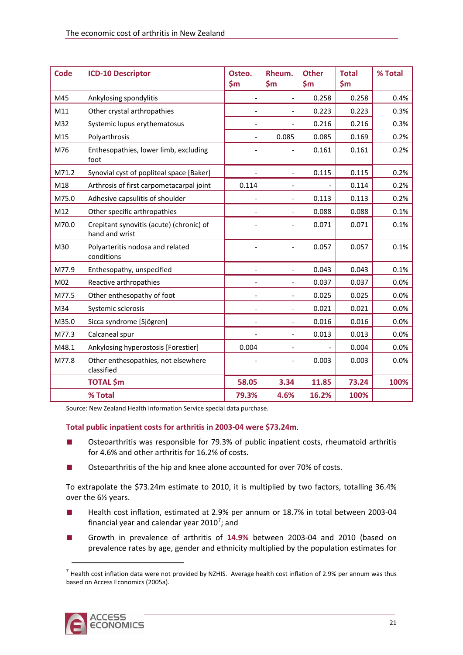| <b>Code</b> | <b>ICD-10 Descriptor</b>                                   | Osteo.<br>\$m\$          | Rheum.<br>\$m\$          | <b>Other</b><br>$\mathsf{S}$ m | <b>Total</b><br>\$m\$ | % Total |
|-------------|------------------------------------------------------------|--------------------------|--------------------------|--------------------------------|-----------------------|---------|
| M45         | Ankylosing spondylitis                                     | $\frac{1}{2}$            | $\overline{\phantom{a}}$ | 0.258                          | 0.258                 | 0.4%    |
| M11         | Other crystal arthropathies                                |                          |                          | 0.223                          | 0.223                 | 0.3%    |
| M32         | Systemic lupus erythematosus                               |                          |                          | 0.216                          | 0.216                 | 0.3%    |
| M15         | Polyarthrosis                                              | $\overline{\phantom{0}}$ | 0.085                    | 0.085                          | 0.169                 | 0.2%    |
| M76         | Enthesopathies, lower limb, excluding<br>foot              |                          |                          | 0.161                          | 0.161                 | 0.2%    |
| M71.2       | Synovial cyst of popliteal space [Baker]                   |                          | $\overline{\phantom{0}}$ | 0.115                          | 0.115                 | 0.2%    |
| M18         | Arthrosis of first carpometacarpal joint                   | 0.114                    |                          |                                | 0.114                 | 0.2%    |
| M75.0       | Adhesive capsulitis of shoulder                            |                          |                          | 0.113                          | 0.113                 | 0.2%    |
| M12         | Other specific arthropathies                               |                          | $\overline{\phantom{0}}$ | 0.088                          | 0.088                 | 0.1%    |
| M70.0       | Crepitant synovitis (acute) (chronic) of<br>hand and wrist |                          |                          | 0.071                          | 0.071                 | 0.1%    |
| M30         | Polyarteritis nodosa and related<br>conditions             |                          | $\overline{a}$           | 0.057                          | 0.057                 | 0.1%    |
| M77.9       | Enthesopathy, unspecified                                  | $\overline{\phantom{0}}$ | $\overline{\phantom{a}}$ | 0.043                          | 0.043                 | 0.1%    |
| M02         | Reactive arthropathies                                     | $\overline{\phantom{a}}$ | $\overline{\phantom{a}}$ | 0.037                          | 0.037                 | 0.0%    |
| M77.5       | Other enthesopathy of foot                                 | $\overline{\phantom{a}}$ | $\overline{\phantom{a}}$ | 0.025                          | 0.025                 | 0.0%    |
| M34         | Systemic sclerosis                                         |                          | $\overline{\phantom{0}}$ | 0.021                          | 0.021                 | 0.0%    |
| M35.0       | Sicca syndrome [Sjögren]                                   | $\overline{\phantom{0}}$ | $\overline{\phantom{a}}$ | 0.016                          | 0.016                 | 0.0%    |
| M77.3       | Calcaneal spur                                             |                          | $\frac{1}{2}$            | 0.013                          | 0.013                 | 0.0%    |
| M48.1       | Ankylosing hyperostosis [Forestier]                        | 0.004                    |                          |                                | 0.004                 | 0.0%    |
| M77.8       | Other enthesopathies, not elsewhere<br>classified          |                          |                          | 0.003                          | 0.003                 | 0.0%    |
|             | <b>TOTAL</b> \$m                                           | 58.05                    | 3.34                     | 11.85                          | 73.24                 | 100%    |
|             | % Total                                                    | 79.3%                    | 4.6%                     | 16.2%                          | 100%                  |         |

Source: New Zealand Health Information Service special data purchase.

#### **Total public inpatient costs for arthritis in 2003‐04 were \$73.24m**.

- Osteoarthritis was responsible for 79.3% of public inpatient costs, rheumatoid arthritis for 4.6% and other arthritis for 16.2% of costs.
- Osteoarthritis of the hip and knee alone accounted for over 70% of costs.

To extrapolate the \$73.24m estimate to 2010, it is multiplied by two factors, totalling 36.4% over the 6½ years.

- Health cost inflation, estimated at 2.9% per annum or 18.7% in total between 2003-04 financial year and calendar year 2010<sup>[7](#page-24-0)</sup>; and
- Growth in prevalence of arthritis of 14.9% between 2003-04 and 2010 (based on prevalence rates by age, gender and ethnicity multiplied by the population estimates for

<span id="page-24-0"></span> $<sup>7</sup>$  Health cost inflation data were not provided by NZHIS. Average health cost inflation of 2.9% per annum was thus</sup> based on Access Economics (2005a).

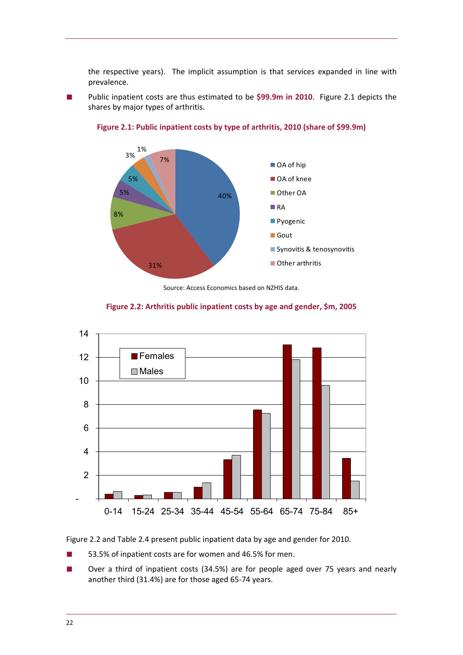<span id="page-25-0"></span>the respective years). The implicit assumption is that services expanded in line with prevalence.

Public inpatient costs are thus estimated to be \$99.9m in 2010. [Figure](#page-25-0) 2.1 depicts the shares by major types of arthritis.



**Figure 2.1: Public inpatient costs by type of arthritis, 2010 (share of \$99.9m)**

Source: Access Economics based on NZHIS data.





[Figure](#page-25-0) 2.2 and [Table](#page-26-0) 2.4 present public inpatient data by age and gender for 2010.

- 53.5% of inpatient costs are for women and 46.5% for men.
- Over a third of inpatient costs (34.5%) are for people aged over 75 years and nearly another third (31.4%) are for those aged 65‐74 years.

0-14 15-24 25-34 35-44 45-54 55-64 65-74 75-84 85+

-

2

4

6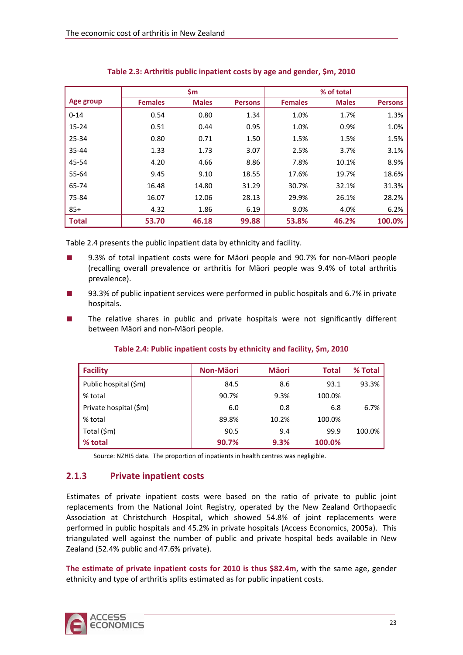<span id="page-26-0"></span>

|              |                | \$m          |                |                | % of total   |                |
|--------------|----------------|--------------|----------------|----------------|--------------|----------------|
| Age group    | <b>Females</b> | <b>Males</b> | <b>Persons</b> | <b>Females</b> | <b>Males</b> | <b>Persons</b> |
| $0 - 14$     | 0.54           | 0.80         | 1.34           | 1.0%           | 1.7%         | 1.3%           |
| $15 - 24$    | 0.51           | 0.44         | 0.95           | 1.0%           | 0.9%         | 1.0%           |
| 25-34        | 0.80           | 0.71         | 1.50           | 1.5%           | 1.5%         | 1.5%           |
| 35-44        | 1.33           | 1.73         | 3.07           | 2.5%           | 3.7%         | 3.1%           |
| 45-54        | 4.20           | 4.66         | 8.86           | 7.8%           | 10.1%        | 8.9%           |
| 55-64        | 9.45           | 9.10         | 18.55          | 17.6%          | 19.7%        | 18.6%          |
| 65-74        | 16.48          | 14.80        | 31.29          | 30.7%          | 32.1%        | 31.3%          |
| 75-84        | 16.07          | 12.06        | 28.13          | 29.9%          | 26.1%        | 28.2%          |
| $85+$        | 4.32           | 1.86         | 6.19           | 8.0%           | 4.0%         | 6.2%           |
| <b>Total</b> | 53.70          | 46.18        | 99.88          | 53.8%          | 46.2%        | 100.0%         |

### **Table 2.3: Arthritis public inpatient costs by age and gender, \$m, 2010**

[Table](#page-26-0) 2.4 presents the public inpatient data by ethnicity and facility.

- 9.3% of total inpatient costs were for Mäori people and 90.7% for non-Mäori people (recalling overall prevalence or arthritis for Mäori people was 9.4% of total arthritis prevalence).
- 93.3% of public inpatient services were performed in public hospitals and 6.7% in private hospitals.
- The relative shares in public and private hospitals were not significantly different between Mäori and non‐Mäori people.

| <b>Facility</b>        | <b>Non-Mäori</b> | <b>Mäori</b> | <b>Total</b> | % Total |
|------------------------|------------------|--------------|--------------|---------|
| Public hospital (\$m)  | 84.5             | 8.6          | 93.1         | 93.3%   |
| % total                | 90.7%            | 9.3%         | 100.0%       |         |
| Private hospital (\$m) | 6.0              | 0.8          | 6.8          | 6.7%    |
| % total                | 89.8%            | 10.2%        | 100.0%       |         |
| Total (\$m)            | 90.5             | 9.4          | 99.9         | 100.0%  |
| % total                | 90.7%            | 9.3%         | 100.0%       |         |

### **Table 2.4: Public inpatient costs by ethnicity and facility, \$m, 2010**

Source: NZHIS data. The proportion of inpatients in health centres was negligible.

# **2.1.3 Private inpatient costs**

Estimates of private inpatient costs were based on the ratio of private to public joint replacements from the National Joint Registry, operated by the New Zealand Orthopaedic Association at Christchurch Hospital, which showed 54.8% of joint replacements were performed in public hospitals and 45.2% in private hospitals (Access Economics, 2005a). This triangulated well against the number of public and private hospital beds available in New Zealand (52.4% public and 47.6% private).

**The estimate of private inpatient costs for 2010 is thus \$82.4m**, with the same age, gender ethnicity and type of arthritis splits estimated as for public inpatient costs.

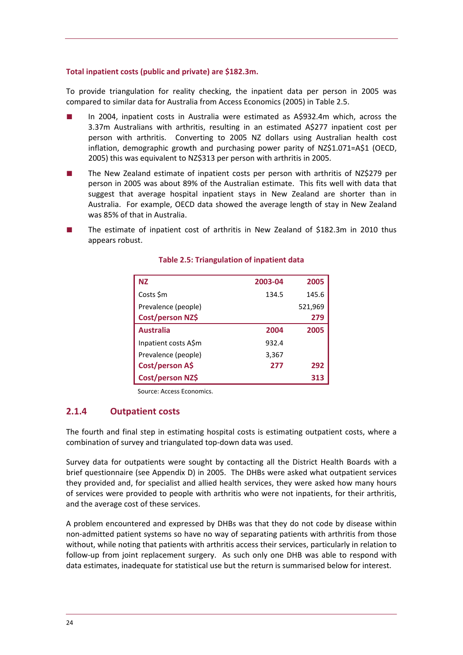#### <span id="page-27-0"></span>**Total inpatient costs (public and private) are \$182.3m.**

To provide triangulation for reality checking, the inpatient data per person in 2005 was compared to similar data for Australia from Access Economics (2005) in [Table](#page-27-0) 2.5.

- In 2004, inpatient costs in Australia were estimated as A\$932.4m which, across the 3.37m Australians with arthritis, resulting in an estimated A\$277 inpatient cost per person with arthritis. Converting to 2005 NZ dollars using Australian health cost inflation, demographic growth and purchasing power parity of NZ\$1.071=A\$1 (OECD, 2005) this was equivalent to NZ\$313 per person with arthritis in 2005.
- The New Zealand estimate of inpatient costs per person with arthritis of NZ\$279 per person in 2005 was about 89% of the Australian estimate. This fits well with data that suggest that average hospital inpatient stays in New Zealand are shorter than in Australia. For example, OECD data showed the average length of stay in New Zealand was 85% of that in Australia.
- The estimate of inpatient cost of arthritis in New Zealand of \$182.3m in 2010 thus appears robust.

| <b>NZ</b>            | 2003-04 | 2005    |
|----------------------|---------|---------|
| Costs \$m            | 134.5   | 145.6   |
| Prevalence (people)  |         | 521,969 |
| Cost/person NZ\$     |         | 279     |
| <b>Australia</b>     | 2004    | 2005    |
| Inpatient costs A\$m | 932.4   |         |
| Prevalence (people)  | 3,367   |         |
| Cost/person A\$      | 277     | 292     |
| Cost/person NZ\$     |         | 313     |

#### **Table 2.5: Triangulation of inpatient data**

Source: Access Economics.

#### **2.1.4 Outpatient costs**

The fourth and final step in estimating hospital costs is estimating outpatient costs, where a combination of survey and triangulated top‐down data was used.

Survey data for outpatients were sought by contacting all the District Health Boards with a brief questionnaire (see Appendix D) in 2005. The DHBs were asked what outpatient services they provided and, for specialist and allied health services, they were asked how many hours of services were provided to people with arthritis who were not inpatients, for their arthritis, and the average cost of these services.

A problem encountered and expressed by DHBs was that they do not code by disease within non‐admitted patient systems so have no way of separating patients with arthritis from those without, while noting that patients with arthritis access their services, particularly in relation to follow‐up from joint replacement surgery. As such only one DHB was able to respond with data estimates, inadequate for statistical use but the return is summarised below for interest.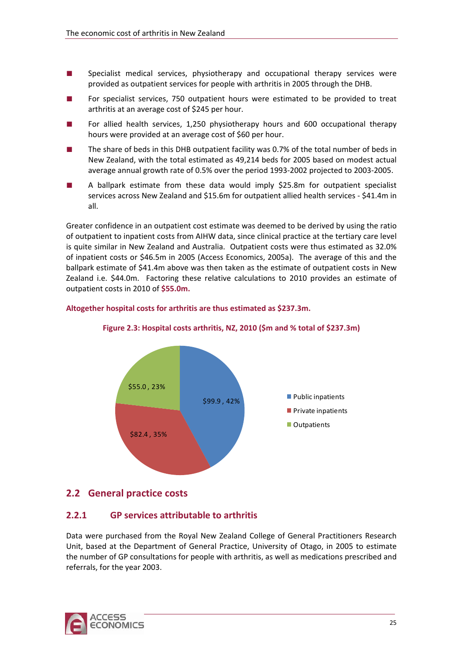- <span id="page-28-0"></span>■ Specialist medical services, physiotherapy and occupational therapy services were provided as outpatient services for people with arthritis in 2005 through the DHB.
- For specialist services, 750 outpatient hours were estimated to be provided to treat arthritis at an average cost of \$245 per hour.
- For allied health services, 1,250 physiotherapy hours and 600 occupational therapy hours were provided at an average cost of \$60 per hour.
- The share of beds in this DHB outpatient facility was 0.7% of the total number of beds in New Zealand, with the total estimated as 49,214 beds for 2005 based on modest actual average annual growth rate of 0.5% over the period 1993‐2002 projected to 2003‐2005.
- A ballpark estimate from these data would imply \$25.8m for outpatient specialist services across New Zealand and \$15.6m for outpatient allied health services ‐ \$41.4m in all.

Greater confidence in an outpatient cost estimate was deemed to be derived by using the ratio of outpatient to inpatient costs from AIHW data, since clinical practice at the tertiary care level is quite similar in New Zealand and Australia. Outpatient costs were thus estimated as 32.0% of inpatient costs or \$46.5m in 2005 (Access Economics, 2005a). The average of this and the ballpark estimate of \$41.4m above was then taken as the estimate of outpatient costs in New Zealand i.e. \$44.0m. Factoring these relative calculations to 2010 provides an estimate of outpatient costs in 2010 of **\$55.0m.**

#### **Altogether hospital costs for arthritis are thus estimated as \$237.3m.**



#### **Figure 2.3: Hospital costs arthritis, NZ, 2010 (\$m and % total of \$237.3m)**

# **2.2 General practice costs**

### **2.2.1 GP services attributable to arthritis**

Data were purchased from the Royal New Zealand College of General Practitioners Research Unit, based at the Department of General Practice, University of Otago, in 2005 to estimate the number of GP consultations for people with arthritis, as well as medications prescribed and referrals, for the year 2003.

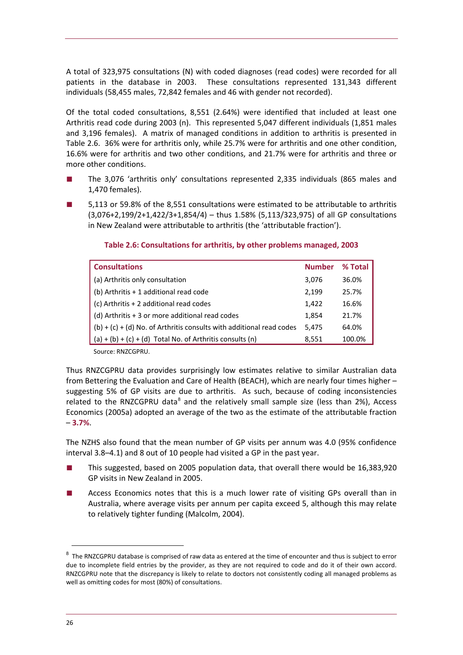<span id="page-29-0"></span>A total of 323,975 consultations (N) with coded diagnoses (read codes) were recorded for all patients in the database in 2003. These consultations represented 131,343 different individuals (58,455 males, 72,842 females and 46 with gender not recorded).

Of the total coded consultations, 8,551 (2.64%) were identified that included at least one Arthritis read code during 2003 (n). This represented 5,047 different individuals (1,851 males and 3,196 females). A matrix of managed conditions in addition to arthritis is presented in [Table](#page-29-0) 2.6. 36% were for arthritis only, while 25.7% were for arthritis and one other condition, 16.6% were for arthritis and two other conditions, and 21.7% were for arthritis and three or more other conditions.

- The 3,076 'arthritis only' consultations represented 2,335 individuals (865 males and 1,470 females).
- 5,113 or 59.8% of the 8,551 consultations were estimated to be attributable to arthritis (3,076+2,199/2+1,422/3+1,854/4) – thus 1.58% (5,113/323,975) of all GP consultations in New Zealand were attributable to arthritis (the 'attributable fraction').

| <b>Consultations</b>                                                   | <b>Number</b> | % Total |
|------------------------------------------------------------------------|---------------|---------|
| (a) Arthritis only consultation                                        | 3,076         | 36.0%   |
| (b) Arthritis + 1 additional read code                                 | 2,199         | 25.7%   |
| (c) Arthritis + 2 additional read codes                                | 1,422         | 16.6%   |
| (d) Arthritis + 3 or more additional read codes                        | 1,854         | 21.7%   |
| $(b) + (c) + (d)$ No. of Arthritis consults with additional read codes | 5,475         | 64.0%   |
| $(a) + (b) + (c) + (d)$ Total No. of Arthritis consults $(n)$          | 8,551         | 100.0%  |

#### **Table 2.6: Consultations for arthritis, by other problems managed, 2003**

Source: RNZCGPRU.

Thus RNZCGPRU data provides surprisingly low estimates relative to similar Australian data from Bettering the Evaluation and Care of Health (BEACH), which are nearly four times higher – suggesting 5% of GP visits are due to arthritis. As such, because of coding inconsistencies related to the RNZCGPRU data $^8$  $^8$  and the relatively small sample size (less than 2%), Access Economics (2005a) adopted an average of the two as the estimate of the attributable fraction – **3.7%**.

The NZHS also found that the mean number of GP visits per annum was 4.0 (95% confidence interval 3.8–4.1) and 8 out of 10 people had visited a GP in the past year.

- This suggested, based on 2005 population data, that overall there would be 16,383,920 GP visits in New Zealand in 2005.
- Access Economics notes that this is a much lower rate of visiting GPs overall than in Australia, where average visits per annum per capita exceed 5, although this may relate to relatively tighter funding (Malcolm, 2004).

<span id="page-29-1"></span> $^8$  The RNZCGPRU database is comprised of raw data as entered at the time of encounter and thus is subject to error due to incomplete field entries by the provider, as they are not required to code and do it of their own accord. RNZCGPRU note that the discrepancy is likely to relate to doctors not consistently coding all managed problems as well as omitting codes for most (80%) of consultations.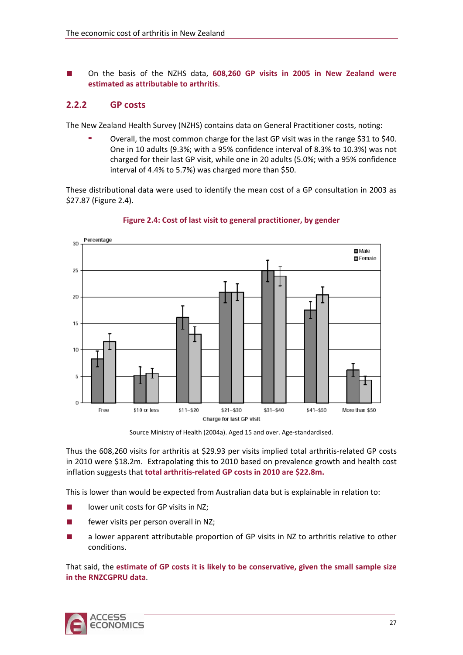<span id="page-30-0"></span>■ On the basis of the NZHS data, **608,260 GP visits in 2005 in New Zealand were estimated as attributable to arthritis**.

### **2.2.2 GP costs**

The New Zealand Health Survey (NZHS) contains data on General Practitioner costs, noting:

 Overall, the most common charge for the last GP visit was in the range \$31 to \$40. One in 10 adults (9.3%; with a 95% confidence interval of 8.3% to 10.3%) was not charged for their last GP visit, while one in 20 adults (5.0%; with a 95% confidence interval of 4.4% to 5.7%) was charged more than \$50.

These distributional data were used to identify the mean cost of a GP consultation in 2003 as \$27.87 ([Figure](#page-30-0) 2.4).



**Figure 2.4: Cost of last visit to general practitioner, by gender**

Thus the 608,260 visits for arthritis at \$29.93 per visits implied total arthritis‐related GP costs in 2010 were \$18.2m. Extrapolating this to 2010 based on prevalence growth and health cost inflation suggests that **total arthritis‐related GP costs in 2010 are \$22.8m.**

This is lower than would be expected from Australian data but is explainable in relation to:

- lower unit costs for GP visits in NZ;
- fewer visits per person overall in NZ;
- a lower apparent attributable proportion of GP visits in NZ to arthritis relative to other conditions.

That said, the **estimate of GP costs it is likely to be conservative, given the small sample size in the RNZCGPRU data**.



Source Ministry of Health (2004a). Aged 15 and over. Age-standardised.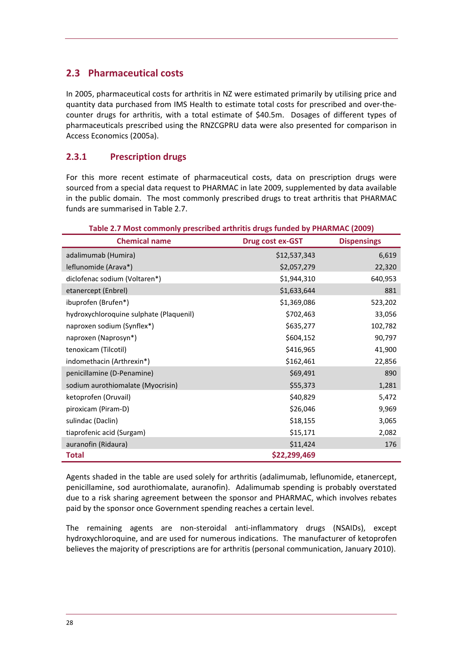# <span id="page-31-0"></span>**2.3 Pharmaceutical costs**

In 2005, pharmaceutical costs for arthritis in NZ were estimated primarily by utilising price and quantity data purchased from IMS Health to estimate total costs for prescribed and over‐the‐ counter drugs for arthritis, with a total estimate of \$40.5m. Dosages of different types of pharmaceuticals prescribed using the RNZCGPRU data were also presented for comparison in Access Economics (2005a).

# **2.3.1 Prescription drugs**

For this more recent estimate of pharmaceutical costs, data on prescription drugs were sourced from a special data request to PHARMAC in late 2009, supplemented by data available in the public domain. The most commonly prescribed drugs to treat arthritis that PHARMAC funds are summarised in [Table](#page-31-0) 2.7.

| Table 2.7 Most commonly prescribed arthritis drugs funded by PHARMAC (2009) |                  |                    |  |  |  |
|-----------------------------------------------------------------------------|------------------|--------------------|--|--|--|
| <b>Chemical name</b>                                                        | Drug cost ex-GST | <b>Dispensings</b> |  |  |  |
| adalimumab (Humira)                                                         | \$12,537,343     | 6,619              |  |  |  |
| leflunomide (Arava*)                                                        | \$2,057,279      | 22,320             |  |  |  |
| diclofenac sodium (Voltaren*)                                               | \$1,944,310      | 640,953            |  |  |  |
| etanercept (Enbrel)                                                         | \$1,633,644      | 881                |  |  |  |
| ibuprofen (Brufen*)                                                         | \$1,369,086      | 523,202            |  |  |  |
| hydroxychloroquine sulphate (Plaquenil)                                     | \$702,463        | 33,056             |  |  |  |
| naproxen sodium (Synflex*)                                                  | \$635,277        | 102,782            |  |  |  |
| naproxen (Naprosyn*)                                                        | \$604,152        | 90,797             |  |  |  |
| tenoxicam (Tilcotil)                                                        | \$416,965        | 41,900             |  |  |  |
| indomethacin (Arthrexin*)                                                   | \$162,461        | 22,856             |  |  |  |
| penicillamine (D-Penamine)                                                  | \$69,491         | 890                |  |  |  |
| sodium aurothiomalate (Myocrisin)                                           | \$55,373         | 1,281              |  |  |  |
| ketoprofen (Oruvail)                                                        | \$40,829         | 5,472              |  |  |  |
| piroxicam (Piram-D)                                                         | \$26,046         | 9,969              |  |  |  |
| sulindac (Daclin)                                                           | \$18,155         | 3,065              |  |  |  |
| tiaprofenic acid (Surgam)                                                   | \$15,171         | 2,082              |  |  |  |
| auranofin (Ridaura)                                                         | \$11,424         | 176                |  |  |  |
| <b>Total</b>                                                                | \$22,299,469     |                    |  |  |  |

Agents shaded in the table are used solely for arthritis (adalimumab, leflunomide, etanercept, penicillamine, sod aurothiomalate, auranofin). Adalimumab spending is probably overstated due to a risk sharing agreement between the sponsor and PHARMAC, which involves rebates paid by the sponsor once Government spending reaches a certain level.

The remaining agents are non-steroidal anti-inflammatory drugs (NSAIDs), except hydroxychloroquine, and are used for numerous indications. The manufacturer of ketoprofen believes the majority of prescriptions are for arthritis (personal communication, January 2010).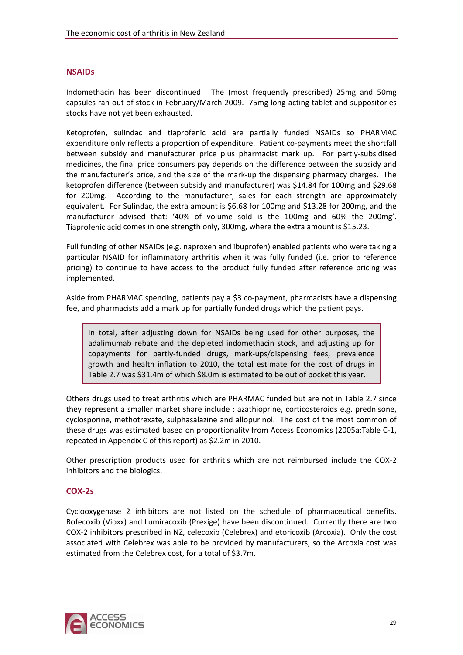#### **NSAIDs**

Indomethacin has been discontinued. The (most frequently prescribed) 25mg and 50mg capsules ran out of stock in February/March 2009. 75mg long‐acting tablet and suppositories stocks have not yet been exhausted.

Ketoprofen, sulindac and tiaprofenic acid are partially funded NSAIDs so PHARMAC expenditure only reflects a proportion of expenditure. Patient co-payments meet the shortfall between subsidy and manufacturer price plus pharmacist mark up. For partly-subsidised medicines, the final price consumers pay depends on the difference between the subsidy and the manufacturer's price, and the size of the mark‐up the dispensing pharmacy charges. The ketoprofen difference (between subsidy and manufacturer) was \$14.84 for 100mg and \$29.68 for 200mg. According to the manufacturer, sales for each strength are approximately equivalent. For Sulindac, the extra amount is \$6.68 for 100mg and \$13.28 for 200mg, and the manufacturer advised that: '40% of volume sold is the 100mg and 60% the 200mg'. Tiaprofenic acid comes in one strength only, 300mg, where the extra amount is \$15.23.

Full funding of other NSAIDs (e.g. naproxen and ibuprofen) enabled patients who were taking a particular NSAID for inflammatory arthritis when it was fully funded (i.e. prior to reference pricing) to continue to have access to the product fully funded after reference pricing was implemented.

Aside from PHARMAC spending, patients pay a \$3 co-payment, pharmacists have a dispensing fee, and pharmacists add a mark up for partially funded drugs which the patient pays.

In total, after adjusting down for NSAIDs being used for other purposes, the adalimumab rebate and the depleted indomethacin stock, and adjusting up for copayments for partly‐funded drugs, mark‐ups/dispensing fees, prevalence growth and health inflation to 2010, the total estimate for the cost of drugs in [Table](#page-31-0) 2.7 was \$31.4m of which \$8.0m is estimated to be out of pocket this year.

Others drugs used to treat arthritis which are PHARMAC funded but are not in [Table](#page-31-0) 2.7 since they represent a smaller market share include : azathioprine, corticosteroids e.g. prednisone, cyclosporine, methotrexate, sulphasalazine and allopurinol. The cost of the most common of these drugs was estimated based on proportionality from Access Economics (2005a:Table C‐1, repeated in Appendix C of this report) as \$2.2m in 2010.

Other prescription products used for arthritis which are not reimbursed include the COX‐2 inhibitors and the biologics.

#### **COX‐2s**

Cyclooxygenase 2 inhibitors are not listed on the schedule of pharmaceutical benefits. Rofecoxib (Vioxx) and Lumiracoxib (Prexige) have been discontinued. Currently there are two COX‐2 inhibitors prescribed in NZ, celecoxib (Celebrex) and etoricoxib (Arcoxia). Only the cost associated with Celebrex was able to be provided by manufacturers, so the Arcoxia cost was estimated from the Celebrex cost, for a total of \$3.7m.

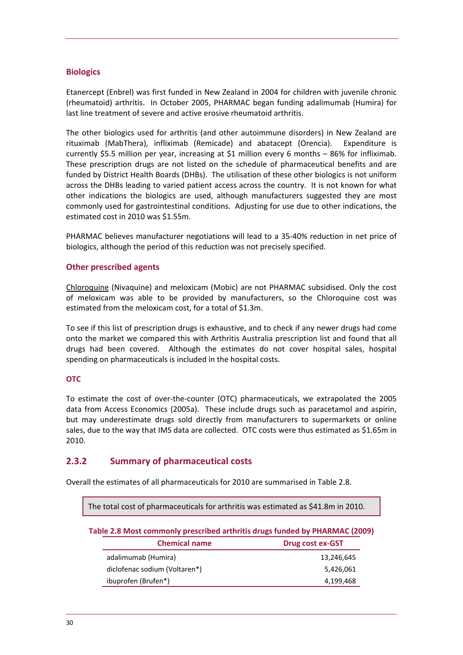#### <span id="page-33-0"></span>**Biologics**

Etanercept (Enbrel) was first funded in New Zealand in 2004 for children with juvenile chronic (rheumatoid) arthritis. In October 2005, PHARMAC began funding adalimumab (Humira) for last line treatment of severe and active erosive rheumatoid arthritis.

The other biologics used for arthritis (and other autoimmune disorders) in New Zealand are rituximab (MabThera), infliximab (Remicade) and abatacept (Orencia). Expenditure is currently \$5.5 million per year, increasing at \$1 million every 6 months – 86% for infliximab. These prescription drugs are not listed on the schedule of pharmaceutical benefits and are funded by District Health Boards (DHBs). The utilisation of these other biologics is not uniform across the DHBs leading to varied patient access across the country. It is not known for what other indications the biologics are used, although manufacturers suggested they are most commonly used for gastrointestinal conditions. Adjusting for use due to other indications, the estimated cost in 2010 was \$1.55m.

PHARMAC believes manufacturer negotiations will lead to a 35‐40% reduction in net price of biologics, although the period of this reduction was not precisely specified.

#### **Other prescribed agents**

Chloroquine (Nivaquine) and meloxicam (Mobic) are not PHARMAC subsidised. Only the cost of meloxicam was able to be provided by manufacturers, so the Chloroquine cost was estimated from the meloxicam cost, for a total of \$1.3m.

To see if this list of prescription drugs is exhaustive, and to check if any newer drugs had come onto the market we compared this with Arthritis Australia prescription list and found that all drugs had been covered. Although the estimates do not cover hospital sales, hospital spending on pharmaceuticals is included in the hospital costs.

#### **OTC**

To estimate the cost of over-the-counter (OTC) pharmaceuticals, we extrapolated the 2005 data from Access Economics (2005a). These include drugs such as paracetamol and aspirin, but may underestimate drugs sold directly from manufacturers to supermarkets or online sales, due to the way that IMS data are collected. OTC costs were thus estimated as \$1.65m in 2010.

### **2.3.2 Summary of pharmaceutical costs**

Overall the estimates of all pharmaceuticals for 2010 are summarised in [Table](#page-33-0) 2.8.

| The total cost of pharmaceuticals for arthritis was estimated as \$41.8m in 2010. |                               |                  |  |  |  |  |
|-----------------------------------------------------------------------------------|-------------------------------|------------------|--|--|--|--|
| Table 2.8 Most commonly prescribed arthritis drugs funded by PHARMAC (2009)       |                               |                  |  |  |  |  |
|                                                                                   | <b>Chemical name</b>          | Drug cost ex-GST |  |  |  |  |
|                                                                                   | adalimumab (Humira)           | 13,246,645       |  |  |  |  |
|                                                                                   | diclofenac sodium (Voltaren*) | 5,426,061        |  |  |  |  |
|                                                                                   | ibuprofen (Brufen*)           | 4,199,468        |  |  |  |  |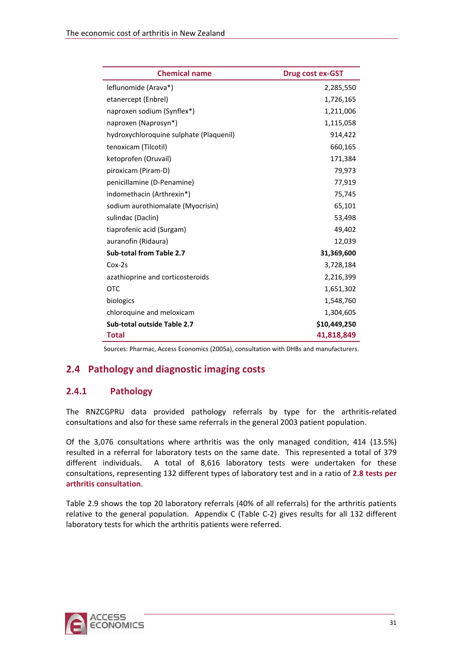<span id="page-34-0"></span>

| <b>Chemical name</b>                    | <b>Drug cost ex-GST</b> |
|-----------------------------------------|-------------------------|
| leflunomide (Arava*)                    | 2,285,550               |
| etanercept (Enbrel)                     | 1,726,165               |
| naproxen sodium (Synflex*)              | 1,211,006               |
| naproxen (Naprosyn*)                    | 1,115,058               |
| hydroxychloroquine sulphate (Plaquenil) | 914,422                 |
| tenoxicam (Tilcotil)                    | 660,165                 |
| ketoprofen (Oruvail)                    | 171,384                 |
| piroxicam (Piram-D)                     | 79,973                  |
| penicillamine (D-Penamine)              | 77,919                  |
| indomethacin (Arthrexin*)               | 75,745                  |
| sodium aurothiomalate (Myocrisin)       | 65,101                  |
| sulindac (Daclin)                       | 53,498                  |
| tiaprofenic acid (Surgam)               | 49,402                  |
| auranofin (Ridaura)                     | 12,039                  |
| Sub-total from Table 2.7                | 31,369,600              |
| $Cox-2s$                                | 3,728,184               |
| azathioprine and corticosteroids        | 2,216,399               |
| <b>OTC</b>                              | 1,651,302               |
| biologics                               | 1,548,760               |
| chloroquine and meloxicam               | 1,304,605               |
| Sub-total outside Table 2.7             | \$10,449,250            |
| <b>Total</b>                            | 41,818,849              |

Sources: Pharmac, Access Economics (2005a), consultation with DHBs and manufacturers.

# **2.4 Pathology and diagnostic imaging costs**

### **2.4.1 Pathology**

The RNZCGPRU data provided pathology referrals by type for the arthritis-related consultations and also for these same referrals in the general 2003 patient population.

Of the 3,076 consultations where arthritis was the only managed condition, 414 (13.5%) resulted in a referral for laboratory tests on the same date. This represented a total of 379 different individuals. A total of 8,616 laboratory tests were undertaken for these consultations, representing 132 different types of laboratory test and in a ratio of **2.8 tests per arthritis consultation**.

[Table](#page-35-0) 2.9 shows the top 20 laboratory referrals (40% of all referrals) for the arthritis patients relative to the general population. Appendix C (Table C-2) gives results for all 132 different laboratory tests for which the arthritis patients were referred.

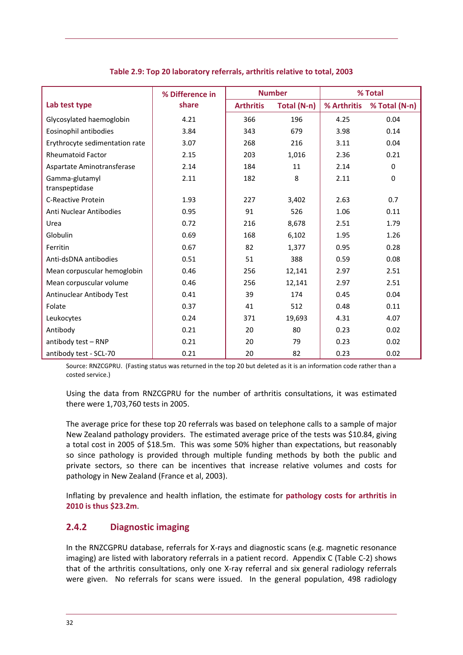<span id="page-35-0"></span>

|                                  | % Difference in | <b>Number</b>    |             |             | % Total       |
|----------------------------------|-----------------|------------------|-------------|-------------|---------------|
| Lab test type                    | share           | <b>Arthritis</b> | Total (N-n) | % Arthritis | % Total (N-n) |
| Glycosylated haemoglobin         | 4.21            | 366              | 196         | 4.25        | 0.04          |
| Eosinophil antibodies            | 3.84            | 343              | 679         | 3.98        | 0.14          |
| Erythrocyte sedimentation rate   | 3.07            | 268              | 216         | 3.11        | 0.04          |
| <b>Rheumatoid Factor</b>         | 2.15            | 203              | 1,016       | 2.36        | 0.21          |
| Aspartate Aminotransferase       | 2.14            | 184              | 11          | 2.14        | 0             |
| Gamma-glutamyl<br>transpeptidase | 2.11            | 182              | 8           | 2.11        | 0             |
| <b>C-Reactive Protein</b>        | 1.93            | 227              | 3,402       | 2.63        | 0.7           |
| Anti Nuclear Antibodies          | 0.95            | 91               | 526         | 1.06        | 0.11          |
| Urea                             | 0.72            | 216              | 8,678       | 2.51        | 1.79          |
| Globulin                         | 0.69            | 168              | 6,102       | 1.95        | 1.26          |
| Ferritin                         | 0.67            | 82               | 1,377       | 0.95        | 0.28          |
| Anti-dsDNA antibodies            | 0.51            | 51               | 388         | 0.59        | 0.08          |
| Mean corpuscular hemoglobin      | 0.46            | 256              | 12,141      | 2.97        | 2.51          |
| Mean corpuscular volume          | 0.46            | 256              | 12,141      | 2.97        | 2.51          |
| Antinuclear Antibody Test        | 0.41            | 39               | 174         | 0.45        | 0.04          |
| Folate                           | 0.37            | 41               | 512         | 0.48        | 0.11          |
| Leukocytes                       | 0.24            | 371              | 19,693      | 4.31        | 4.07          |
| Antibody                         | 0.21            | 20               | 80          | 0.23        | 0.02          |
| antibody test - RNP              | 0.21            | 20               | 79          | 0.23        | 0.02          |
| antibody test - SCL-70           | 0.21            | 20               | 82          | 0.23        | 0.02          |

**Table 2.9: Top 20 laboratory referrals, arthritis relative to total, 2003**

Source: RNZCGPRU. (Fasting status was returned in the top 20 but deleted as it is an information code rather than a costed service.)

Using the data from RNZCGPRU for the number of arthritis consultations, it was estimated there were 1,703,760 tests in 2005.

The average price for these top 20 referrals was based on telephone calls to a sample of major New Zealand pathology providers. The estimated average price of the tests was \$10.84, giving a total cost in 2005 of \$18.5m. This was some 50% higher than expectations, but reasonably so since pathology is provided through multiple funding methods by both the public and private sectors, so there can be incentives that increase relative volumes and costs for pathology in New Zealand (France et al, 2003).

Inflating by prevalence and health inflation, the estimate for **pathology costs for arthritis in 2010 is thus \$23.2m**.

### **2.4.2 Diagnostic imaging**

In the RNZCGPRU database, referrals for X-rays and diagnostic scans (e.g. magnetic resonance imaging) are listed with laboratory referrals in a patient record. Appendix C (Table C‐2) shows that of the arthritis consultations, only one X-ray referral and six general radiology referrals were given. No referrals for scans were issued. In the general population, 498 radiology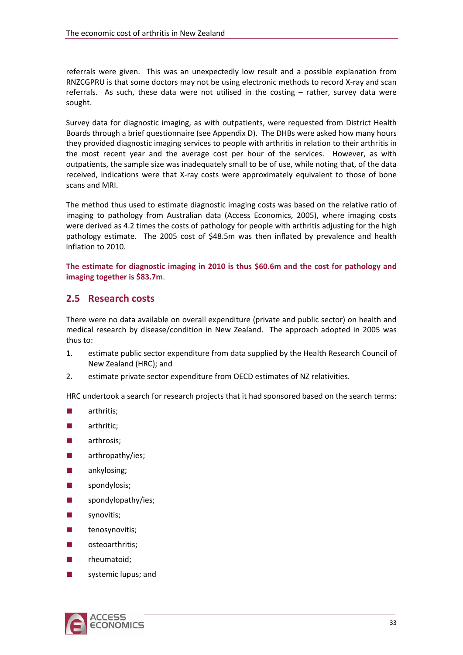referrals were given. This was an unexpectedly low result and a possible explanation from RNZCGPRU is that some doctors may not be using electronic methods to record X‐ray and scan referrals. As such, these data were not utilised in the costing  $-$  rather, survey data were sought.

Survey data for diagnostic imaging, as with outpatients, were requested from District Health Boards through a brief questionnaire (see Appendix D). The DHBs were asked how many hours they provided diagnostic imaging services to people with arthritis in relation to their arthritis in the most recent year and the average cost per hour of the services. However, as with outpatients, the sample size was inadequately small to be of use, while noting that, of the data received, indications were that X‐ray costs were approximately equivalent to those of bone scans and MRI.

The method thus used to estimate diagnostic imaging costs was based on the relative ratio of imaging to pathology from Australian data (Access Economics, 2005), where imaging costs were derived as 4.2 times the costs of pathology for people with arthritis adjusting for the high pathology estimate. The 2005 cost of \$48.5m was then inflated by prevalence and health inflation to 2010.

**The estimate for diagnostic imaging in 2010 is thus \$60.6m and the cost for pathology and imaging together is \$83.7m**.

### **2.5 Research costs**

There were no data available on overall expenditure (private and public sector) on health and medical research by disease/condition in New Zealand. The approach adopted in 2005 was thus to:

- 1. estimate public sector expenditure from data supplied by the Health Research Council of New Zealand (HRC); and
- 2. estimate private sector expenditure from OECD estimates of NZ relativities.

HRC undertook a search for research projects that it had sponsored based on the search terms:

- arthritis:
- arthritic;
- arthrosis:
- arthropathy/ies;
- ankylosing;
- spondylosis;
- spondylopathy/ies;
- synovitis;
- tenosynovitis;
- osteoarthritis;
- rheumatoid;
- systemic lupus; and

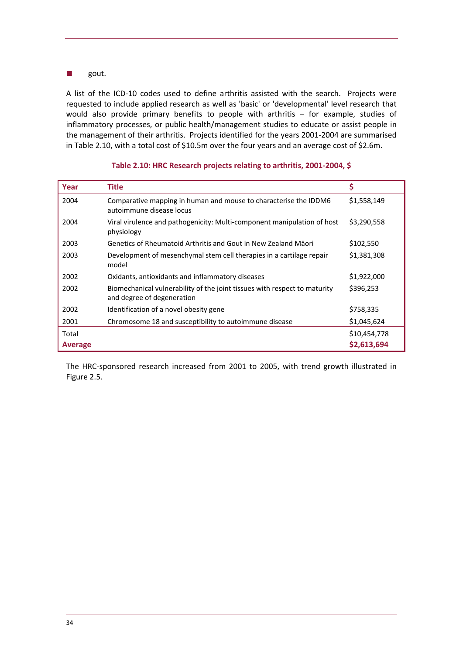#### <span id="page-37-0"></span>■ gout.

A list of the ICD-10 codes used to define arthritis assisted with the search. Projects were requested to include applied research as well as 'basic' or 'developmental' level research that would also provide primary benefits to people with arthritis – for example, studies of inflammatory processes, or public health/management studies to educate or assist people in the management of their arthritis. Projects identified for the years 2001‐2004 are summarised in [Table](#page-37-0) 2.10, with a total cost of \$10.5m over the four years and an average cost of \$2.6m.

| Year           | <b>Title</b>                                                                                            | \$           |
|----------------|---------------------------------------------------------------------------------------------------------|--------------|
| 2004           | Comparative mapping in human and mouse to characterise the IDDM6<br>autoimmune disease locus            | \$1,558,149  |
| 2004           | Viral virulence and pathogenicity: Multi-component manipulation of host<br>physiology                   | \$3,290,558  |
| 2003           | Genetics of Rheumatoid Arthritis and Gout in New Zealand Mäori                                          | \$102,550    |
| 2003           | Development of mesenchymal stem cell therapies in a cartilage repair<br>model                           | \$1,381,308  |
| 2002           | Oxidants, antioxidants and inflammatory diseases                                                        | \$1,922,000  |
| 2002           | Biomechanical vulnerability of the joint tissues with respect to maturity<br>and degree of degeneration | \$396,253    |
| 2002           | Identification of a novel obesity gene                                                                  | \$758,335    |
| 2001           | Chromosome 18 and susceptibility to autoimmune disease                                                  | \$1,045,624  |
| Total          |                                                                                                         | \$10,454,778 |
| <b>Average</b> |                                                                                                         | \$2,613,694  |

#### **Table 2.10: HRC Research projects relating to arthritis, 2001‐2004, \$**

The HRC‐sponsored research increased from 2001 to 2005, with trend growth illustrated in [Figure](#page-38-0) 2.5.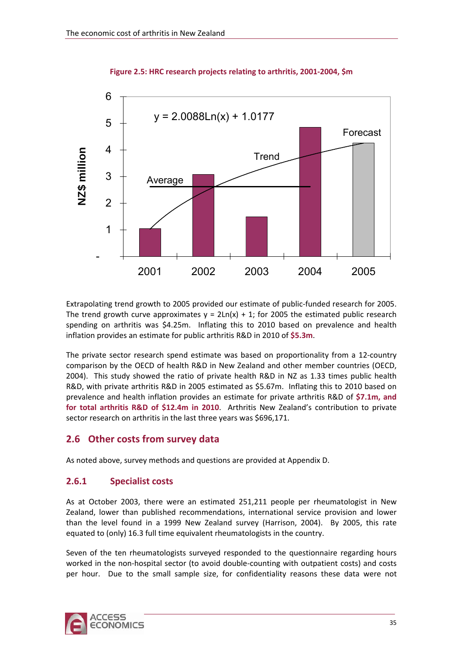<span id="page-38-0"></span>

#### **Figure 2.5: HRC research projects relating to arthritis, 2001‐2004, \$m**

Extrapolating trend growth to 2005 provided our estimate of public-funded research for 2005. The trend growth curve approximates  $y = 2\text{Ln}(x) + 1$ ; for 2005 the estimated public research spending on arthritis was \$4.25m. Inflating this to 2010 based on prevalence and health inflation provides an estimate for public arthritis R&D in 2010 of **\$5.3m**.

The private sector research spend estimate was based on proportionality from a 12‐country comparison by the OECD of health R&D in New Zealand and other member countries (OECD, 2004). This study showed the ratio of private health R&D in NZ as 1.33 times public health R&D, with private arthritis R&D in 2005 estimated as \$5.67m. Inflating this to 2010 based on prevalence and health inflation provides an estimate for private arthritis R&D of **\$7.1m, and for total arthritis R&D of \$12.4m in 2010**. Arthritis New Zealand's contribution to private sector research on arthritis in the last three years was \$696,171.

### **2.6 Other costs from survey data**

As noted above, survey methods and questions are provided at Appendix D.

### **2.6.1 Specialist costs**

As at October 2003, there were an estimated 251,211 people per rheumatologist in New Zealand, lower than published recommendations, international service provision and lower than the level found in a 1999 New Zealand survey (Harrison, 2004). By 2005, this rate equated to (only) 16.3 full time equivalent rheumatologists in the country.

Seven of the ten rheumatologists surveyed responded to the questionnaire regarding hours worked in the non-hospital sector (to avoid double-counting with outpatient costs) and costs per hour. Due to the small sample size, for confidentiality reasons these data were not

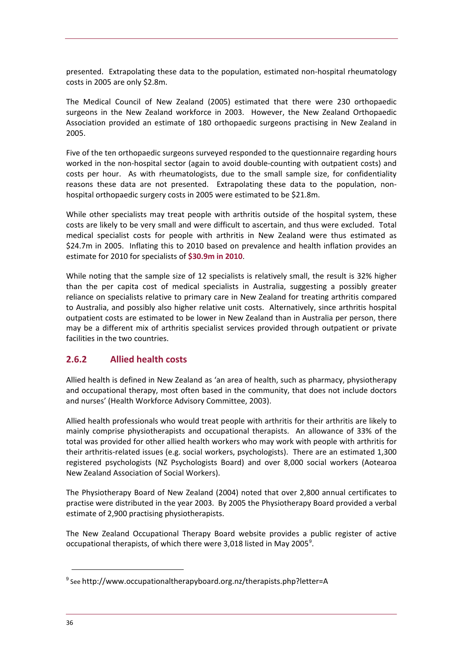presented. Extrapolating these data to the population, estimated non‐hospital rheumatology costs in 2005 are only \$2.8m.

The Medical Council of New Zealand (2005) estimated that there were 230 orthopaedic surgeons in the New Zealand workforce in 2003. However, the New Zealand Orthopaedic Association provided an estimate of 180 orthopaedic surgeons practising in New Zealand in 2005.

Five of the ten orthopaedic surgeons surveyed responded to the questionnaire regarding hours worked in the non-hospital sector (again to avoid double-counting with outpatient costs) and costs per hour. As with rheumatologists, due to the small sample size, for confidentiality reasons these data are not presented. Extrapolating these data to the population, nonhospital orthopaedic surgery costs in 2005 were estimated to be \$21.8m.

While other specialists may treat people with arthritis outside of the hospital system, these costs are likely to be very small and were difficult to ascertain, and thus were excluded. Total medical specialist costs for people with arthritis in New Zealand were thus estimated as \$24.7m in 2005. Inflating this to 2010 based on prevalence and health inflation provides an estimate for 2010 for specialists of **\$30.9m in 2010**.

While noting that the sample size of 12 specialists is relatively small, the result is 32% higher than the per capita cost of medical specialists in Australia, suggesting a possibly greater reliance on specialists relative to primary care in New Zealand for treating arthritis compared to Australia, and possibly also higher relative unit costs. Alternatively, since arthritis hospital outpatient costs are estimated to be lower in New Zealand than in Australia per person, there may be a different mix of arthritis specialist services provided through outpatient or private facilities in the two countries.

### **2.6.2 Allied health costs**

Allied health is defined in New Zealand as 'an area of health, such as pharmacy, physiotherapy and occupational therapy, most often based in the community, that does not include doctors and nurses' (Health Workforce Advisory Committee, 2003).

Allied health professionals who would treat people with arthritis for their arthritis are likely to mainly comprise physiotherapists and occupational therapists. An allowance of 33% of the total was provided for other allied health workers who may work with people with arthritis for their arthritis-related issues (e.g. social workers, psychologists). There are an estimated 1,300 registered psychologists (NZ Psychologists Board) and over 8,000 social workers (Aotearoa New Zealand Association of Social Workers).

The Physiotherapy Board of New Zealand (2004) noted that over 2,800 annual certificates to practise were distributed in the year 2003. By 2005 the Physiotherapy Board provided a verbal estimate of 2,900 practising physiotherapists.

The New Zealand Occupational Therapy Board website provides a public register of active occupational therapists, of which there were 3,018 listed in May 2005<sup>[9](#page-39-0)</sup>.

<span id="page-39-0"></span> $9$  See http://www.occupationaltherapyboard.org.nz/therapists.php?letter=A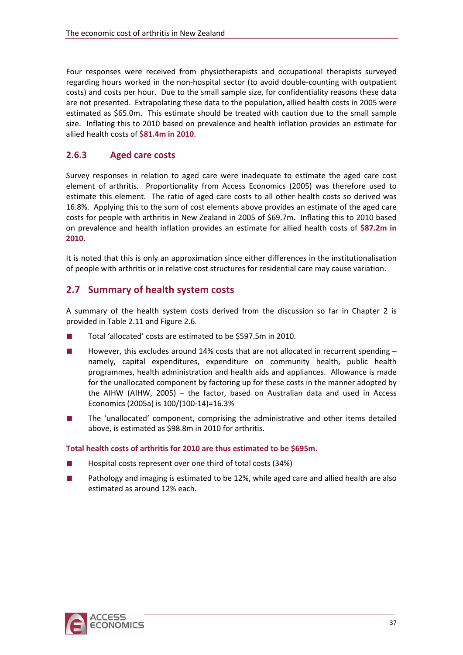<span id="page-40-0"></span>Four responses were received from physiotherapists and occupational therapists surveyed regarding hours worked in the non‐hospital sector (to avoid double‐counting with outpatient costs) and costs per hour. Due to the small sample size, for confidentiality reasons these data are not presented. Extrapolating these data to the population**,** allied health costs in 2005 were estimated as \$65.0m.This estimate should be treated with caution due to the small sample size. Inflating this to 2010 based on prevalence and health inflation provides an estimate for allied health costs of **\$81.4m in 2010**.

### **2.6.3 Aged care costs**

Survey responses in relation to aged care were inadequate to estimate the aged care cost element of arthritis. Proportionality from Access Economics (2005) was therefore used to estimate this element. The ratio of aged care costs to all other health costs so derived was 16.8%. Applying this to the sum of cost elements above provides an estimate of the aged care costs for people with arthritis in New Zealand in 2005 of \$69.7m**.** Inflating this to 2010 based on prevalence and health inflation provides an estimate for allied health costs of **\$87.2m in 2010**.

It is noted that this is only an approximation since either differences in the institutionalisation of people with arthritis or in relative cost structures for residential care may cause variation.

### **2.7 Summary of health system costs**

A summary of the health system costs derived from the discussion so far in Chapter 2 is provided in [Table](#page-41-0) 2.11 and [Figure](#page-41-0) 2.6.

- Total 'allocated' costs are estimated to be \$597.5m in 2010.
- However, this excludes around 14% costs that are not allocated in recurrent spending  $$ namely, capital expenditures, expenditure on community health, public health programmes, health administration and health aids and appliances. Allowance is made for the unallocated component by factoring up for these costs in the manner adopted by the AIHW (AIHW, 2005) – the factor, based on Australian data and used in Access Economics (2005a) is 100/(100‐14)=16.3%
- The 'unallocated' component, comprising the administrative and other items detailed above, is estimated as \$98.8m in 2010 for arthritis.

#### **Total health costs of arthritis for 2010 are thus estimated to be \$695m.**

- Hospital costs represent over one third of total costs (34%)
- Pathology and imaging is estimated to be 12%, while aged care and allied health are also estimated as around 12% each.

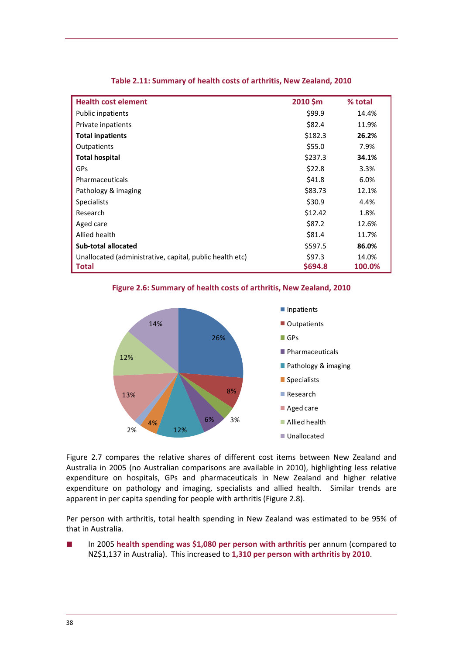<span id="page-41-0"></span>

| <b>Health cost element</b>                               | 2010 \$m | % total |
|----------------------------------------------------------|----------|---------|
| Public inpatients                                        | \$99.9   | 14.4%   |
| Private inpatients                                       | \$82.4   | 11.9%   |
| <b>Total inpatients</b>                                  | \$182.3  | 26.2%   |
| Outpatients                                              | \$55.0   | 7.9%    |
| <b>Total hospital</b>                                    | \$237.3  | 34.1%   |
| <b>GPs</b>                                               | \$22.8   | 3.3%    |
| Pharmaceuticals                                          | \$41.8   | 6.0%    |
| Pathology & imaging                                      | \$83.73  | 12.1%   |
| <b>Specialists</b>                                       | \$30.9   | 4.4%    |
| Research                                                 | \$12.42  | 1.8%    |
| Aged care                                                | \$87.2   | 12.6%   |
| Allied health                                            | \$81.4   | 11.7%   |
| <b>Sub-total allocated</b>                               | \$597.5  | 86.0%   |
| Unallocated (administrative, capital, public health etc) | \$97.3   | 14.0%   |
| <b>Total</b>                                             | \$694.8  | 100.0%  |

#### **Table 2.11: Summary of health costs of arthritis, New Zealand, 2010**

**Figure 2.6: Summary of health costs of arthritis, New Zealand, 2010**



[Figure](#page-42-0) 2.7 compares the relative shares of different cost items between New Zealand and Australia in 2005 (no Australian comparisons are available in 2010), highlighting less relative expenditure on hospitals, GPs and pharmaceuticals in New Zealand and higher relative expenditure on pathology and imaging, specialists and allied health. Similar trends are apparent in per capita spending for people with arthritis ([Figure](#page-42-0) 2.8).

Per person with arthritis, total health spending in New Zealand was estimated to be 95% of that in Australia.

■ In 2005 **health spending was \$1,080 per person with arthritis** per annum (compared to NZ\$1,137 in Australia). This increased to **1,310 per person with arthritis by 2010**.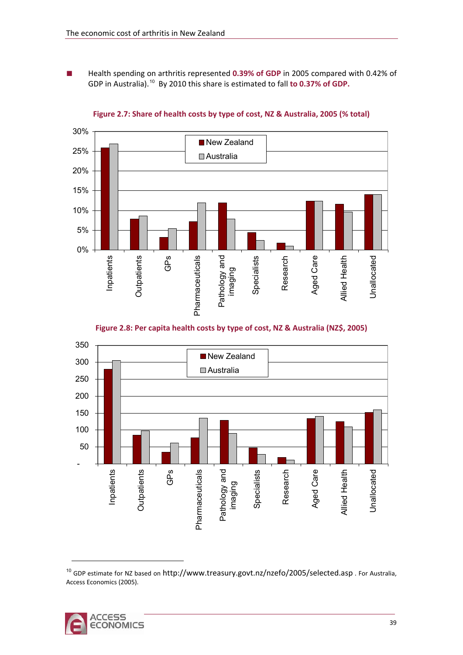<span id="page-42-0"></span>■ Health spending on arthritis represented **0.39% of GDP** in 2005 compared with 0.42% of GDP in Australia).[10](#page-42-1) By 2010 this share is estimated to fall **to 0.37% of GDP.**



#### **Figure 2.7: Share of health costs by type of cost, NZ & Australia, 2005 (% total)**





<span id="page-42-1"></span> $10$  GDP estimate for NZ based on http://www.treasury.govt.nz/nzefo/2005/selected.asp. For Australia, Access Economics (2005).

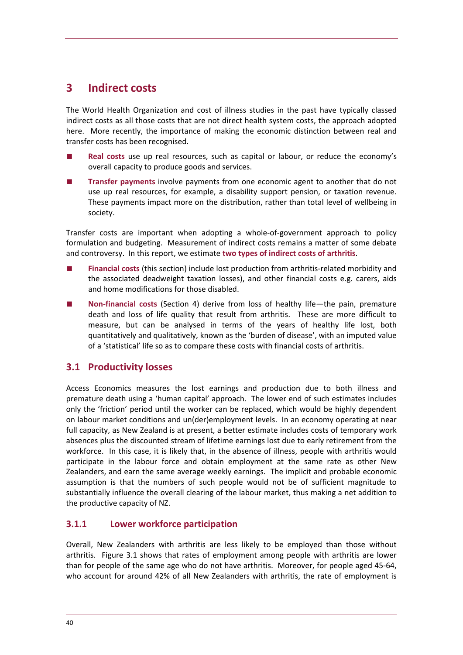## **3 Indirect costs**

The World Health Organization and cost of illness studies in the past have typically classed indirect costs as all those costs that are not direct health system costs, the approach adopted here. More recently, the importance of making the economic distinction between real and transfer costs has been recognised.

- **Real costs** use up real resources, such as capital or labour, or reduce the economy's overall capacity to produce goods and services.
- **Transfer payments** involve payments from one economic agent to another that do not use up real resources, for example, a disability support pension, or taxation revenue. These payments impact more on the distribution, rather than total level of wellbeing in society.

Transfer costs are important when adopting a whole‐of‐government approach to policy formulation and budgeting. Measurement of indirect costs remains a matter of some debate and controversy. In this report, we estimate **two types of indirect costs of arthritis**.

- **Financial costs** (this section) include lost production from arthritis-related morbidity and the associated deadweight taxation losses), and other financial costs e.g. carers, aids and home modifications for those disabled.
- **Non-financial costs** (Section [4](#page-53-0)) derive from loss of healthy life—the pain, premature death and loss of life quality that result from arthritis. These are more difficult to measure, but can be analysed in terms of the years of healthy life lost, both quantitatively and qualitatively, known as the 'burden of disease', with an imputed value of a 'statistical' life so as to compare these costs with financial costs of arthritis.

### **3.1 Productivity losses**

Access Economics measures the lost earnings and production due to both illness and premature death using a 'human capital' approach. The lower end of such estimates includes only the 'friction' period until the worker can be replaced, which would be highly dependent on labour market conditions and un(der)employment levels. In an economy operating at near full capacity, as New Zealand is at present, a better estimate includes costs of temporary work absences plus the discounted stream of lifetime earnings lost due to early retirement from the workforce. In this case, it is likely that, in the absence of illness, people with arthritis would participate in the labour force and obtain employment at the same rate as other New Zealanders, and earn the same average weekly earnings. The implicit and probable economic assumption is that the numbers of such people would not be of sufficient magnitude to substantially influence the overall clearing of the labour market, thus making a net addition to the productive capacity of NZ.

### **3.1.1 Lower workforce participation**

Overall, New Zealanders with arthritis are less likely to be employed than those without arthritis. [Figure](#page-44-0) 3.1 shows that rates of employment among people with arthritis are lower than for people of the same age who do not have arthritis. Moreover, for people aged 45‐64, who account for around 42% of all New Zealanders with arthritis, the rate of employment is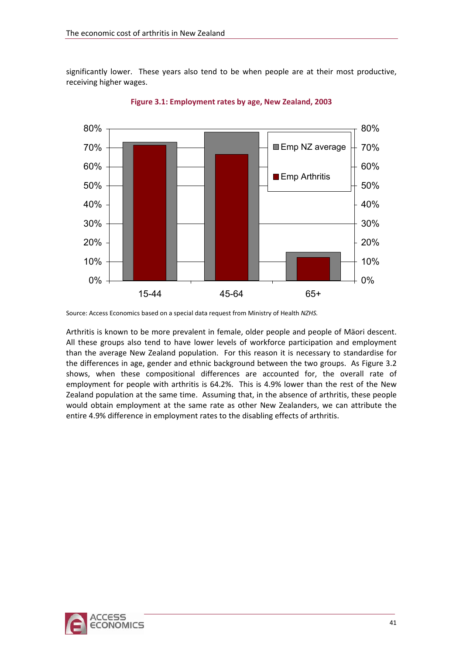<span id="page-44-0"></span>significantly lower. These years also tend to be when people are at their most productive, receiving higher wages.



**Figure 3.1: Employment rates by age, New Zealand, 2003**

Arthritis is known to be more prevalent in female, older people and people of Mäori descent. All these groups also tend to have lower levels of workforce participation and employment than the average New Zealand population. For this reason it is necessary to standardise for the differences in age, gender and ethnic background between the two groups. As [Figure](#page-45-0) 3.2 shows, when these compositional differences are accounted for, the overall rate of employment for people with arthritis is 64.2%. This is 4.9% lower than the rest of the New Zealand population at the same time. Assuming that, in the absence of arthritis, these people would obtain employment at the same rate as other New Zealanders, we can attribute the entire 4.9% difference in employment rates to the disabling effects of arthritis.



Source: Access Economics based on a special data request from Ministry of Health *NZHS.*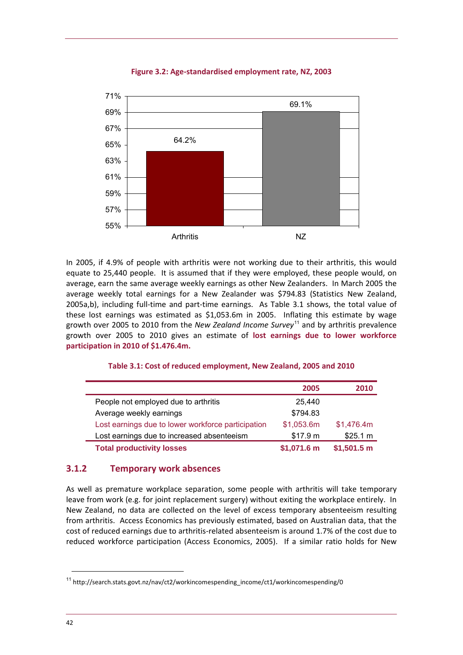<span id="page-45-0"></span>

#### **Figure 3.2: Age‐standardised employment rate, NZ, 2003**

In 2005, if 4.9% of people with arthritis were not working due to their arthritis, this would equate to 25,440 people. It is assumed that if they were employed, these people would, on average, earn the same average weekly earnings as other New Zealanders. In March 2005 the average weekly total earnings for a New Zealander was \$794.83 (Statistics New Zealand, 2005a,b), including full-time and part-time earnings. As [Table](#page-45-0) 3.1 shows, the total value of these lost earnings was estimated as \$1,053.6m in 2005. Inflating this estimate by wage growth over 2005 to 2010 from the *New Zealand Income Survey*[11](#page-45-1) and by arthritis prevalence growth over 2005 to 2010 gives an estimate of **lost earnings due to lower workforce participation in 2010 of \$1.476.4m.**

|                                                    | 2005                 | 2010         |
|----------------------------------------------------|----------------------|--------------|
| People not employed due to arthritis               | 25,440               |              |
| Average weekly earnings                            | \$794.83             |              |
| Lost earnings due to lower workforce participation | \$1,053.6m           | \$1,476.4m   |
| Lost earnings due to increased absenteeism         | \$17.9 m             | \$25.1 m     |
| <b>Total productivity losses</b>                   | $$1,071.6 \text{ m}$ | $$1,501.5$ m |

#### **Table 3.1: Cost of reduced employment, New Zealand, 2005 and 2010**

#### **3.1.2 Temporary work absences**

As well as premature workplace separation, some people with arthritis will take temporary leave from work (e.g. for joint replacement surgery) without exiting the workplace entirely. In New Zealand, no data are collected on the level of excess temporary absenteeism resulting from arthritis. Access Economics has previously estimated, based on Australian data, that the cost of reduced earnings due to arthritis-related absenteeism is around 1.7% of the cost due to reduced workforce participation (Access Economics, 2005). If a similar ratio holds for New

<span id="page-45-1"></span><sup>11</sup> http://search.stats.govt.nz/nav/ct2/workincomespending\_income/ct1/workincomespending/0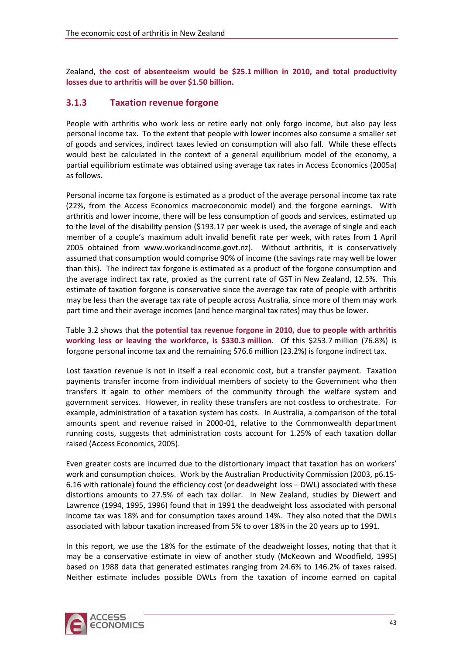<span id="page-46-0"></span>Zealand, **the cost of absenteeism would be \$25.1 million in 2010, and total productivity losses due to arthritis will be over \$1.50 billion.**

### **3.1.3 Taxation revenue forgone**

People with arthritis who work less or retire early not only forgo income, but also pay less personal income tax. To the extent that people with lower incomes also consume a smaller set of goods and services, indirect taxes levied on consumption will also fall. While these effects would best be calculated in the context of a general equilibrium model of the economy, a partial equilibrium estimate was obtained using average tax rates in Access Economics (2005a) as follows.

Personal income tax forgone is estimated as a product of the average personal income tax rate (22%, from the Access Economics macroeconomic model) and the forgone earnings. With arthritis and lower income, there will be less consumption of goods and services, estimated up to the level of the disability pension (\$193.17 per week is used, the average of single and each member of a couple's maximum adult invalid benefit rate per week, with rates from 1 April 2005 obtained from [www.workandincome.govt.nz](http://www.workandincome.govt.nz/)). Without arthritis, it is conservatively assumed that consumption would comprise 90% of income (the savings rate may well be lower than this). The indirect tax forgone is estimated as a product of the forgone consumption and the average indirect tax rate, proxied as the current rate of GST in New Zealand, 12.5%. This estimate of taxation forgone is conservative since the average tax rate of people with arthritis may be less than the average tax rate of people across Australia, since more of them may work part time and their average incomes (and hence marginal tax rates) may thus be lower.

[Table](#page-47-0) 3.2 shows that **the potential tax revenue forgone in 2010, due to people with arthritis working less or leaving the workforce, is \$330.3 million**. Of this \$253.7 million (76.8%) is forgone personal income tax and the remaining \$76.6 million (23.2%) is forgone indirect tax.

Lost taxation revenue is not in itself a real economic cost, but a transfer payment. Taxation payments transfer income from individual members of society to the Government who then transfers it again to other members of the community through the welfare system and government services. However, in reality these transfers are not costless to orchestrate. For example, administration of a taxation system has costs. In Australia, a comparison of the total amounts spent and revenue raised in 2000‐01, relative to the Commonwealth department running costs, suggests that administration costs account for 1.25% of each taxation dollar raised (Access Economics, 2005).

Even greater costs are incurred due to the distortionary impact that taxation has on workers' work and consumption choices. Work by the Australian Productivity Commission (2003, p6.15-6.16 with rationale) found the efficiency cost (or deadweight loss – DWL) associated with these distortions amounts to 27.5% of each tax dollar. In New Zealand, studies by Diewert and Lawrence (1994, 1995, 1996) found that in 1991 the deadweight loss associated with personal income tax was 18% and for consumption taxes around 14%. They also noted that the DWLs associated with labour taxation increased from 5% to over 18% in the 20 years up to 1991.

In this report, we use the 18% for the estimate of the deadweight losses, noting that that it may be a conservative estimate in view of another study (McKeown and Woodfield, 1995) based on 1988 data that generated estimates ranging from 24.6% to 146.2% of taxes raised. Neither estimate includes possible DWLs from the taxation of income earned on capital

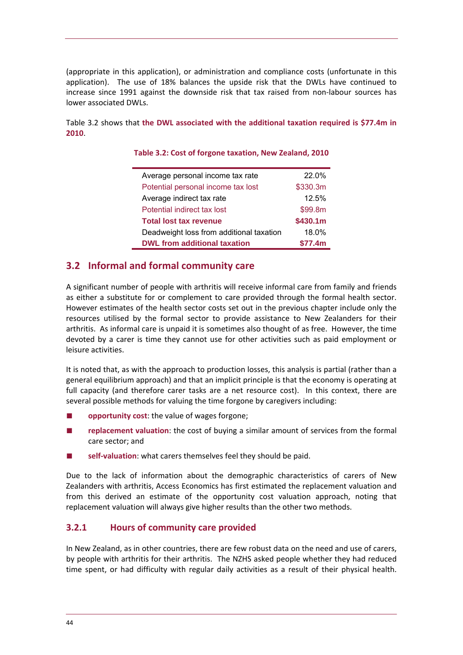<span id="page-47-0"></span>(appropriate in this application), or administration and compliance costs (unfortunate in this application). The use of 18% balances the upside risk that the DWLs have continued to increase since 1991 against the downside risk that tax raised from non‐labour sources has lower associated DWLs.

[Table](#page-47-0) 3.2 shows that **the DWL associated with the additional taxation required is \$77.4m in 2010**.

| Average personal income tax rate         | 22.0%    |
|------------------------------------------|----------|
| Potential personal income tax lost       | \$330.3m |
| Average indirect tax rate                | 12.5%    |
| Potential indirect tax lost              | \$99.8m  |
| <b>Total lost tax revenue</b>            | \$430.1m |
| Deadweight loss from additional taxation | 18.0%    |
| <b>DWL from additional taxation</b>      | \$77.4m  |

#### **Table 3.2: Cost of forgone taxation, New Zealand, 2010**

### **3.2 Informal and formal community care**

A significant number of people with arthritis will receive informal care from family and friends as either a substitute for or complement to care provided through the formal health sector. However estimates of the health sector costs set out in the previous chapter include only the resources utilised by the formal sector to provide assistance to New Zealanders for their arthritis. As informal care is unpaid it is sometimes also thought of as free. However, the time devoted by a carer is time they cannot use for other activities such as paid employment or leisure activities.

It is noted that, as with the approach to production losses, this analysis is partial (rather than a general equilibrium approach) and that an implicit principle is that the economy is operating at full capacity (and therefore carer tasks are a net resource cost). In this context, there are several possible methods for valuing the time forgone by caregivers including:

- **opportunity cost:** the value of wages forgone;
- replacement valuation: the cost of buying a similar amount of services from the formal care sector; and
- self-valuation: what carers themselves feel they should be paid.

Due to the lack of information about the demographic characteristics of carers of New Zealanders with arthritis, Access Economics has first estimated the replacement valuation and from this derived an estimate of the opportunity cost valuation approach, noting that replacement valuation will always give higher results than the other two methods.

### **3.2.1 Hours of community care provided**

In New Zealand, as in other countries, there are few robust data on the need and use of carers, by people with arthritis for their arthritis. The NZHS asked people whether they had reduced time spent, or had difficulty with regular daily activities as a result of their physical health.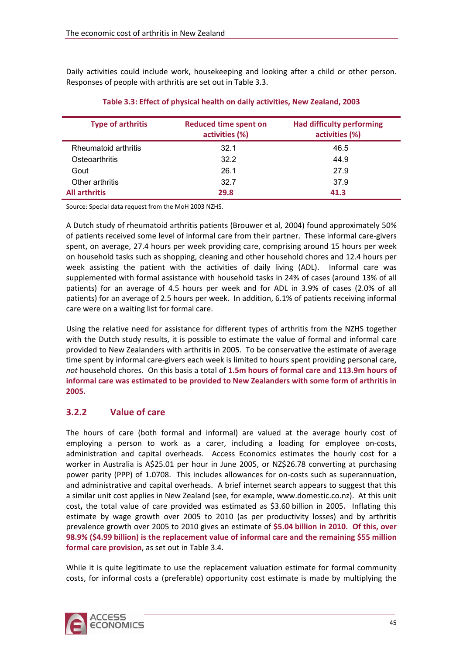<span id="page-48-0"></span>Daily activities could include work, housekeeping and looking after a child or other person. Responses of people with arthritis are set out in [Table](#page-48-0) 3.3.

| <b>Type of arthritis</b> | <b>Reduced time spent on</b><br>activities (%) | <b>Had difficulty performing</b><br>activities (%) |
|--------------------------|------------------------------------------------|----------------------------------------------------|
| Rheumatoid arthritis     | 32.1                                           | 46.5                                               |
| Osteoarthritis           | 32.2                                           | 44.9                                               |
| Gout                     | 26.1                                           | 27.9                                               |
| Other arthritis          | 32.7                                           | 37.9                                               |
| <b>All arthritis</b>     | 29.8                                           | 41.3                                               |

**Table 3.3: Effect of physical health on daily activities, New Zealand, 2003**

Source: Special data request from the MoH 2003 NZHS.

A Dutch study of rheumatoid arthritis patients (Brouwer et al, 2004) found approximately 50% of patients received some level of informal care from their partner. These informal care‐givers spent, on average, 27.4 hours per week providing care, comprising around 15 hours per week on household tasks such as shopping, cleaning and other household chores and 12.4 hours per week assisting the patient with the activities of daily living (ADL). Informal care was supplemented with formal assistance with household tasks in 24% of cases (around 13% of all patients) for an average of 4.5 hours per week and for ADL in 3.9% of cases (2.0% of all patients) for an average of 2.5 hours per week. In addition, 6.1% of patients receiving informal care were on a waiting list for formal care.

Using the relative need for assistance for different types of arthritis from the NZHS together with the Dutch study results, it is possible to estimate the value of formal and informal care provided to New Zealanders with arthritis in 2005. To be conservative the estimate of average time spent by informal care‐givers each week is limited to hours spent providing personal care, *not* household chores. On this basis a total of **1.5m hours of formal care and 113.9m hours of informal care was estimated to be provided to New Zealanders with some form of arthritis in 2005.**

### **3.2.2 Value of care**

The hours of care (both formal and informal) are valued at the average hourly cost of employing a person to work as a carer, including a loading for employee on-costs, administration and capital overheads. Access Economics estimates the hourly cost for a worker in Australia is A\$25.01 per hour in June 2005, or NZ\$26.78 converting at purchasing power parity (PPP) of 1.0708. This includes allowances for on‐costs such as superannuation, and administrative and capital overheads. A brief internet search appears to suggest that this a similar unit cost applies in New Zealand (see, for example, [www.domestic.co.nz\)](http://www.domestic.co.nz/). At this unit cost**,** the total value of care provided was estimated as \$3.60 billion in 2005**.**  Inflating this estimate by wage growth over 2005 to 2010 (as per productivity losses) and by arthritis prevalence growth over 2005 to 2010 gives an estimate of **\$5.04 billion in 2010. Of this, over 98.9% (\$4.99 billion) is the replacement value of informal care and the remaining \$55 million formal care provision**, as set out in [Table](#page-49-0) 3.4.

While it is quite legitimate to use the replacement valuation estimate for formal community costs, for informal costs a (preferable) opportunity cost estimate is made by multiplying the

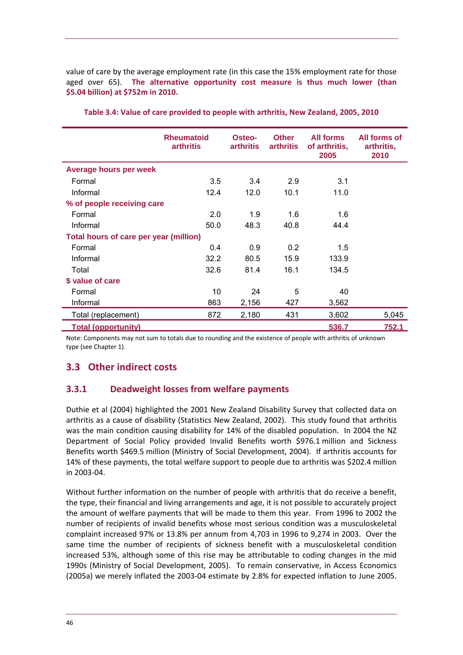<span id="page-49-0"></span>value of care by the average employment rate (in this case the 15% employment rate for those aged over 65). **The alternative opportunity cost measure is thus much lower (than \$5.04 billion) at \$752m in 2010.**

|                                        | <b>Rheumatoid</b><br><b>arthritis</b> | Osteo-<br><b>arthritis</b> | <b>Other</b><br><b>arthritis</b> | <b>All forms</b><br>of arthritis,<br>2005 | All forms of<br>arthritis,<br>2010 |
|----------------------------------------|---------------------------------------|----------------------------|----------------------------------|-------------------------------------------|------------------------------------|
| <b>Average hours per week</b>          |                                       |                            |                                  |                                           |                                    |
| Formal                                 | 3.5                                   | 3.4                        | 2.9                              | 3.1                                       |                                    |
| Informal                               | 12.4                                  | 12.0                       | 10.1                             | 11.0                                      |                                    |
| % of people receiving care             |                                       |                            |                                  |                                           |                                    |
| Formal                                 | 2.0                                   | 1.9                        | 1.6                              | 1.6                                       |                                    |
| Informal                               | 50.0                                  | 48.3                       | 40.8                             | 44.4                                      |                                    |
| Total hours of care per year (million) |                                       |                            |                                  |                                           |                                    |
| Formal                                 | 0.4                                   | 0.9                        | 0.2                              | 1.5                                       |                                    |
| Informal                               | 32.2                                  | 80.5                       | 15.9                             | 133.9                                     |                                    |
| Total                                  | 32.6                                  | 81.4                       | 16.1                             | 134.5                                     |                                    |
| \$ value of care                       |                                       |                            |                                  |                                           |                                    |
| Formal                                 | 10                                    | 24                         | 5                                | 40                                        |                                    |
| Informal                               | 863                                   | 2,156                      | 427                              | 3,562                                     |                                    |
| Total (replacement)                    | 872                                   | 2,180                      | 431                              | 3,602                                     | 5,045                              |
| <b>Total (opportunity)</b>             |                                       |                            |                                  | 536.7                                     | 752.1                              |

**Table 3.4: Value of care provided to people with arthritis, New Zealand, 2005, 2010**

Note: Components may not sum to totals due to rounding and the existence of people with arthritis of unknown type (see Chapter 1).

### **3.3 Other indirect costs**

### **3.3.1 Deadweight losses from welfare payments**

Duthie et al (2004) highlighted the 2001 New Zealand Disability Survey that collected data on arthritis as a cause of disability (Statistics New Zealand, 2002). This study found that arthritis was the main condition causing disability for 14% of the disabled population. In 2004 the NZ Department of Social Policy provided Invalid Benefits worth \$976.1 million and Sickness Benefits worth \$469.5 million (Ministry of Social Development, 2004). If arthritis accounts for 14% of these payments, the total welfare support to people due to arthritis was \$202.4 million in 2003‐04.

Without further information on the number of people with arthritis that do receive a benefit, the type, their financial and living arrangements and age, it is not possible to accurately project the amount of welfare payments that will be made to them this year. From 1996 to 2002 the number of recipients of invalid benefits whose most serious condition was a musculoskeletal complaint increased 97% or 13.8% per annum from 4,703 in 1996 to 9,274 in 2003. Over the same time the number of recipients of sickness benefit with a musculoskeletal condition increased 53%, although some of this rise may be attributable to coding changes in the mid 1990s (Ministry of Social Development, 2005). To remain conservative, in Access Economics (2005a) we merely inflated the 2003‐04 estimate by 2.8% for expected inflation to June 2005.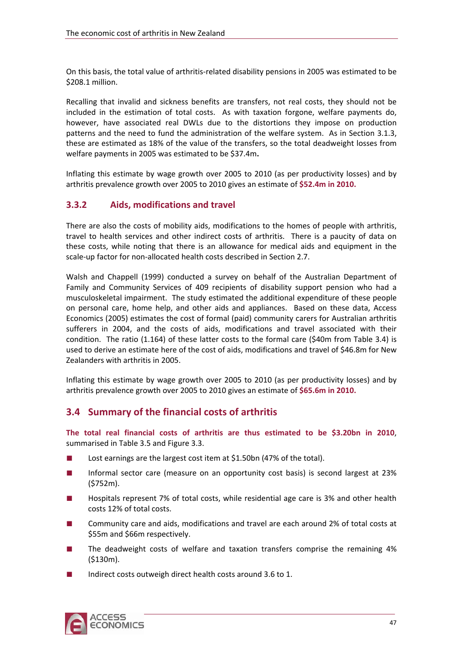On this basis, the total value of arthritis-related disability pensions in 2005 was estimated to be \$208.1 million.

Recalling that invalid and sickness benefits are transfers, not real costs, they should not be included in the estimation of total costs. As with taxation forgone, welfare payments do, however, have associated real DWLs due to the distortions they impose on production patterns and the need to fund the administration of the welfare system. As in Section [3.1.3,](#page-46-0) these are estimated as 18% of the value of the transfers, so the total deadweight losses from welfare payments in 2005 was estimated to be \$37.4m**.** 

Inflating this estimate by wage growth over 2005 to 2010 (as per productivity losses) and by arthritis prevalence growth over 2005 to 2010 gives an estimate of **\$52.4m in 2010.**

### **3.3.2 Aids, modifications and travel**

There are also the costs of mobility aids, modifications to the homes of people with arthritis, travel to health services and other indirect costs of arthritis. There is a paucity of data on these costs, while noting that there is an allowance for medical aids and equipment in the scale‐up factor for non‐allocated health costs described in Section [2.7.](#page-40-0)

Walsh and Chappell (1999) conducted a survey on behalf of the Australian Department of Family and Community Services of 409 recipients of disability support pension who had a musculoskeletal impairment. The study estimated the additional expenditure of these people on personal care, home help, and other aids and appliances. Based on these data, Access Economics (2005) estimates the cost of formal (paid) community carers for Australian arthritis sufferers in 2004, and the costs of aids, modifications and travel associated with their condition. The ratio (1.164) of these latter costs to the formal care (\$40m from [Table](#page-49-0) 3.4) is used to derive an estimate here of the cost of aids, modifications and travel of \$46.8m for New Zealanders with arthritis in 2005.

Inflating this estimate by wage growth over 2005 to 2010 (as per productivity losses) and by arthritis prevalence growth over 2005 to 2010 gives an estimate of **\$65.6m in 2010.**

### **3.4 Summary of the financial costs of arthritis**

**The total real financial costs of arthritis are thus estimated to be \$3.20bn in 2010**, summarised in [Table](#page-51-0) 3.5 and [Figure](#page-51-0) 3.3.

- Lost earnings are the largest cost item at \$1.50bn (47% of the total).
- Informal sector care (measure on an opportunity cost basis) is second largest at 23% (\$752m).
- Hospitals represent 7% of total costs, while residential age care is 3% and other health costs 12% of total costs.
- Community care and aids, modifications and travel are each around 2% of total costs at \$55m and \$66m respectively.
- The deadweight costs of welfare and taxation transfers comprise the remaining 4% (\$130m).
- Indirect costs outweigh direct health costs around 3.6 to 1.

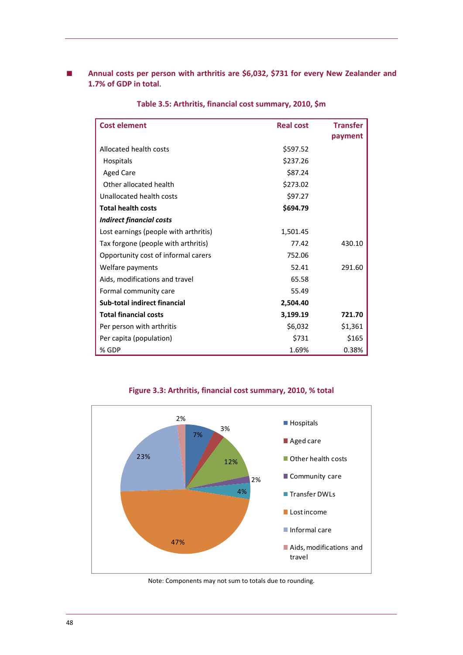<span id="page-51-0"></span>■ **Annual costs per person with arthritis are \$6,032, \$731 for every New Zealander and 1.7% of GDP in total**.

| <b>Cost element</b>                   | <b>Real cost</b> | <b>Transfer</b> |
|---------------------------------------|------------------|-----------------|
|                                       |                  | payment         |
| Allocated health costs                | \$597.52         |                 |
| <b>Hospitals</b>                      | \$237.26         |                 |
| <b>Aged Care</b>                      | \$87.24          |                 |
| Other allocated health                | \$273.02         |                 |
| Unallocated health costs              | \$97.27          |                 |
| <b>Total health costs</b>             | \$694.79         |                 |
| <b>Indirect financial costs</b>       |                  |                 |
| Lost earnings (people with arthritis) | 1,501.45         |                 |
| Tax forgone (people with arthritis)   | 77.42            | 430.10          |
| Opportunity cost of informal carers   | 752.06           |                 |
| Welfare payments                      | 52.41            | 291.60          |
| Aids, modifications and travel        | 65.58            |                 |
| Formal community care                 | 55.49            |                 |
| Sub-total indirect financial          | 2,504.40         |                 |
| <b>Total financial costs</b>          | 3,199.19         | 721.70          |
| Per person with arthritis             | \$6,032          | \$1,361         |
| Per capita (population)               | \$731            | \$165           |
| % GDP                                 | 1.69%            | 0.38%           |

**Table 3.5: Arthritis, financial cost summary, 2010, \$m**



**Figure 3.3: Arthritis, financial cost summary, 2010, % total**

Note: Components may not sum to totals due to rounding.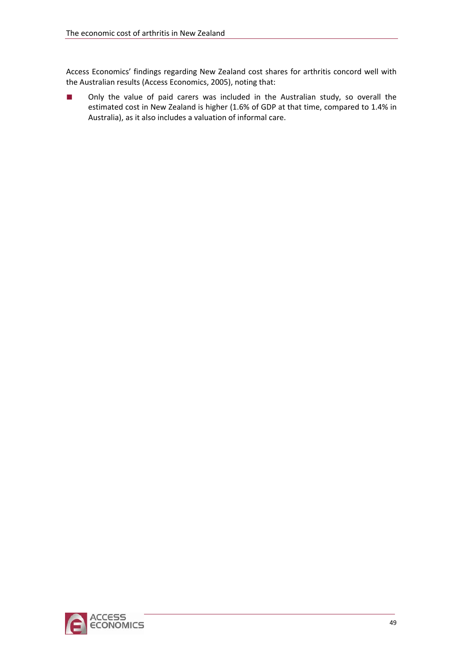Access Economics' findings regarding New Zealand cost shares for arthritis concord well with the Australian results (Access Economics, 2005), noting that:

■ Only the value of paid carers was included in the Australian study, so overall the estimated cost in New Zealand is higher (1.6% of GDP at that time, compared to 1.4% in Australia), as it also includes a valuation of informal care.

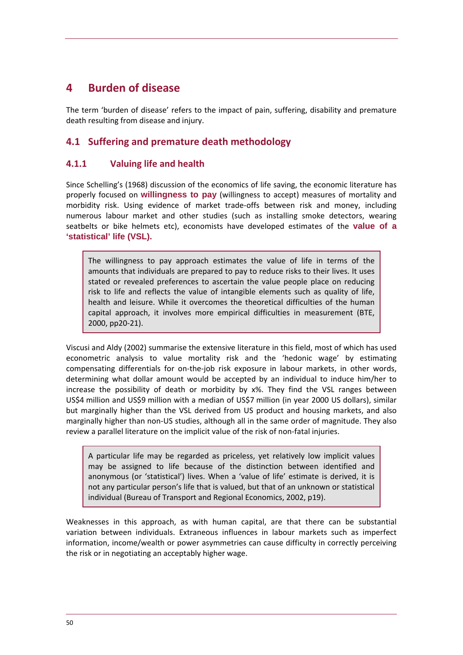## <span id="page-53-0"></span>**4 Burden of disease**

The term 'burden of disease' refers to the impact of pain, suffering, disability and premature death resulting from disease and injury.

### **4.1 Suffering and premature death methodology**

### **4.1.1 Valuing life and health**

Since Schelling's (1968) discussion of the economics of life saving, the economic literature has properly focused on **willingness to pay** (willingness to accept) measures of mortality and morbidity risk. Using evidence of market trade‐offs between risk and money, including numerous labour market and other studies (such as installing smoke detectors, wearing seatbelts or bike helmets etc), economists have developed estimates of the **value of a 'statistical' life (VSL).**

The willingness to pay approach estimates the value of life in terms of the amounts that individuals are prepared to pay to reduce risks to their lives. It uses stated or revealed preferences to ascertain the value people place on reducing risk to life and reflects the value of intangible elements such as quality of life, health and leisure. While it overcomes the theoretical difficulties of the human capital approach, it involves more empirical difficulties in measurement (BTE, 2000, pp20‐21).

Viscusi and Aldy (2002) summarise the extensive literature in this field, most of which has used econometric analysis to value mortality risk and the 'hedonic wage' by estimating compensating differentials for on-the-job risk exposure in labour markets, in other words, determining what dollar amount would be accepted by an individual to induce him/her to increase the possibility of death or morbidity by x%. They find the VSL ranges between US\$4 million and US\$9 million with a median of US\$7 million (in year 2000 US dollars), similar but marginally higher than the VSL derived from US product and housing markets, and also marginally higher than non‐US studies, although all in the same order of magnitude. They also review a parallel literature on the implicit value of the risk of non-fatal injuries.

A particular life may be regarded as priceless, yet relatively low implicit values may be assigned to life because of the distinction between identified and anonymous (or 'statistical') lives. When a 'value of life' estimate is derived, it is not any particular person's life that is valued, but that of an unknown or statistical individual (Bureau of Transport and Regional Economics, 2002, p19).

Weaknesses in this approach, as with human capital, are that there can be substantial variation between individuals. Extraneous influences in labour markets such as imperfect information, income/wealth or power asymmetries can cause difficulty in correctly perceiving the risk or in negotiating an acceptably higher wage.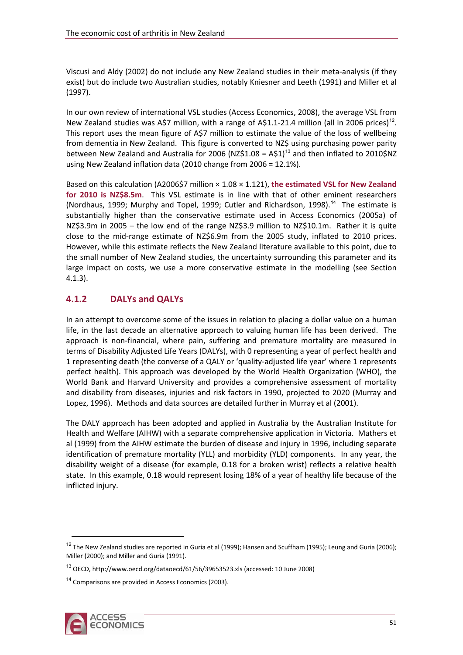Viscusi and Aldy (2002) do not include any New Zealand studies in their meta‐analysis (if they exist) but do include two Australian studies, notably Kniesner and Leeth (1991) and Miller et al (1997).

In our own review of international VSL studies (Access Economics, 2008), the average VSL from New Zealand studies was A\$7 million, with a range of A\$[1](#page-54-0).1-21.4 million (all in 2006 prices)<sup>12</sup>. This report uses the mean figure of A\$7 million to estimate the value of the loss of wellbeing from dementia in New Zealand. This figure is converted to NZ\$ using purchasing power parity between New Zealand and Australia for 2006 (NZ\$[1](#page-54-1).08 = A\$1)<sup>13</sup> and then inflated to 2010\$NZ using New Zealand inflation data (2010 change from 2006 = 12.1%).

Based on this calculation (A2006\$7 million × 1.08 × 1.121), **the estimated VSL for New Zealand for 2010 is NZ\$8.5m**. This VSL estimate is in line with that of other eminent researchers (Nordhaus, 1999; Murphy and Topel, 1999; Cutler and Richardson, 1998).<sup>[14](#page-54-2)</sup> The estimate is substantially higher than the conservative estimate used in Access Economics (2005a) of NZ\$3.9m in 2005 – the low end of the range NZ\$3.9 million to NZ\$10.1m. Rather it is quite close to the mid-range estimate of NZ\$6.9m from the 2005 study, inflated to 2010 prices. However, while this estimate reflects the New Zealand literature available to this point, due to the small number of New Zealand studies, the uncertainty surrounding this parameter and its large impact on costs, we use a more conservative estimate in the modelling (see Section [4.1.3](#page-55-0)).

### **4.1.2 DALYs and QALYs**

In an attempt to overcome some of the issues in relation to placing a dollar value on a human life, in the last decade an alternative approach to valuing human life has been derived. The approach is non‐financial, where pain, suffering and premature mortality are measured in terms of Disability Adjusted Life Years (DALYs), with 0 representing a year of perfect health and 1 representing death (the converse of a QALY or 'quality-adjusted life year' where 1 represents perfect health). This approach was developed by the World Health Organization (WHO), the World Bank and Harvard University and provides a comprehensive assessment of mortality and disability from diseases, injuries and risk factors in 1990, projected to 2020 (Murray and Lopez, 1996). Methods and data sources are detailed further in Murray et al (2001).

The DALY approach has been adopted and applied in Australia by the Australian Institute for Health and Welfare (AIHW) with a separate comprehensive application in Victoria. Mathers et al (1999) from the AIHW estimate the burden of disease and injury in 1996, including separate identification of premature mortality (YLL) and morbidity (YLD) components. In any year, the disability weight of a disease (for example, 0.18 for a broken wrist) reflects a relative health state. In this example, 0.18 would represent losing 18% of a year of healthy life because of the inflicted injury.



<span id="page-54-0"></span> $12$  The New Zealand studies are reported in Guria et al (1999); Hansen and Scuffham (1995); Leung and Guria (2006); Miller (2000); and Miller and Guria (1991).

<span id="page-54-1"></span><sup>13</sup> OECD, http://www.oecd.org/dataoecd/61/56/39653523.xls (accessed: 10 June 2008)

<span id="page-54-2"></span><sup>&</sup>lt;sup>14</sup> Comparisons are provided in Access Economics (2003).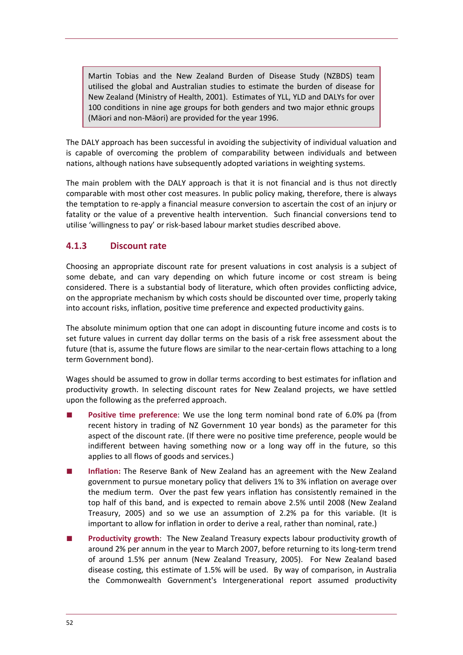<span id="page-55-0"></span>Martin Tobias and the New Zealand Burden of Disease Study (NZBDS) team utilised the global and Australian studies to estimate the burden of disease for New Zealand (Ministry of Health, 2001). Estimates of YLL, YLD and DALYs for over 100 conditions in nine age groups for both genders and two major ethnic groups (Mäori and non‐Mäori) are provided for the year 1996.

The DALY approach has been successful in avoiding the subjectivity of individual valuation and is capable of overcoming the problem of comparability between individuals and between nations, although nations have subsequently adopted variations in weighting systems.

The main problem with the DALY approach is that it is not financial and is thus not directly comparable with most other cost measures. In public policy making, therefore, there is always the temptation to re‐apply a financial measure conversion to ascertain the cost of an injury or fatality or the value of a preventive health intervention. Such financial conversions tend to utilise 'willingness to pay' or risk‐based labour market studies described above.

### **4.1.3 Discount rate**

Choosing an appropriate discount rate for present valuations in cost analysis is a subject of some debate, and can vary depending on which future income or cost stream is being considered. There is a substantial body of literature, which often provides conflicting advice, on the appropriate mechanism by which costs should be discounted over time, properly taking into account risks, inflation, positive time preference and expected productivity gains.

The absolute minimum option that one can adopt in discounting future income and costs is to set future values in current day dollar terms on the basis of a risk free assessment about the future (that is, assume the future flows are similar to the near-certain flows attaching to a long term Government bond).

Wages should be assumed to grow in dollar terms according to best estimates for inflation and productivity growth. In selecting discount rates for New Zealand projects, we have settled upon the following as the preferred approach.

- Positive time preference: We use the long term nominal bond rate of 6.0% pa (from recent history in trading of NZ Government 10 year bonds) as the parameter for this aspect of the discount rate. (If there were no positive time preference, people would be indifferent between having something now or a long way off in the future, so this applies to all flows of goods and services.)
- Inflation: The Reserve Bank of New Zealand has an agreement with the New Zealand government to pursue monetary policy that delivers 1% to 3% inflation on average over the medium term. Over the past few years inflation has consistently remained in the top half of this band, and is expected to remain above 2.5% until 2008 (New Zealand Treasury, 2005) and so we use an assumption of 2.2% pa for this variable. (It is important to allow for inflation in order to derive a real, rather than nominal, rate.)
- **Productivity growth**: The New Zealand Treasury expects labour productivity growth of around 2% per annum in the year to March 2007, before returning to its long‐term trend of around 1.5% per annum (New Zealand Treasury, 2005). For New Zealand based disease costing, this estimate of 1.5% will be used. By way of comparison, in Australia the Commonwealth Government's Intergenerational report assumed productivity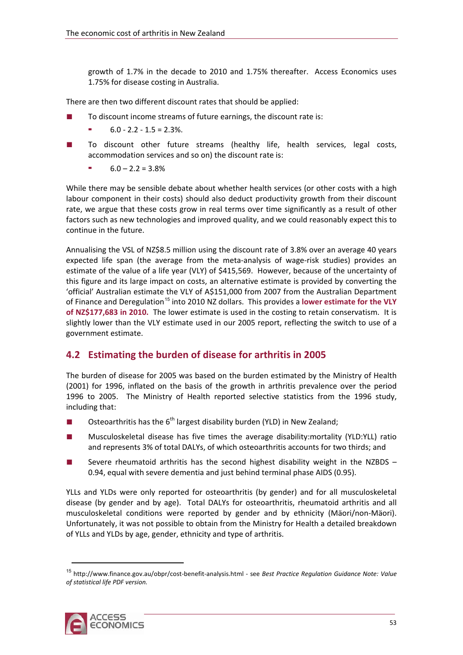growth of 1.7% in the decade to 2010 and 1.75% thereafter. Access Economics uses 1.75% for disease costing in Australia.

There are then two different discount rates that should be applied:

- To discount income streams of future earnings, the discount rate is:
	- $6.0 2.2 1.5 = 2.3\%$
- To discount other future streams (healthy life, health services, legal costs, accommodation services and so on) the discount rate is:
	- $6.0 2.2 = 3.8\%$

While there may be sensible debate about whether health services (or other costs with a high labour component in their costs) should also deduct productivity growth from their discount rate, we argue that these costs grow in real terms over time significantly as a result of other factors such as new technologies and improved quality, and we could reasonably expect this to continue in the future.

Annualising the VSL of NZ\$8.5 million using the discount rate of 3.8% over an average 40 years expected life span (the average from the meta-analysis of wage-risk studies) provides an estimate of the value of a life year (VLY) of \$415,569. However, because of the uncertainty of this figure and its large impact on costs, an alternative estimate is provided by converting the 'official' Australian estimate the VLY of A\$151,000 from 2007 from the Australian Department of Finance and Deregulation[1](#page-56-0)5 into 2010 NZ dollars. This provides a **lower estimate for the VLY of NZ\$177,683 in 2010.** The lower estimate is used in the costing to retain conservatism. It is slightly lower than the VLY estimate used in our 2005 report, reflecting the switch to use of a government estimate.

### **4.2 Estimating the burden of disease for arthritis in 2005**

The burden of disease for 2005 was based on the burden estimated by the Ministry of Health (2001) for 1996, inflated on the basis of the growth in arthritis prevalence over the period 1996 to 2005. The Ministry of Health reported selective statistics from the 1996 study, including that:

- Osteoarthritis has the  $6<sup>th</sup>$  largest disability burden (YLD) in New Zealand;
- Musculoskeletal disease has five times the average disability:mortality (YLD:YLL) ratio and represents 3% of total DALYs, of which osteoarthritis accounts for two thirds; and
- Severe rheumatoid arthritis has the second highest disability weight in the NZBDS 0.94, equal with severe dementia and just behind terminal phase AIDS (0.95).

YLLs and YLDs were only reported for osteoarthritis (by gender) and for all musculoskeletal disease (by gender and by age). Total DALYs for osteoarthritis, rheumatoid arthritis and all musculoskeletal conditions were reported by gender and by ethnicity (Mäori/non‐Mäori). Unfortunately, it was not possible to obtain from the Ministry for Health a detailed breakdown of YLLs and YLDs by age, gender, ethnicity and type of arthritis.

<span id="page-56-0"></span><sup>15</sup> http://www.finance.gov.au/obpr/cost‐benefit‐analysis.html ‐ see *Best Practice Regulation Guidance Note: Value of statistical life PDF version.*

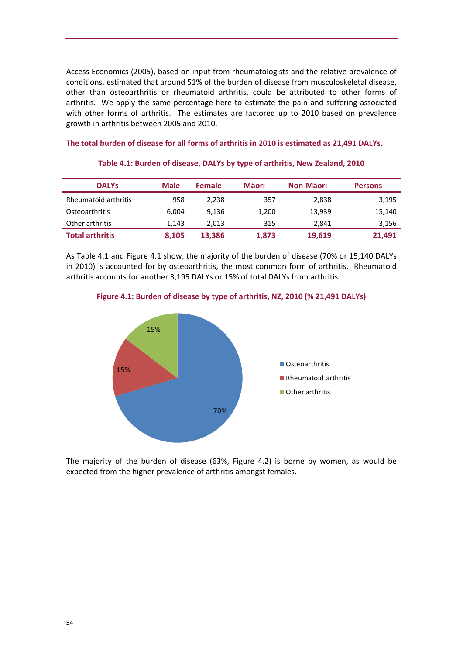<span id="page-57-0"></span>Access Economics (2005), based on input from rheumatologists and the relative prevalence of conditions, estimated that around 51% of the burden of disease from musculoskeletal disease, other than osteoarthritis or rheumatoid arthritis, could be attributed to other forms of arthritis. We apply the same percentage here to estimate the pain and suffering associated with other forms of arthritis. The estimates are factored up to 2010 based on prevalence growth in arthritis between 2005 and 2010.

#### **The total burden of disease for all forms of arthritis in 2010 is estimated as 21,491 DALYs**.

| <b>DALYS</b>           | <b>Male</b> | <b>Female</b> | Mäori | Non-Mäori | <b>Persons</b> |
|------------------------|-------------|---------------|-------|-----------|----------------|
| Rheumatoid arthritis   | 958         | 2,238         | 357   | 2,838     | 3,195          |
| Osteoarthritis         | 6.004       | 9.136         | 1.200 | 13.939    | 15,140         |
| Other arthritis        | 1.143       | 2.013         | 315   | 2.841     | 3,156          |
| <b>Total arthritis</b> | 8,105       | 13,386        | 1,873 | 19,619    | 21,491         |

#### **Table 4.1: Burden of disease, DALYs by type of arthritis, New Zealand, 2010**

As [Table](#page-57-0) 4.1 and [Figure](#page-57-0) 4.1 show, the majority of the burden of disease (70% or 15,140 DALYs in 2010) is accounted for by osteoarthritis, the most common form of arthritis. Rheumatoid arthritis accounts for another 3,195 DALYs or 15% of total DALYs from arthritis.





The majority of the burden of disease (63%, [Figure](#page-58-0) 4.2) is borne by women, as would be expected from the higher prevalence of arthritis amongst females.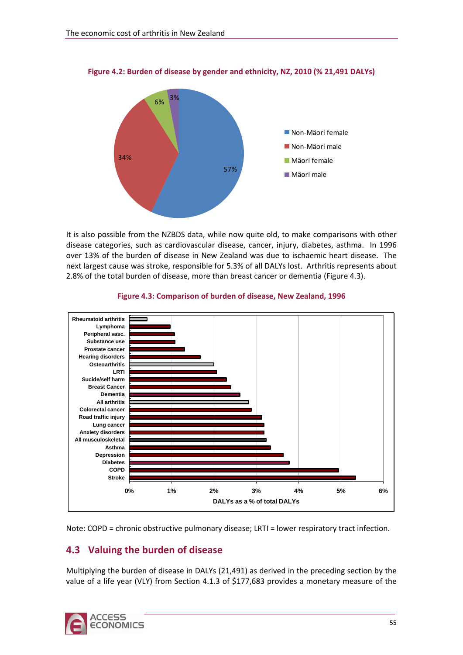

<span id="page-58-0"></span>**Figure 4.2: Burden of disease by gender and ethnicity, NZ, 2010 (% 21,491 DALYs)**

It is also possible from the NZBDS data, while now quite old, to make comparisons with other disease categories, such as cardiovascular disease, cancer, injury, diabetes, asthma. In 1996 over 13% of the burden of disease in New Zealand was due to ischaemic heart disease. The next largest cause was stroke, responsible for 5.3% of all DALYs lost. Arthritis represents about 2.8% of the total burden of disease, more than breast cancer or dementia ([Figure](#page-58-0) 4.3).



#### **Figure 4.3: Comparison of burden of disease, New Zealand, 1996**

Note: COPD = chronic obstructive pulmonary disease; LRTI = lower respiratory tract infection.

## **4.3 Valuing the burden of disease**

Multiplying the burden of disease in DALYs (21,491) as derived in the preceding section by the value of a life year (VLY) from Section [4.1.3](#page-55-0) of \$177,683 provides a monetary measure of the

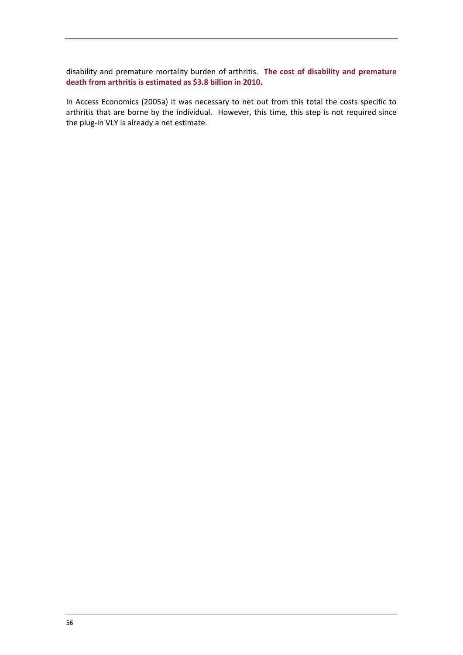disability and premature mortality burden of arthritis. **The cost of disability and premature death from arthritis is estimated as \$3.8 billion in 2010.**

In Access Economics (2005a) it was necessary to net out from this total the costs specific to arthritis that are borne by the individual. However, this time, this step is not required since the plug‐in VLY is already a net estimate.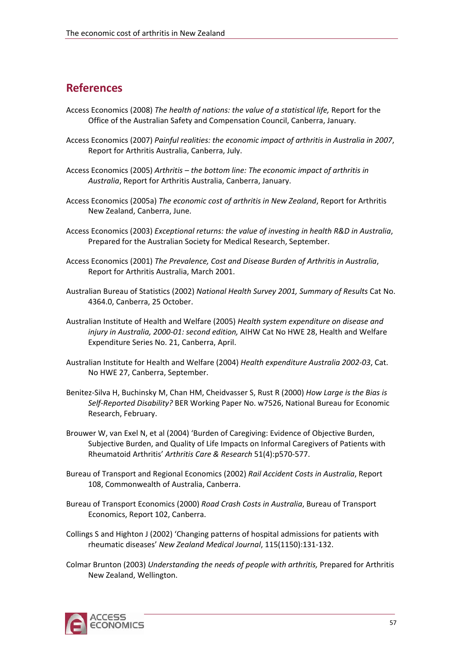## **References**

- Access Economics (2008) *The health of nations: the value of a statistical life,* Report for the Office of the Australian Safety and Compensation Council, Canberra, January.
- Access Economics (2007) *Painful realities: the economic impact of arthritis in Australia in 2007*, Report for Arthritis Australia, Canberra, July.
- Access Economics (2005) *Arthritis – the bottom line: The economic impact of arthritis in Australia*, Report for Arthritis Australia, Canberra, January.
- Access Economics (2005a) *The economic cost of arthritis in New Zealand*, Report for Arthritis New Zealand, Canberra, June.
- Access Economics (2003) *Exceptional returns: the value of investing in health R&D in Australia*, Prepared for the Australian Society for Medical Research, September.
- Access Economics (2001) *The Prevalence, Cost and Disease Burden of Arthritis in Australia*, Report for Arthritis Australia, March 2001.
- Australian Bureau of Statistics (2002) *National Health Survey 2001, Summary of Results* Cat No. 4364.0, Canberra, 25 October.
- Australian Institute of Health and Welfare (2005) *Health system expenditure on disease and injury in Australia, 2000‐01: second edition,* AIHW Cat No HWE 28, Health and Welfare Expenditure Series No. 21, Canberra, April.
- Australian Institute for Health and Welfare (2004) *Health expenditure Australia 2002‐03*, Cat. No HWE 27, Canberra, September.
- Benitez‐Silva H, Buchinsky M, Chan HM, Cheidvasser S, Rust R (2000) *How Large is the Bias is Self‐Reported Disability?* BER Working Paper No. w7526, National Bureau for Economic Research, February.
- Brouwer W, van Exel N, et al (2004) 'Burden of Caregiving: Evidence of Objective Burden, Subjective Burden, and Quality of Life Impacts on Informal Caregivers of Patients with Rheumatoid Arthritis' *Arthritis Care & Research* 51(4):p570‐577.
- Bureau of Transport and Regional Economics (2002) *Rail Accident Costs in Australia*, Report 108, Commonwealth of Australia, Canberra.
- Bureau of Transport Economics (2000) *Road Crash Costs in Australia*, Bureau of Transport Economics, Report 102, Canberra.
- Collings S and Highton J (2002) 'Changing patterns of hospital admissions for patients with rheumatic diseases' *New Zealand Medical Journal*, 115(1150):131‐132.
- Colmar Brunton (2003) *Understanding the needs of people with arthritis,* Prepared for Arthritis New Zealand, Wellington.

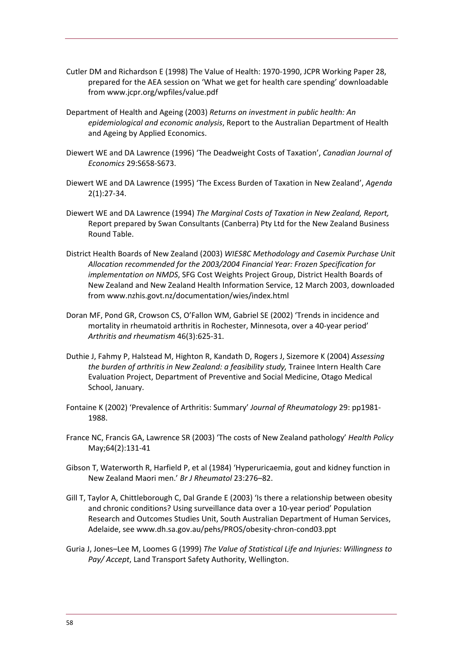- Cutler DM and Richardson E (1998) The Value of Health: 1970‐1990, JCPR Working Paper 28, prepared for the AEA session on 'What we get for health care spending' downloadable from [www.jcpr.org/wpfiles/value.pdf](http://www.jcpr.org/wpfiles/value.pdf)
- Department of Health and Ageing (2003) *Returns on investment in public health: An epidemiological and economic analysis*, Report to the Australian Department of Health and Ageing by Applied Economics.
- Diewert WE and DA Lawrence (1996) 'The Deadweight Costs of Taxation', *Canadian Journal of Economics* 29:S658‐S673.
- Diewert WE and DA Lawrence (1995) 'The Excess Burden of Taxation in New Zealand', *Agenda* 2(1):27‐34.
- Diewert WE and DA Lawrence (1994) *The Marginal Costs of Taxation in New Zealand, Report,* Report prepared by Swan Consultants (Canberra) Pty Ltd for the New Zealand Business Round Table.
- District Health Boards of New Zealand (2003) *WIES8C Methodology and Casemix Purchase Unit Allocation recommended for the 2003/2004 Financial Year: Frozen Specification for implementation on NMDS*, SFG Cost Weights Project Group, District Health Boards of New Zealand and New Zealand Health Information Service, 12 March 2003, downloaded from [www.nzhis.govt.nz/documentation/wies/index.html](http://www.nzhis.govt.nz/documentation/wies/index.html)
- Doran MF, Pond GR, Crowson CS, O'Fallon WM, Gabriel SE (2002) 'Trends in incidence and mortality in rheumatoid arthritis in Rochester, Minnesota, over a 40‐year period' *Arthritis and rheumatism* 46(3):625‐31.
- Duthie J, Fahmy P, Halstead M, Highton R, Kandath D, Rogers J, Sizemore K (2004) *Assessing the burden of arthritis in New Zealand: a feasibility study,* Trainee Intern Health Care Evaluation Project, Department of Preventive and Social Medicine, Otago Medical School, January.
- Fontaine K (2002) 'Prevalence of Arthritis: Summary' *Journal of Rheumatology* 29: pp1981‐ 1988.
- France NC, Francis GA, Lawrence SR (2003) 'The costs of New Zealand pathology' *Health Policy* May;64(2):131‐41
- Gibson T, Waterworth R, Harfield P, et al (1984) 'Hyperuricaemia, gout and kidney function in New Zealand Maori men.' *Br J Rheumatol* 23:276–82.
- Gill T, Taylor A, Chittleborough C, Dal Grande E (2003) 'Is there a relationship between obesity and chronic conditions? Using surveillance data over a 10‐year period' Population Research and Outcomes Studies Unit, South Australian Department of Human Services, Adelaide, see [www.dh.sa.gov.au/pehs/PROS/obesity](http://www.dh.sa.gov.au/pehs/PROS/obesity-chron-cond03.ppt)‐chron‐cond03.ppt
- Guria J, Jones–Lee M, Loomes G (1999) *The Value of Statistical Life and Injuries: Willingness to Pay/ Accept*, Land Transport Safety Authority, Wellington.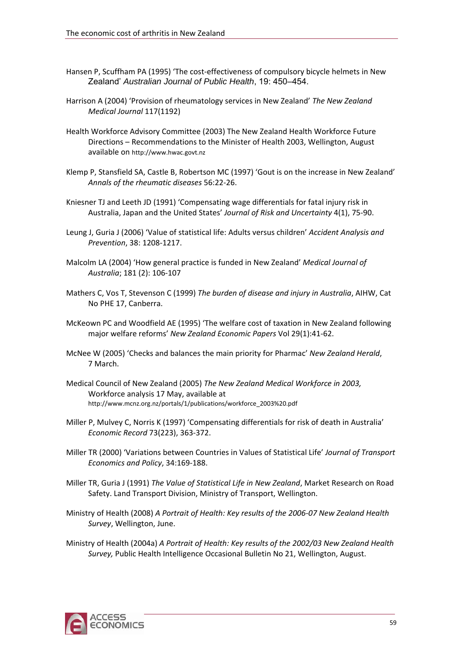- Hansen P, Scuffham PA (1995) 'The cost-effectiveness of compulsory bicycle helmets in New Zealand' *Australian Journal of Public Health*, 19: 450–454.
- Harrison A (2004) 'Provision of rheumatology services in New Zealand' *The New Zealand Medical Journal* 117(1192)
- Health Workforce Advisory Committee (2003) The New Zealand Health Workforce Future Directions – Recommendations to the Minister of Health 2003, Wellington, August available on [http://www.hwac.govt.nz](http://www.hwac.govt.nz/)
- Klemp P, Stansfield SA, Castle B, Robertson MC (1997) 'Gout is on the increase in New Zealand' *Annals of the rheumatic diseases* 56:22‐26.
- Kniesner TJ and Leeth JD (1991) 'Compensating wage differentials for fatal injury risk in Australia, Japan and the United States' *Journal of Risk and Uncertainty* 4(1), 75‐90.
- Leung J, Guria J (2006) 'Value of statistical life: Adults versus children' *Accident Analysis and Prevention*, 38: 1208‐1217.
- Malcolm LA (2004) 'How general practice is funded in New Zealand' *Medical Journal of Australia*; 181 (2): 106‐107
- Mathers C, Vos T, Stevenson C (1999) *The burden of disease and injury in Australia*, AIHW, Cat No PHE 17, Canberra.
- McKeown PC and Woodfield AE (1995) 'The welfare cost of taxation in New Zealand following major welfare reforms' *New Zealand Economic Papers* Vol 29(1):41‐62.
- McNee W (2005) 'Checks and balances the main priority for Pharmac' *New Zealand Herald*, 7 March.
- Medical Council of New Zealand (2005) *The New Zealand Medical Workforce in 2003,* Workforce analysis 17 May, available at [http://www.mcnz.org.nz/portals/1/publications/workforce\\_2003%20.pdf](http://www.mcnz.org.nz/portals/1/publications/workforce_2003 .pdf)
- Miller P, Mulvey C, Norris K (1997) 'Compensating differentials for risk of death in Australia' *Economic Record* 73(223), 363‐372.
- Miller TR (2000) 'Variations between Countries in Values of Statistical Life' *Journal of Transport Economics and Policy*, 34:169‐188.
- Miller TR, Guria J (1991) *The Value of Statistical Life in New Zealand*, Market Research on Road Safety. Land Transport Division, Ministry of Transport, Wellington.
- Ministry of Health (2008) *A Portrait of Health: Key results of the 2006‐07 New Zealand Health Survey*, Wellington, June.
- Ministry of Health (2004a) *A Portrait of Health: Key results of the 2002/03 New Zealand Health Survey,* Public Health Intelligence Occasional Bulletin No 21, Wellington, August.

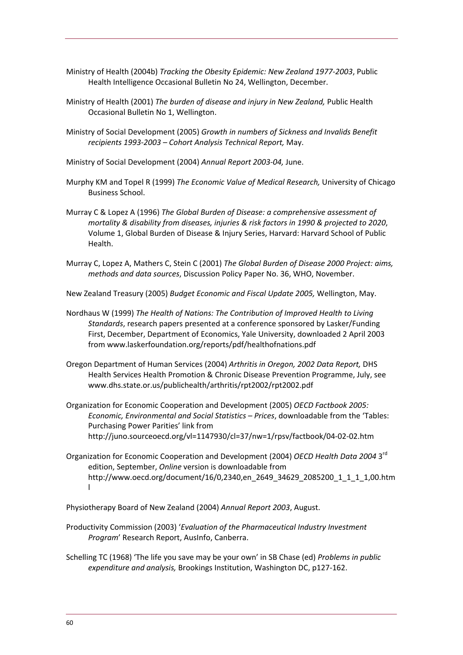- Ministry of Health (2004b) *Tracking the Obesity Epidemic: New Zealand 1977‐2003*, Public Health Intelligence Occasional Bulletin No 24, Wellington, December.
- Ministry of Health (2001) *The burden of disease and injury in New Zealand,* Public Health Occasional Bulletin No 1, Wellington.
- Ministry of Social Development (2005) *Growth in numbers of Sickness and Invalids Benefit recipients 1993‐2003 – Cohort Analysis Technical Report,* May.
- Ministry of Social Development (2004) *Annual Report 2003‐04,* June.
- Murphy KM and Topel R (1999) *The Economic Value of Medical Research,* University of Chicago Business School.
- Murray C & Lopez A (1996) *The Global Burden of Disease: a comprehensive assessment of mortality & disability from diseases, injuries & risk factors in 1990 & projected to 2020*, Volume 1, Global Burden of Disease & Injury Series, Harvard: Harvard School of Public Health.
- Murray C, Lopez A, Mathers C, Stein C (2001) *The Global Burden of Disease 2000 Project: aims, methods and data sources*, Discussion Policy Paper No. 36, WHO, November.
- New Zealand Treasury (2005) *Budget Economic and Fiscal Update 2005,* Wellington, May.
- Nordhaus W (1999) *The Health of Nations: The Contribution of Improved Health to Living Standards*, research papers presented at a conference sponsored by Lasker/Funding First, December, Department of Economics, Yale University, downloaded 2 April 2003 from [www.laskerfoundation.org/reports/pdf/healthofnations.pdf](http://www.laskerfoundation.org/reports/pdf/healthofnations.pdf)
- Oregon Department of Human Services (2004) *Arthritis in Oregon, 2002 Data Report,* DHS Health Services Health Promotion & Chronic Disease Prevention Programme, July, see [www.dhs.state.or.us/publichealth/arthritis/rpt2002/rpt2002.pdf](http://www.dhs.state.or.us/publichealth/arthritis/rpt2002/rpt2002.pdf)
- Organization for Economic Cooperation and Development (2005) *OECD Factbook 2005: Economic, Environmental and Social Statistics – Prices*, downloadable from the 'Tables: Purchasing Power Parities' link from [http://juno.sourceoecd.org/vl=1147930/cl=37/nw=1/rpsv/factbook/04](http://juno.sourceoecd.org/vl=1147930/cl=37/nw=1/rpsv/factbook/04-02-02.htm)‐02‐02.htm
- Organization for Economic Cooperation and Development (2004) *OECD Health Data 2004* 3rd edition, September, *Online* version is downloadable from [http://www.oecd.org/document/16/0,2340,en\\_2649\\_34629\\_2085200\\_1\\_1\\_1\\_1,00.htm](http://www.oecd.org/document/16/0,2340,en_2649_34629_2085200_1_1_1_1,00.html) [l](http://www.oecd.org/document/16/0,2340,en_2649_34629_2085200_1_1_1_1,00.html)

Physiotherapy Board of New Zealand (2004) *Annual Report 2003*, August.

- Productivity Commission (2003) '*Evaluation of the Pharmaceutical Industry Investment Program*' Research Report, AusInfo, Canberra.
- Schelling TC (1968) 'The life you save may be your own' in SB Chase (ed) *Problems in public expenditure and analysis,* Brookings Institution, Washington DC, p127‐162.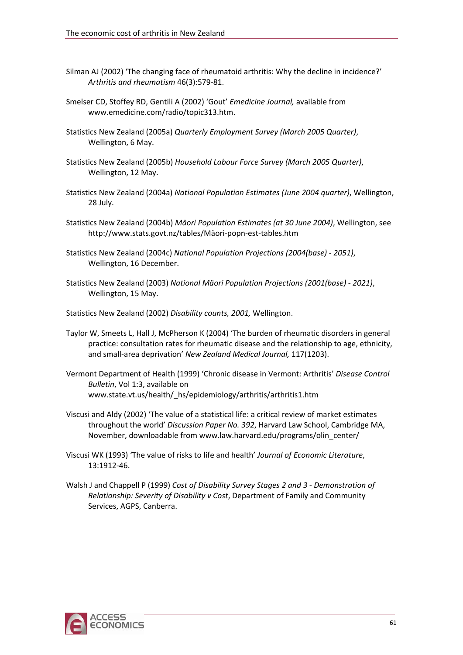- Silman AJ (2002) 'The changing face of rheumatoid arthritis: Why the decline in incidence?' *Arthritis and rheumatism* 46(3):579‐81.
- Smelser CD, Stoffey RD, Gentili A (2002) 'Gout' *Emedicine Journal,* available from [www.emedicine.com/radio/topic313.htm](http://www.emedicine.com/radio/topic313.htm).
- Statistics New Zealand (2005a) *Quarterly Employment Survey (March 2005 Quarter)*, Wellington, 6 May.
- Statistics New Zealand (2005b) *Household Labour Force Survey (March 2005 Quarter)*, Wellington, 12 May.
- Statistics New Zealand (2004a) *National Population Estimates (June 2004 quarter)*, Wellington, 28 July.
- Statistics New Zealand (2004b) *Mäori Population Estimates (at 30 June 2004)*, Wellington, see [http://www.stats.govt.nz/tables/Mäori](http://www.stats.govt.nz/tables/Maori-popn-est-tables.htm)‐popn‐est‐tables.htm
- Statistics New Zealand (2004c) *National Population Projections (2004(base) ‐ 2051)*, Wellington, 16 December.
- Statistics New Zealand (2003) *National Mäori Population Projections (2001(base) ‐ 2021)*, Wellington, 15 May.
- Statistics New Zealand (2002) *Disability counts, 2001,* Wellington.
- Taylor W, Smeets L, Hall J, McPherson K (2004) 'The burden of rheumatic disorders in general practice: consultation rates for rheumatic disease and the relationship to age, ethnicity, and small‐area deprivation' *New Zealand Medical Journal,* 117(1203).
- Vermont Department of Health (1999) 'Chronic disease in Vermont: Arthritis' *Disease Control Bulletin*, Vol 1:3, available on [www.state.vt.us/health/\\_hs/epidemiology/arthritis/arthritis1.htm](http://www.state.vt.us/health/_hs/epidemiology/arthritis/arthritis1.htm)
- Viscusi and Aldy (2002) 'The value of a statistical life: a critical review of market estimates throughout the world' *Discussion Paper No. 392*, Harvard Law School, Cambridge MA, November, downloadable from [www.law.harvard.edu/programs/olin\\_center/](http://www.law.harvard.edu/programs/olin_center/)
- Viscusi WK (1993) 'The value of risks to life and health' *Journal of Economic Literature*, 13:1912‐46.
- Walsh J and Chappell P (1999) *Cost of Disability Survey Stages 2 and 3 ‐ Demonstration of Relationship: Severity of Disability v Cost*, Department of Family and Community Services, AGPS, Canberra.

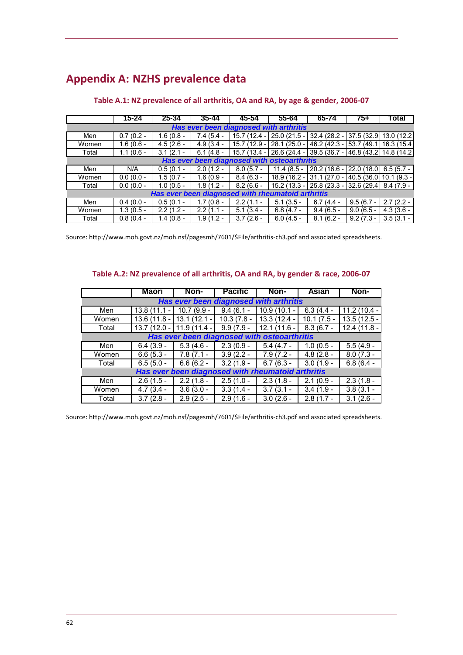# **Appendix A: NZHS prevalence data**

|                                        | 15-24       | 25-34                                             | 35-44       | 45-54         | 55-64                                       | 65-74                                             | 75+                     | ⊺otal                 |
|----------------------------------------|-------------|---------------------------------------------------|-------------|---------------|---------------------------------------------|---------------------------------------------------|-------------------------|-----------------------|
| Has ever been diagnosed with arthritis |             |                                                   |             |               |                                             |                                                   |                         |                       |
| Men                                    | $0.7(0.2 -$ | $1.6(0.8 -$                                       | $7.4(5.4 -$ | $15.7(12.4 -$ | 25.0 (21.5 - 32.4 (28.2 - 1                 |                                                   | 37.5 (32.9 13.0 (12.2)  |                       |
| Women                                  | $1.6(0.6 -$ | $4.5(2.6 -$                                       | $4.9(3.4 -$ | 15.7 (12.9 -  | $28.1(25.0 -$                               | $46.2(42.3 -$                                     |                         | 53.7 (49.1 16.3 (15.4 |
| Total                                  | $1.1(0.6 -$ | $3.1(2.1 -$                                       | $6.1(4.8 -$ | $15.7(13.4 -$ | 26.6 (24.4 -                                | 39.5 (36.7 - 46.8 (43.2 14.8 (14.2)               |                         |                       |
|                                        |             |                                                   |             |               | Has ever been diagnosed with osteoarthritis |                                                   |                         |                       |
| Men                                    | N/A         | $0.5(0.1 -$                                       | $2.0(1.2 -$ | $8.0(5.7 -$   | $11.4(8.5 -$                                | $20.2(16.6 -$                                     | $22.0(18.0)$ 6.5 (5.7 - |                       |
| Women                                  | $0.0(0.0 -$ | $1.5(0.7 -$                                       | $1.6(0.9 -$ | $8.4(6.3 -$   | 18.9 (16.2 -                                | $31.1(27.0 -$                                     | 40.5 (36.0 10.1 (9.3 -  |                       |
| Total                                  | $0.0(0.0 -$ | $1.0(0.5 -$                                       | $1.8(1.2 -$ | $8.2(6.6 -$   |                                             | 15.2 (13.3 - 25.8 (23.3 - 32.6 (29.4   8.4 (7.9 - |                         |                       |
|                                        |             | Has ever been diagnosed with rheumatoid arthritis |             |               |                                             |                                                   |                         |                       |
| Men                                    | $0.4(0.0 -$ | $0.5(0.1 -$                                       | $1.7(0.8 -$ | $2.2(1.1 -$   | $5.1(3.5 -$                                 | $6.7(4.4 -$                                       | $9.5(6.7 -$             | $2.7(2.2 -$           |
| Women                                  | $1.3(0.5 -$ | $2.2(1.2 -$                                       | $2.2(1.1 -$ | $5.1(3.4 -$   | $6.8(4.7 -$                                 | $9.4(6.5 -$                                       | $9.0(6.5 -$             | $4.3(3.6 -$           |
| Total                                  | $0.8(0.4 -$ | $1.4(0.8 -$                                       | $1.9(1.2 -$ | $3.7(2.6 -$   | $6.0(4.5 -$                                 | $8.1(6.2 -$                                       | $9.2(7.3 -$             | $3.5(3.1 -$           |

#### **Table A.1: NZ prevalence of all arthritis, OA and RA, by age & gender, 2006‐07**

Source: [http://www.moh.govt.nz/moh.nsf/pagesmh/7601/\\$File/arthritis](http://www.moh.govt.nz/moh.nsf/pagesmh/7601/$File/arthritis-ch3.pdf)‐ch3.pdf and associated spreadsheets.

#### **Table A.2: NZ prevalence of all arthritis, OA and RA, by gender & race, 2006‐07**

|                                        | Maori                                  | Non-                     | <b>Pacific</b> | Non-                                              | <b>Asian</b>             | Non-                   |  |  |  |
|----------------------------------------|----------------------------------------|--------------------------|----------------|---------------------------------------------------|--------------------------|------------------------|--|--|--|
| Has ever been diagnosed with arthritis |                                        |                          |                |                                                   |                          |                        |  |  |  |
| Men                                    | 13.8 (11.1<br>$\overline{\phantom{a}}$ | 10.7 (9.9 -              | $9.4(6.1 -$    | $10.9(10.1 -$                                     | $6.3(4.4 -$              | $11.2(10.4 -$          |  |  |  |
| Women                                  | 13.6 (11.8 -                           | $\overline{13.1(12.1-)}$ | $10.3(7.8 -$   | 13.3 (12.4 -                                      | $\overline{10.1}$ (7.5 - | $13.5(12.5 -$          |  |  |  |
| Total                                  | 13.7 (12.0 -                           | $11.9(11.4 -$            | $9.9(7.9 -$    | $12.1(11.6 -$                                     | $8.3(6.7 -$              | $12.4(11.8 -$          |  |  |  |
|                                        |                                        |                          |                | Has ever been diagnosed with osteoarthritis       |                          |                        |  |  |  |
| Men                                    | $6.4(3.9 -$                            | $5.3(4.6 -$              | $2.3(0.9 -$    | $5.4(4.7 -$                                       | $1.0(0.5 -$              | $\overline{5.5(4.9-)}$ |  |  |  |
| Women                                  | $6.6(5.3 -$                            | $7.8(7.1 -$              | $3.9(2.2 -$    | $7.9(7.2 -$                                       | $4.8(2.8 -$              | $8.0(7.3 -$            |  |  |  |
| Total                                  | $6.5(5.0 -$                            | $6.6(6.2 -$              | $3.2(1.9 -$    | $6.7(6.3 -$                                       | $3.0(1.9 -$              | $6.8(6.4 -$            |  |  |  |
|                                        |                                        |                          |                | Has ever been diagnosed with rheumatoid arthritis |                          |                        |  |  |  |
| Men                                    | $2.6(1.5 -$                            | $2.2(1.8 -$              | $2.5(1.0 -$    | $2.3(1.8 -$                                       | $2.1(0.9 -$              | $2.3(1.8 -$            |  |  |  |
| Women                                  | $4.7(3.4 -$                            | $3.6(3.0 -$              | $3.3(1.4 -$    | $3.7(3.1 -$                                       | $3.4(1.9 -$              | $3.8(3.1 -$            |  |  |  |
| Total                                  | $\overline{3.7}$ (2.8 -                | $2.9(2.5 -$              | $2.9(1.6 -$    | $3.0(2.6 -$                                       | $2.8(\overline{1.7} -$   | $3.1(2.6 -$            |  |  |  |

Source: [http://www.moh.govt.nz/moh.nsf/pagesmh/7601/\\$File/arthritis](http://www.moh.govt.nz/moh.nsf/pagesmh/7601/$File/arthritis-ch3.pdf)‐ch3.pdf and associated spreadsheets.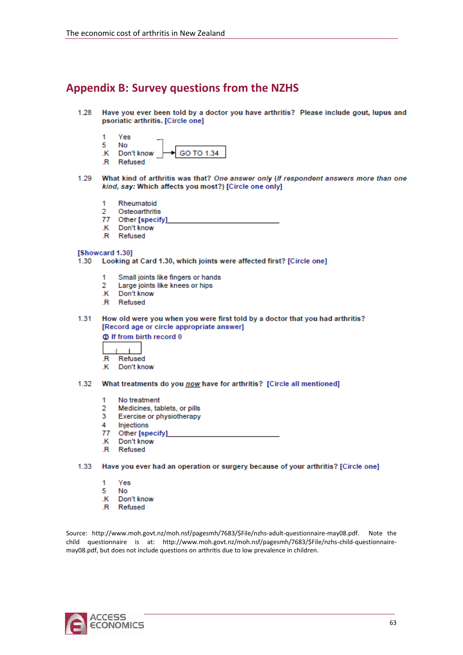## **Appendix B: Survey questions from the NZHS**

- Have you ever been told by a doctor you have arthritis? Please include gout, lupus and 1.28 psoriatic arthritis. [Circle one]
	- 1 Yes
	- c, No GO TO 1.34 .K Don't know
	- .R Refused
- 1.29 What kind of arthritis was that? One answer only (If respondent answers more than one kind, say: Which affects you most?) [Circle one only]
	- 1 Rheumatoid
	- Osteoarthritis 2
	- 77 Other [specify]
	- Don't know к
	- .R Refused

#### [Showcard 1.30]

- 1.30 Looking at Card 1.30, which joints were affected first? [Circle one]
	- Small joints like fingers or hands 1
	- 2 Large joints like knees or hips
	- .K Don't know
	- .R Refused
- 1.31 How old were you when you were first told by a doctor that you had arthritis? [Record age or circle appropriate answer]

#### **C** If from birth record 0

- 
- $\overline{\mathsf{R}}$ Refused
- .K Don't know

#### 1.32 What treatments do you now have for arthritis? [Circle all mentioned]

- No treatment 1
- Medicines, tablets, or pills 2
- 3 Exercise or physiotherapy
- Δ Injections
- 77 Other [specify]
- .K Don't know
- .R Refused

1.33 Have you ever had an operation or surgery because of your arthritis? [Circle one]

- 1 Yes
- 5 No
- .K Don't know
- .R Refused

Source: [http://www.moh.govt.nz/moh.nsf/pagesmh/7683/\\$File/nzhs](http://www.moh.govt.nz/moh.nsf/pagesmh/7683/$File/nzhs-adult-questionnaire-may08.pdf)‐adult‐questionnaire‐may08.pdf. Note the child questionnaire is at: [http://www.moh.govt.nz/moh.nsf/pagesmh/7683/\\$File/nzhs](http://www.moh.govt.nz/moh.nsf/pagesmh/7683/$File/nzhs-child-questionnaire-may08.pdf)-child-questionnaire[may08.pdf](http://www.moh.govt.nz/moh.nsf/pagesmh/7683/$File/nzhs-child-questionnaire-may08.pdf), but does not include questions on arthritis due to low prevalence in children.

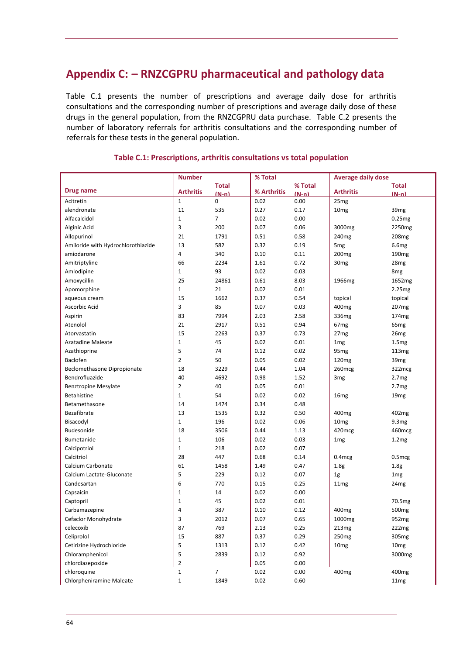## <span id="page-67-0"></span>**Appendix C: – RNZCGPRU pharmaceutical and pathology data**

[Table](#page-67-0) C.1 presents the number of prescriptions and average daily dose for arthritis consultations and the corresponding number of prescriptions and average daily dose of these drugs in the general population, from the RNZCGPRU data purchase. [Table](#page-72-0) C.2 presents the number of laboratory referrals for arthritis consultations and the corresponding number of referrals for these tests in the general population.

|                                    | <b>Number</b>    |                | % Total     |         | <b>Average daily dose</b> |                   |
|------------------------------------|------------------|----------------|-------------|---------|---------------------------|-------------------|
|                                    |                  | <b>Total</b>   |             | % Total |                           | <b>Total</b>      |
| Drug name                          | <b>Arthritis</b> | $(N-n)$        | % Arthritis | $(N-n)$ | <b>Arthritis</b>          | $(N-n)$           |
| Acitretin                          | $1\,$            | $\mathbf 0$    | 0.02        | 0.00    | 25mg                      |                   |
| alendronate                        | 11               | 535            | 0.27        | 0.17    | 10 <sub>mg</sub>          | 39mg              |
| Alfacalcidol                       | $1\,$            | $\overline{7}$ | 0.02        | 0.00    |                           | 0.25mg            |
| Alginic Acid                       | 3                | 200            | 0.07        | 0.06    | 3000mg                    | 2250mg            |
| Allopurinol                        | 21               | 1791           | 0.51        | 0.58    | 240 <sub>mg</sub>         | 208 <sub>mg</sub> |
| Amiloride with Hydrochlorothiazide | 13               | 582            | 0.32        | 0.19    | 5 <sub>mg</sub>           | 6.6mg             |
| amiodarone                         | 4                | 340            | 0.10        | 0.11    | 200 <sub>mg</sub>         | 190 <sub>mg</sub> |
| Amitriptyline                      | 66               | 2234           | 1.61        | 0.72    | 30 <sub>mg</sub>          | 28mg              |
| Amlodipine                         | $\mathbf{1}$     | 93             | 0.02        | 0.03    |                           | 8 <sub>mg</sub>   |
| Amoxycillin                        | 25               | 24861          | 0.61        | 8.03    | 1966 <sub>mg</sub>        | 1652mg            |
| Apomorphine                        | $\mathbf{1}$     | 21             | 0.02        | 0.01    |                           | 2.25mg            |
| aqueous cream                      | 15               | 1662           | 0.37        | 0.54    | topical                   | topical           |
| Ascorbic Acid                      | 3                | 85             | 0.07        | 0.03    | 400 <sub>mg</sub>         | 207 <sub>mg</sub> |
| Aspirin                            | 83               | 7994           | 2.03        | 2.58    | 336mg                     | 174 <sub>mg</sub> |
| Atenolol                           | 21               | 2917           | 0.51        | 0.94    | 67 <sub>mg</sub>          | 65 <sub>mg</sub>  |
| Atorvastatin                       | 15               | 2263           | 0.37        | 0.73    | 27 <sub>mg</sub>          | 26mg              |
| <b>Azatadine Maleate</b>           | $\mathbf 1$      | 45             | 0.02        | 0.01    | 1 <sub>mg</sub>           | 1.5mg             |
| Azathioprine                       | 5                | 74             | 0.12        | 0.02    | 95 <sub>mg</sub>          | 113 <sub>mg</sub> |
| Baclofen                           | $\overline{2}$   | 50             | 0.05        | 0.02    | 120mg                     | 39 <sub>mg</sub>  |
| Beclomethasone Dipropionate        | 18               | 3229           | 0.44        | 1.04    | 260 <sub>mcg</sub>        | 322mcg            |
| Bendrofluazide                     | 40               | 4692           | 0.98        | 1.52    | 3 <sub>mg</sub>           | 2.7 <sub>mg</sub> |
| <b>Benztropine Mesylate</b>        | $\overline{2}$   | 40             | 0.05        | 0.01    |                           | 2.7mg             |
| Betahistine                        | $\mathbf{1}$     | 54             | 0.02        | 0.02    | 16mg                      | 19 <sub>mg</sub>  |
| Betamethasone                      | 14               | 1474           | 0.34        | 0.48    |                           |                   |
| Bezafibrate                        | 13               | 1535           | 0.32        | 0.50    | 400 <sub>mg</sub>         | 402mg             |
| Bisacodyl                          | $\mathbf 1$      | 196            | 0.02        | 0.06    | 10 <sub>mg</sub>          | 9.3mg             |
| Budesonide                         | 18               | 3506           | 0.44        | 1.13    | 420mcg                    | 460mcg            |
| Bumetanide                         | $\mathbf{1}$     | 106            | 0.02        | 0.03    | 1 <sub>mg</sub>           | 1.2mg             |
| Calcipotriol                       | $1\,$            | 218            | 0.02        | 0.07    |                           |                   |
| Calcitriol                         | 28               | 447            | 0.68        | 0.14    | $0.4$ mcg                 | $0.5$ mcg         |
| Calcium Carbonate                  | 61               | 1458           | 1.49        | 0.47    | 1.8 <sub>g</sub>          | 1.8 <sub>g</sub>  |
| Calcium Lactate-Gluconate          | 5                | 229            | 0.12        | 0.07    | 1 <sub>g</sub>            | 1 <sub>mg</sub>   |
| Candesartan                        | 6                | 770            | 0.15        | 0.25    | 11 <sub>mg</sub>          | 24 <sub>mg</sub>  |
| Capsaicin                          | $\mathbf 1$      | 14             | 0.02        | 0.00    |                           |                   |
| Captopril                          | $\mathbf 1$      | 45             | 0.02        | 0.01    |                           | 70.5mg            |
| Carbamazepine                      | 4                | 387            | 0.10        | 0.12    | 400mg                     | 500 <sub>mg</sub> |
| Cefaclor Monohydrate               | 3                | 2012           | 0.07        | 0.65    | 1000mg                    | 952mg             |
| celecoxib                          | 87               | 769            | 2.13        | 0.25    | 213mg                     | 222mg             |
| Celiprolol                         | 15               | 887            | 0.37        | 0.29    | 250 <sub>mg</sub>         | 305mg             |
| Cetirizine Hydrochloride           | 5                | 1313           | 0.12        | 0.42    | 10 <sub>mg</sub>          | 10 <sub>mg</sub>  |
| Chloramphenicol                    | 5                | 2839           | 0.12        | 0.92    |                           | 3000mg            |
| chlordiazepoxide                   | $\overline{2}$   |                | 0.05        | 0.00    |                           |                   |
| chloroquine                        |                  |                | 0.02        | 0.00    |                           |                   |
|                                    | 1                | $\overline{7}$ |             |         | 400 <sub>mg</sub>         | 400 <sub>mg</sub> |
| Chlorpheniramine Maleate           | $\mathbf 1$      | 1849           | 0.02        | 0.60    |                           | 11mg              |

#### **Table C.1: Prescriptions, arthritis consultations vs total population**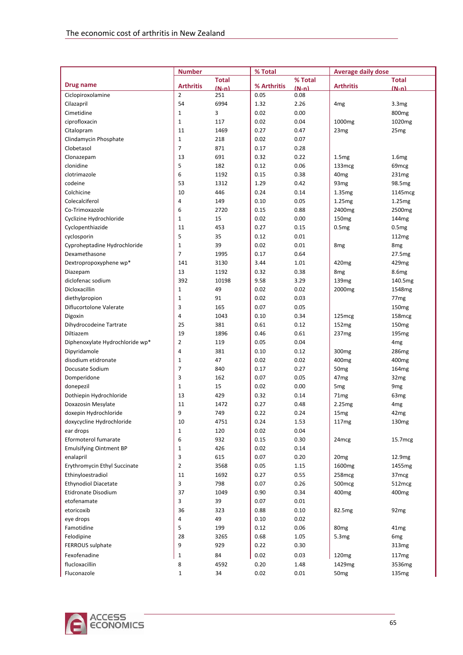|                                             | <b>Number</b>    |              | % Total      |              | <b>Average daily dose</b> |                            |
|---------------------------------------------|------------------|--------------|--------------|--------------|---------------------------|----------------------------|
|                                             |                  | <b>Total</b> |              | % Total      |                           | <b>Total</b>               |
| Drug name                                   | <b>Arthritis</b> | $(N-n)$      | % Arthritis  | $(N-n)$      | <b>Arthritis</b>          | $(N-n)$                    |
| Ciclopiroxolamine                           | $\overline{2}$   | 251          | 0.05         | 0.08         |                           |                            |
| Cilazapril                                  | 54               | 6994         | 1.32         | 2.26         | 4 <sub>mg</sub>           | 3.3mg                      |
| Cimetidine                                  | $1\,$            | 3            | 0.02         | 0.00         |                           | 800 <sub>mg</sub>          |
| ciprofloxacin                               | $\mathbf{1}$     | 117          | 0.02         | 0.04         | 1000 <sub>mg</sub>        | 1020mg                     |
| Citalopram                                  | 11               | 1469         | 0.27         | 0.47         | 23 <sub>mg</sub>          | 25mg                       |
| Clindamycin Phosphate                       | $\mathbf{1}$     | 218          | 0.02         | 0.07         |                           |                            |
| Clobetasol                                  | 7                | 871          | 0.17         | 0.28         |                           |                            |
| Clonazepam                                  | 13               | 691          | 0.32         | 0.22         | 1.5mg                     | 1.6mg                      |
| clonidine                                   | 5                | 182          | 0.12         | 0.06         | 133 <sub>mcg</sub>        | 69 <sub>mcg</sub>          |
| clotrimazole                                | 6                | 1192         | 0.15         | 0.38         | 40 <sub>mg</sub>          | 231mg                      |
| codeine                                     | 53               | 1312         | 1.29         | 0.42         | 93 <sub>mg</sub>          | 98.5mg                     |
| Colchicine                                  | 10               | 446          | 0.24         | 0.14         | 1.35mg                    | 1145mcg                    |
| Colecalciferol                              | 4                | 149          | 0.10         | 0.05         | 1.25mg                    | 1.25mg                     |
| Co-Trimoxazole                              | 6                | 2720         | 0.15         | 0.88         | 2400 <sub>mg</sub>        | 2500mg                     |
| Cyclizine Hydrochloride                     | $\mathbf{1}$     | 15           | 0.02         | 0.00         | 150 <sub>mg</sub>         | 144 <sub>mg</sub>          |
| Cyclopenthiazide                            | 11<br>5          | 453          | 0.27         | 0.15         | 0.5mg                     | 0.5mg                      |
| cyclosporin<br>Cyproheptadine Hydrochloride |                  | 35<br>39     | 0.12<br>0.02 | 0.01         |                           | 112mg                      |
|                                             | $\mathbf{1}$     |              |              | 0.01         | 8 <sub>mg</sub>           | 8 <sub>mg</sub>            |
| Dexamethasone                               | 7<br>141         | 1995         | 0.17<br>3.44 | 0.64         | 420 <sub>mg</sub>         | 27.5mg                     |
| Dextropropoxyphene wp*                      | 13               | 3130<br>1192 | 0.32         | 1.01<br>0.38 | 8 <sub>mg</sub>           | 429mg<br>8.6 <sub>mg</sub> |
| Diazepam<br>diclofenac sodium               | 392              | 10198        | 9.58         | 3.29         | 139mg                     | 140.5mg                    |
| Dicloxacillin                               | $\mathbf{1}$     | 49           | 0.02         | 0.02         | 2000 <sub>mg</sub>        | 1548mg                     |
| diethylpropion                              | $\mathbf{1}$     | 91           | 0.02         | 0.03         |                           | 77 <sub>mg</sub>           |
| Diflucortolone Valerate                     | 3                | 165          | 0.07         | 0.05         |                           | 150 <sub>mg</sub>          |
| Digoxin                                     | 4                | 1043         | 0.10         | 0.34         | 125 <sub>mcg</sub>        | 158 <sub>mcg</sub>         |
| Dihydrocodeine Tartrate                     | 25               | 381          | 0.61         | 0.12         | 152mg                     | 150 <sub>mg</sub>          |
| Diltiazem                                   | 19               | 1896         | 0.46         | 0.61         | 237 <sub>mg</sub>         | 195 <sub>mg</sub>          |
| Diphenoxylate Hydrochloride wp*             | $\overline{2}$   | 119          | 0.05         | 0.04         |                           | 4 <sub>mg</sub>            |
| Dipyridamole                                | 4                | 381          | 0.10         | 0.12         | 300 <sub>mg</sub>         | 286mg                      |
| disodium etidronate                         | $1\,$            | 47           | 0.02         | 0.02         | 400 <sub>mg</sub>         | 400 <sub>mg</sub>          |
| Docusate Sodium                             | 7                | 840          | 0.17         | 0.27         | 50 <sub>mg</sub>          | 164mg                      |
| Domperidone                                 | 3                | 162          | 0.07         | 0.05         | 47 <sub>mg</sub>          | 32mg                       |
| donepezil                                   | $\mathbf{1}$     | 15           | 0.02         | 0.00         | 5 <sub>mg</sub>           | 9 <sub>mg</sub>            |
| Dothiepin Hydrochloride                     | 13               | 429          | 0.32         | 0.14         | 71 <sub>mg</sub>          | 63 <sub>mg</sub>           |
| Doxazosin Mesylate                          | 11               | 1472         | 0.27         | 0.48         | 2.25 <sub>mg</sub>        | 4 <sub>mg</sub>            |
| doxepin Hydrochloride                       | 9                | 749          | 0.22         | 0.24         | 15mg                      | 42mg                       |
| doxycycline Hydrochloride                   | 10               | 4751         | 0.24         | 1.53         | 117 <sub>mg</sub>         | 130 <sub>mg</sub>          |
| ear drops                                   | $\mathbf{1}$     | 120          | 0.02         | 0.04         |                           |                            |
| Eformoterol fumarate                        | 6                | 932          | 0.15         | 0.30         | 24 <sub>mcg</sub>         | 15.7mcg                    |
| <b>Emulsifying Ointment BP</b>              | $\mathbf{1}$     | 426          | 0.02         | 0.14         |                           |                            |
| enalapril                                   | 3                | 615          | 0.07         | 0.20         | 20 <sub>mg</sub>          | 12.9mg                     |
| Erythromycin Ethyl Succinate                | $\overline{2}$   | 3568         | 0.05         | 1.15         | 1600 <sub>mg</sub>        | 1455 <sub>mg</sub>         |
| Ethinyloestradiol                           | 11               | 1692         | 0.27         | 0.55         | 258mcg                    | 37mcg                      |
| <b>Ethynodiol Diacetate</b>                 | 3                | 798          | 0.07         | 0.26         | 500 <sub>mcg</sub>        | 512mcg                     |
| Etidronate Disodium                         | 37               | 1049         | 0.90         | 0.34         | 400 <sub>mg</sub>         | 400 <sub>mg</sub>          |
| etofenamate                                 | 3                | 39           | 0.07         | 0.01         |                           |                            |
| etoricoxib                                  | 36               | 323          | 0.88         | 0.10         | 82.5mg                    | 92 <sub>mg</sub>           |
| eye drops                                   | 4                | 49           | 0.10         | 0.02         |                           |                            |
| Famotidine                                  | 5                | 199          | 0.12         | 0.06         | 80 <sub>mg</sub>          | 41 <sub>mg</sub>           |
| Felodipine                                  | 28               | 3265         | 0.68         | 1.05         | 5.3mg                     | 6 <sub>mg</sub>            |
| FERROUS sulphate                            | 9                | 929          | 0.22         | 0.30         |                           | 313mg                      |
| Fexofenadine                                | $\mathbf{1}$     | 84           | 0.02         | 0.03         | 120mg                     | 117mg                      |
| flucloxacillin                              | 8                | 4592         | 0.20         | 1.48         | 1429mg                    | 3536mg                     |
| Fluconazole                                 | $\mathbf{1}$     | 34           | 0.02         | 0.01         | 50 <sub>mg</sub>          | 135mg                      |

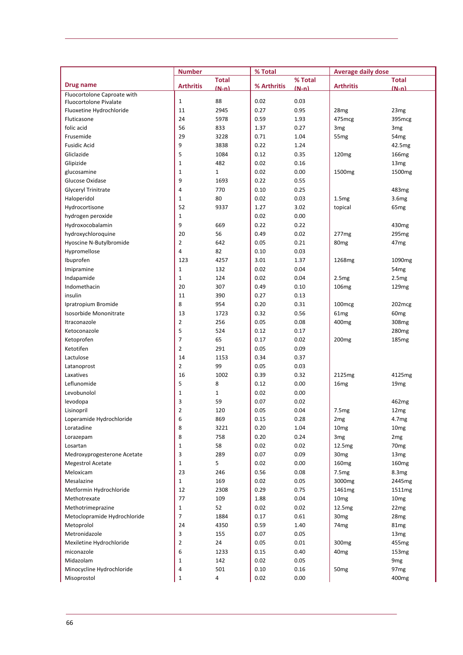|                              | <b>Number</b>    |              | % Total     |         | <b>Average daily dose</b> |                    |
|------------------------------|------------------|--------------|-------------|---------|---------------------------|--------------------|
|                              |                  | <b>Total</b> |             | % Total |                           | <b>Total</b>       |
| Drug name                    | <b>Arthritis</b> | $(N-n)$      | % Arthritis | $(N-n)$ | <b>Arthritis</b>          | $(N-n)$            |
| Fluocortolone Caproate with  |                  |              |             |         |                           |                    |
| Fluocortolone Pivalate       | $\mathbf{1}$     | 88           | 0.02        | 0.03    |                           |                    |
| Fluoxetine Hydrochloride     | 11               | 2945         | 0.27        | 0.95    | 28 <sub>mg</sub>          | 23mg               |
| Fluticasone                  | 24               | 5978         | 0.59        | 1.93    | 475mcg                    | 395mcg             |
| folic acid                   | 56               | 833          | 1.37        | 0.27    | 3 <sub>mg</sub>           | 3 <sub>mg</sub>    |
| Frusemide                    | 29               | 3228         | 0.71        | 1.04    | 55 <sub>mg</sub>          | 54 <sub>mg</sub>   |
| <b>Fusidic Acid</b>          | 9                | 3838         | 0.22        | 1.24    |                           | 42.5mg             |
| Gliclazide                   | 5                | 1084         | 0.12        | 0.35    | 120 <sub>mg</sub>         | 166mg              |
| Glipizide                    | $\mathbf{1}$     | 482          | 0.02        | 0.16    |                           | 13 <sub>mg</sub>   |
| glucosamine                  | $\mathbf 1$      | $\mathbf{1}$ | 0.02        | 0.00    | 1500 <sub>mg</sub>        | 1500mg             |
| Glucose Oxidase              | 9                | 1693         | 0.22        | 0.55    |                           |                    |
| Glyceryl Trinitrate          | 4                | 770          | 0.10        | 0.25    |                           | 483mg              |
| Haloperidol                  | $\mathbf{1}$     | 80           | 0.02        | 0.03    | 1.5mg                     | 3.6mg              |
| Hydrocortisone               | 52               | 9337         | 1.27        | 3.02    | topical                   | 65 <sub>mg</sub>   |
| hydrogen peroxide            | $\mathbf 1$      |              | 0.02        | 0.00    |                           |                    |
| Hydroxocobalamin             | 9                | 669          | 0.22        | 0.22    |                           | 430 <sub>mg</sub>  |
| hydroxychloroquine           | 20               | 56           | 0.49        | 0.02    | 277 <sub>mg</sub>         | 295 <sub>mg</sub>  |
| Hyoscine N-Butylbromide      | $\overline{2}$   | 642          | 0.05        | 0.21    | 80 <sub>mg</sub>          | 47 <sub>mg</sub>   |
| Hypromellose                 | $\overline{4}$   | 82           | 0.10        | 0.03    |                           |                    |
| Ibuprofen                    | 123              | 4257         | 3.01        | 1.37    | 1268 <sub>mg</sub>        | 1090 <sub>mg</sub> |
| Imipramine                   | $\mathbf{1}$     | 132          | 0.02        | 0.04    |                           | 54 <sub>mg</sub>   |
| Indapamide                   | $\mathbf{1}$     | 124          | 0.02        | 0.04    | 2.5mg                     | 2.5mg              |
| Indomethacin                 | 20               | 307          | 0.49        | 0.10    | 106mg                     | 129mg              |
| insulin                      | 11               | 390          | 0.27        | 0.13    |                           |                    |
| Ipratropium Bromide          | 8                | 954          | 0.20        | 0.31    | 100 <sub>mcg</sub>        | 202mcg             |
| Isosorbide Mononitrate       | 13               | 1723         | 0.32        | 0.56    | 61 <sub>mg</sub>          | 60 <sub>mg</sub>   |
| Itraconazole                 | $\overline{2}$   | 256          | 0.05        | 0.08    | 400 <sub>mg</sub>         | 308 <sub>mg</sub>  |
| Ketoconazole                 | 5                | 524          | 0.12        | 0.17    |                           | 280 <sub>mg</sub>  |
| Ketoprofen                   | $\overline{7}$   | 65           | 0.17        | 0.02    | 200 <sub>mg</sub>         | 185 <sub>mg</sub>  |
| Ketotifen                    | $\overline{2}$   | 291          | 0.05        | 0.09    |                           |                    |
| Lactulose                    | 14               | 1153         | 0.34        | 0.37    |                           |                    |
| Latanoprost                  | $\overline{2}$   | 99           | 0.05        | 0.03    |                           |                    |
| Laxatives                    | 16               | 1002         | 0.39        | 0.32    | 2125mg                    | 4125mg             |
| Leflunomide                  | 5                | 8            | 0.12        | 0.00    | 16mg                      | 19 <sub>mg</sub>   |
| Levobunolol                  | $\mathbf{1}$     | $\mathbf{1}$ | 0.02        | 0.00    |                           |                    |
| levodopa                     | 3                | 59           | 0.07        | 0.02    |                           | 462mg              |
| Lisinopril                   | $\overline{2}$   | 120          | 0.05        | 0.04    | 7.5mg                     | 12mg               |
| Loperamide Hydrochloride     | 6                | 869          | 0.15        | 0.28    | 2 <sub>mg</sub>           | 4.7mg              |
| Loratadine                   | 8                | 3221         | 0.20        | 1.04    | 10 <sub>mg</sub>          | 10 <sub>mg</sub>   |
| Lorazepam                    | 8                | 758          | 0.20        | 0.24    | 3 <sub>mg</sub>           | 2 <sub>mg</sub>    |
| Losartan                     | $\mathbf 1$      | 58           | 0.02        | 0.02    | 12.5mg                    | 70 <sub>mg</sub>   |
| Medroxyprogesterone Acetate  | 3                | 289          | 0.07        | 0.09    | 30 <sub>mg</sub>          | 13 <sub>mg</sub>   |
| Megestrol Acetate            | $1\,$            | 5            | 0.02        | 0.00    | 160 <sub>mg</sub>         | 160 <sub>mg</sub>  |
| Meloxicam                    | 23               | 246          | 0.56        | 0.08    | 7.5mg                     | 8.3 <sub>mg</sub>  |
| Mesalazine                   | $\mathbf{1}$     | 169          | 0.02        | 0.05    | 3000mg                    | 2445mg             |
| Metformin Hydrochloride      | 12               | 2308         | 0.29        | 0.75    | 1461mg                    | 1511mg             |
| Methotrexate                 | 77               | 109          | 1.88        | 0.04    | 10 <sub>mg</sub>          | 10 <sub>mg</sub>   |
| Methotrimeprazine            | $\mathbf{1}$     | 52           | 0.02        | 0.02    | 12.5mg                    | 22mg               |
|                              | $\overline{7}$   |              |             |         |                           |                    |
| Metoclopramide Hydrochloride | 24               | 1884         | 0.17        | 0.61    | 30 <sub>mg</sub>          | 28 <sub>mg</sub>   |
| Metoprolol                   |                  | 4350         | 0.59        | 1.40    | 74 <sub>mg</sub>          | 81 <sub>mg</sub>   |
| Metronidazole                | 3                | 155          | 0.07        | 0.05    |                           | 13 <sub>mg</sub>   |
| Mexiletine Hydrochloride     | $\overline{2}$   | 24           | 0.05        | 0.01    | 300 <sub>mg</sub>         | 455 <sub>mg</sub>  |
| miconazole                   | 6                | 1233         | 0.15        | 0.40    | 40mg                      | 153 <sub>mg</sub>  |
| Midazolam                    | 1                | 142          | 0.02        | 0.05    |                           | 9 <sub>mg</sub>    |
| Minocycline Hydrochloride    | 4                | 501          | 0.10        | 0.16    | 50 <sub>mg</sub>          | 97 <sub>mg</sub>   |
| Misoprostol                  | $\mathbf{1}$     | 4            | 0.02        | 0.00    |                           | 400mg              |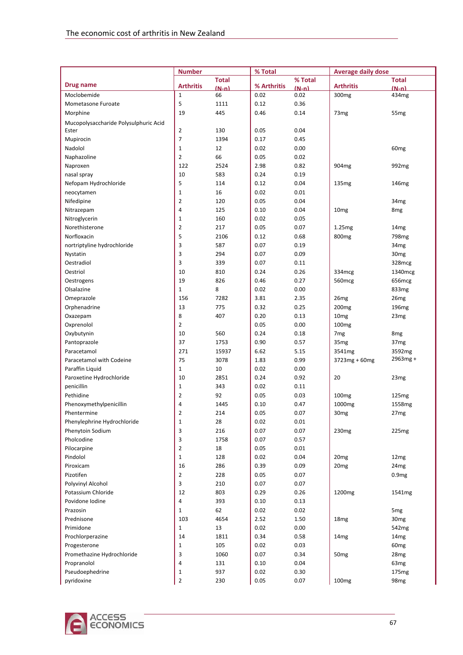|                                         | <b>Number</b>    |              | % Total      |              | <b>Average daily dose</b> |                                     |
|-----------------------------------------|------------------|--------------|--------------|--------------|---------------------------|-------------------------------------|
|                                         |                  | <b>Total</b> |              | % Total      |                           | <b>Total</b>                        |
| <b>Drug name</b>                        | <b>Arthritis</b> | $(N-n)$      | % Arthritis  | $(N-n)$      | <b>Arthritis</b>          | $(N-n)$                             |
| Moclobemide                             | $\mathbf{1}$     | 66           | 0.02         | 0.02         | 300 <sub>mg</sub>         | 434mg                               |
| Mometasone Furoate                      | 5                | 1111         | 0.12         | 0.36         |                           |                                     |
| Morphine                                | 19               | 445          | 0.46         | 0.14         | 73 <sub>mg</sub>          | 55 <sub>mg</sub>                    |
| Mucopolysaccharide Polysulphuric Acid   |                  |              |              |              |                           |                                     |
| Ester                                   | $\mathbf{2}$     | 130          | 0.05         | 0.04         |                           |                                     |
| Mupirocin                               | 7                | 1394         | 0.17         | 0.45         |                           |                                     |
| Nadolol                                 | $\mathbf 1$      | 12           | 0.02         | 0.00         |                           | 60 <sub>mg</sub>                    |
| Naphazoline                             | 2                | 66           | 0.05         | 0.02         |                           |                                     |
| Naproxen                                | 122              | 2524         | 2.98         | 0.82         | 904mg                     | 992 <sub>mg</sub>                   |
| nasal spray                             | 10               | 583          | 0.24         | 0.19         |                           |                                     |
| Nefopam Hydrochloride                   | 5                | 114          | 0.12         | 0.04         | 135 <sub>mg</sub>         | 146 <sub>mg</sub>                   |
| neocytamen                              | $\mathbf 1$      | 16           | 0.02         | 0.01         |                           |                                     |
| Nifedipine                              | 2                | 120          | 0.05         | 0.04         |                           | 34 <sub>mg</sub>                    |
| Nitrazepam                              | 4                | 125          | 0.10         | 0.04         | 10 <sub>mg</sub>          | 8 <sub>mg</sub>                     |
| Nitroglycerin                           | $\mathbf 1$      | 160          | 0.02         | 0.05         |                           |                                     |
| Norethisterone                          | 2                | 217          | 0.05         | 0.07         | 1.25mg                    | 14 <sub>mg</sub>                    |
| Norfloxacin                             | 5                | 2106         | 0.12         | 0.68         | 800 <sub>mg</sub>         | 798 <sub>mg</sub>                   |
| nortriptyline hydrochloride             | 3                | 587          | 0.07         | 0.19         |                           | 34 <sub>mg</sub>                    |
| Nystatin                                | 3                | 294          | 0.07         | 0.09         |                           | 30 <sub>mg</sub>                    |
| Oestradiol                              | 3                | 339          | 0.07         | 0.11         |                           | 328mcg                              |
| Oestriol                                | 10               | 810          | 0.24         | 0.26         | 334mcg                    | 1340mcg                             |
| Oestrogens                              | 19               | 826          | 0.46         | 0.27         | 560 <sub>mcg</sub>        | 656mcg                              |
| Olsalazine                              | $\mathbf{1}$     | 8            | 0.02         | 0.00         |                           | 833mg                               |
| Omeprazole                              | 156              | 7282         | 3.81         | 2.35         | 26 <sub>mg</sub>          | 26 <sub>mg</sub>                    |
| Orphenadrine                            | 13               | 775          | 0.32         | 0.25         | 200 <sub>mg</sub>         | 196 <sub>mg</sub>                   |
| Oxazepam                                | 8                | 407          | 0.20         | 0.13         | 10 <sub>mg</sub>          | 23 <sub>mg</sub>                    |
| Oxprenolol                              | 2<br>10          | 560          | 0.05<br>0.24 | 0.00         | 100 <sub>mg</sub>         |                                     |
| Oxybutynin<br>Pantoprazole              | 37               | 1753         | 0.90         | 0.18<br>0.57 | 7 <sub>mg</sub>           | 8 <sub>mg</sub><br>37 <sub>mg</sub> |
|                                         | 271              | 15937        | 6.62         |              | 35 <sub>mg</sub>          |                                     |
| Paracetamol<br>Paracetamol with Codeine | 75               | 3078         | 1.83         | 5.15<br>0.99 | 3541mg                    | 3592mg<br>$2963mg +$                |
| Paraffin Liquid                         | $\mathbf{1}$     | 10           | 0.02         | 0.00         | $3723mg + 60mg$           |                                     |
| Paroxetine Hydrochloride                | 10               | 2851         | 0.24         | 0.92         | 20                        | 23 <sub>mg</sub>                    |
| penicillin                              | $\mathbf 1$      | 343          | 0.02         | 0.11         |                           |                                     |
| Pethidine                               | 2                | 92           | 0.05         | 0.03         | 100 <sub>mg</sub>         | 125 <sub>mg</sub>                   |
| Phenoxymethylpenicillin                 | 4                | 1445         | 0.10         | 0.47         | 1000 <sub>mg</sub>        | 1558 <sub>mg</sub>                  |
| Phentermine                             | 2                | 214          | 0.05         | 0.07         | 30 <sub>mg</sub>          | 27 <sub>mg</sub>                    |
| Phenylephrine Hydrochloride             | $\mathbf 1$      | 28           | 0.02         | 0.01         |                           |                                     |
| Phenytoin Sodium                        | 3                | 216          | 0.07         | 0.07         | 230 <sub>mg</sub>         | 225mg                               |
| Pholcodine                              | 3                | 1758         | 0.07         | 0.57         |                           |                                     |
| Pilocarpine                             | 2                | 18           | 0.05         | 0.01         |                           |                                     |
| Pindolol                                | $\mathbf{1}$     | 128          | 0.02         | 0.04         | 20 <sub>mg</sub>          | 12mg                                |
| Piroxicam                               | 16               | 286          | 0.39         | 0.09         | 20 <sub>mg</sub>          | 24 <sub>mg</sub>                    |
| Pizotifen                               | $\overline{2}$   | 228          | 0.05         | 0.07         |                           | 0.9mg                               |
| Polyvinyl Alcohol                       | 3                | 210          | 0.07         | 0.07         |                           |                                     |
| Potassium Chloride                      | 12               | 803          | 0.29         | 0.26         | 1200 <sub>mg</sub>        | 1541mg                              |
| Povidone Iodine                         | 4                | 393          | 0.10         | 0.13         |                           |                                     |
| Prazosin                                | $\mathbf{1}$     | 62           | 0.02         | 0.02         |                           | 5 <sub>mg</sub>                     |
| Prednisone                              | 103              | 4654         | 2.52         | 1.50         | 18 <sub>mg</sub>          | 30 <sub>mg</sub>                    |
| Primidone                               | $\mathbf{1}$     | 13           | 0.02         | 0.00         |                           | 542mg                               |
| Prochlorperazine                        | 14               | 1811         | 0.34         | 0.58         | 14 <sub>mg</sub>          | 14 <sub>mg</sub>                    |
| Progesterone                            | $\mathbf 1$      | 105          | 0.02         | 0.03         |                           | 60 <sub>mg</sub>                    |
| Promethazine Hydrochloride              | 3                | 1060         | 0.07         | 0.34         | 50 <sub>mg</sub>          | 28 <sub>mg</sub>                    |
| Propranolol                             | 4                | 131          | 0.10         | 0.04         |                           | 63 <sub>mg</sub>                    |
| Pseudoephedrine                         | $\mathbf{1}$     | 937          | 0.02         | 0.30         |                           | 175 <sub>mg</sub>                   |
| pyridoxine                              | $\overline{2}$   | 230          | 0.05         | 0.07         | 100 <sub>mg</sub>         | 98 <sub>mg</sub>                    |

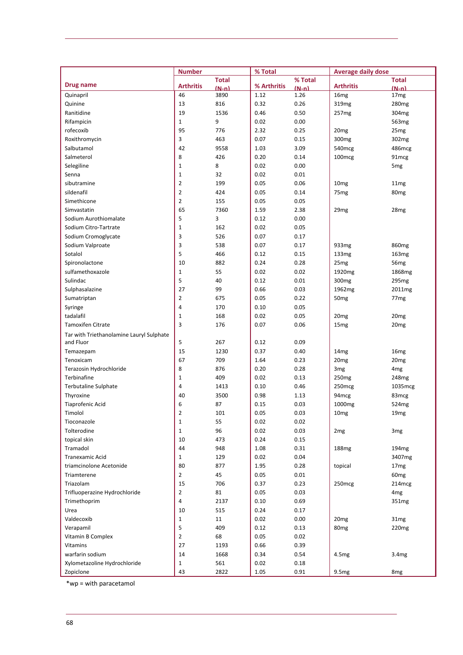|                                          | <b>Number</b>      |              | % Total     |         | <b>Average daily dose</b> |                   |
|------------------------------------------|--------------------|--------------|-------------|---------|---------------------------|-------------------|
|                                          |                    | <b>Total</b> |             | % Total |                           | <b>Total</b>      |
| Drug name                                | <b>Arthritis</b>   | $(N-n)$      | % Arthritis | $(N-n)$ | <b>Arthritis</b>          | $(N-n)$           |
| Quinapril                                | 46                 | 3890         | 1.12        | 1.26    | 16mg                      | 17 <sub>mg</sub>  |
| Quinine                                  | 13                 | 816          | 0.32        | 0.26    | 319 <sub>mg</sub>         | 280 <sub>mg</sub> |
| Ranitidine                               | 19                 | 1536         | 0.46        | 0.50    | 257mg                     | 304mg             |
| Rifampicin                               | $\mathbf{1}$       | 9            | 0.02        | 0.00    |                           | 563 <sub>mg</sub> |
| rofecoxib                                | 95                 | 776          | 2.32        | 0.25    | 20 <sub>mg</sub>          | 25 <sub>mg</sub>  |
| Roxithromycin                            | 3                  | 463          | 0.07        | 0.15    | 300 <sub>mg</sub>         | 302mg             |
| Salbutamol                               | 42                 | 9558         | 1.03        | 3.09    | 540mcg                    | 486mcg            |
| Salmeterol                               | 8                  | 426          | 0.20        | 0.14    | 100mcg                    | 91mcg             |
| Selegiline                               | $\mathbf 1$        | 8            | 0.02        | 0.00    |                           | 5 <sub>mg</sub>   |
| Senna                                    | $\mathbf 1$        | 32           | 0.02        | 0.01    |                           |                   |
| sibutramine                              | $\overline{2}$     | 199          | 0.05        | 0.06    | 10 <sub>mg</sub>          | 11 <sub>mg</sub>  |
| sildenafil                               | $\mathbf{2}$       | 424          | 0.05        | 0.14    | 75 <sub>mg</sub>          | 80 <sub>mg</sub>  |
| Simethicone                              | $\overline{2}$     | 155          | 0.05        | 0.05    |                           |                   |
| Simvastatin                              | 65                 | 7360         | 1.59        | 2.38    | 29 <sub>mg</sub>          | 28mg              |
| Sodium Aurothiomalate                    | 5                  | 3            | 0.12        | 0.00    |                           |                   |
| Sodium Citro-Tartrate                    | $\mathbf{1}$       | 162          | 0.02        | 0.05    |                           |                   |
| Sodium Cromoglycate                      | 3                  | 526          | 0.07        | 0.17    |                           |                   |
| Sodium Valproate                         | 3                  | 538          | 0.07        | 0.17    | 933mg                     | 860 <sub>mg</sub> |
| Sotalol                                  | 5                  | 466          | 0.12        |         |                           |                   |
|                                          |                    |              |             | 0.15    | 133mg                     | 163mg             |
| Spironolactone                           | 10                 | 882          | 0.24        | 0.28    | 25 <sub>mg</sub>          | 56 <sub>mg</sub>  |
| sulfamethoxazole                         | $\mathbf 1$        | 55           | 0.02        | 0.02    | 1920 <sub>mg</sub>        | 1868mg            |
| Sulindac                                 | 5                  | 40           | 0.12        | 0.01    | 300 <sub>mg</sub>         | 295 <sub>mg</sub> |
| Sulphasalazine                           | 27                 | 99           | 0.66        | 0.03    | 1962 <sub>mg</sub>        | 2011mg            |
| Sumatriptan                              | $\overline{2}$     | 675          | 0.05        | 0.22    | 50 <sub>mg</sub>          | 77 <sub>mg</sub>  |
| Syringe                                  | $\overline{4}$     | 170          | 0.10        | 0.05    |                           |                   |
| tadalafil                                | $\mathbf{1}$       | 168          | 0.02        | 0.05    | 20mg                      | 20 <sub>mg</sub>  |
| <b>Tamoxifen Citrate</b>                 | 3                  | 176          | 0.07        | 0.06    | 15 <sub>mg</sub>          | 20 <sub>mg</sub>  |
| Tar with Triethanolamine Lauryl Sulphate |                    |              |             |         |                           |                   |
| and Fluor                                | 5                  | 267          | 0.12        | 0.09    |                           |                   |
| Temazepam                                | 15                 | 1230         | 0.37        | 0.40    | 14 <sub>mg</sub>          | 16mg              |
| Tenoxicam                                | 67                 | 709          | 1.64        | 0.23    | 20 <sub>mg</sub>          | 20 <sub>mg</sub>  |
| Terazosin Hydrochloride                  | 8                  | 876          | 0.20        | 0.28    | 3 <sub>mg</sub>           | 4 <sub>mg</sub>   |
| Terbinafine                              | $\mathbf{1}$       | 409          | 0.02        | 0.13    | 250 <sub>mg</sub>         | 248mg             |
| Terbutaline Sulphate                     | 4                  | 1413         | 0.10        | 0.46    | 250mcg                    | 1035mcg           |
| Thyroxine                                | 40                 | 3500         | 0.98        | 1.13    | 94mcg                     | 83 <sub>mcg</sub> |
| <b>Tiaprofenic Acid</b>                  | 6                  | 87           | 0.15        | 0.03    | 1000 <sub>mg</sub>        | 524 <sub>mg</sub> |
| Timolol                                  | 2                  | 101          | 0.05        | 0.03    | 10mg                      | 19 <sub>mg</sub>  |
| Tioconazole                              | $\mathbf 1$        | 55           | 0.02        | 0.02    |                           |                   |
| Tolterodine                              | $\mathbf{1}$       | 96           | 0.02        | 0.03    | 2 <sub>mg</sub>           | 3 <sub>mg</sub>   |
| topical skin                             | 10                 | 473          | 0.24        | 0.15    |                           |                   |
| Tramadol                                 | 44                 | 948          | 1.08        | 0.31    | 188 <sub>mg</sub>         | 194 <sub>mg</sub> |
| Tranexamic Acid                          | $\mathbf{1}$       | 129          | 0.02        | 0.04    |                           | 3407mg            |
| triamcinolone Acetonide                  | 80                 | 877          | 1.95        | 0.28    | topical                   | 17 <sub>mg</sub>  |
| Triamterene                              | $\overline{2}$     | 45           | 0.05        | 0.01    |                           | 60 <sub>mg</sub>  |
| Triazolam                                | 15                 | 706          | 0.37        | 0.23    | 250mcg                    | 214mcg            |
| Trifluoperazine Hydrochloride            | $\mathbf 2$        | 81           | 0.05        | 0.03    |                           | 4 <sub>mg</sub>   |
| Trimethoprim                             | 4                  | 2137         | 0.10        | 0.69    |                           | 351mg             |
| Urea                                     | 10                 | 515          | 0.24        | 0.17    |                           |                   |
| Valdecoxib                               | $\mathbf{1}$       | 11           | 0.02        | 0.00    | 20 <sub>mg</sub>          | 31mg              |
| Verapamil                                | 5                  | 409          | 0.12        | 0.13    | 80 <sub>mg</sub>          | 220 <sub>mg</sub> |
| Vitamin B Complex                        | $\overline{2}$     | 68           | 0.05        | 0.02    |                           |                   |
| Vitamins                                 | 27                 | 1193         | 0.66        | 0.39    |                           |                   |
| warfarin sodium                          | 14                 |              |             |         |                           |                   |
| Xylometazoline Hydrochloride             |                    | 1668         | 0.34        | 0.54    | 4.5 <sub>mg</sub>         | 3.4 <sub>mg</sub> |
|                                          | $\mathbf{1}$<br>43 | 561          | 0.02        | 0.18    |                           |                   |
| Zopiclone                                |                    | 2822         | 1.05        | 0.91    | 9.5mg                     | 8 <sub>mg</sub>   |

\*wp = with paracetamol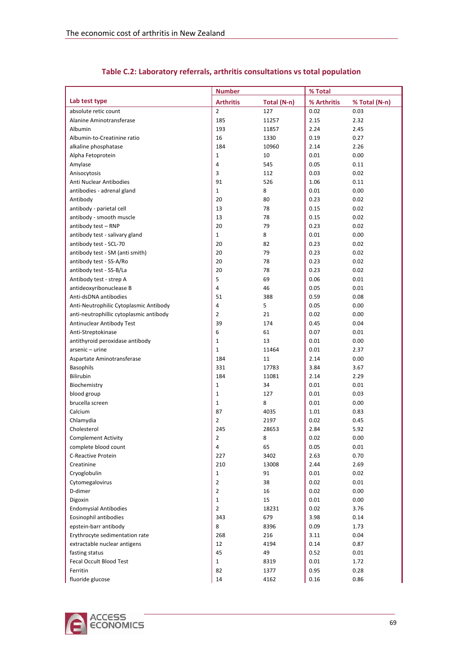|                                         | <b>Number</b>    |             | % Total     |               |
|-----------------------------------------|------------------|-------------|-------------|---------------|
| Lab test type                           | <b>Arthritis</b> | Total (N-n) | % Arthritis | % Total (N-n) |
| absolute retic count                    | $\overline{2}$   | 127         | 0.02        | 0.03          |
| Alanine Aminotransferase                | 185              | 11257       | 2.15        | 2.32          |
| Albumin                                 | 193              | 11857       | 2.24        | 2.45          |
| Albumin-to-Creatinine ratio             | 16               | 1330        | 0.19        | 0.27          |
| alkaline phosphatase                    | 184              | 10960       | 2.14        | 2.26          |
| Alpha Fetoprotein                       | $\mathbf{1}$     | 10          | 0.01        | 0.00          |
| Amylase                                 | 4                | 545         | 0.05        | 0.11          |
| Anisocytosis                            | 3                | 112         | 0.03        | 0.02          |
| Anti Nuclear Antibodies                 | 91               | 526         | 1.06        | 0.11          |
| antibodies - adrenal gland              | $\mathbf{1}$     | 8           | 0.01        | 0.00          |
| Antibody                                | 20               | 80          | 0.23        | 0.02          |
| antibody - parietal cell                | 13               | 78          | 0.15        | 0.02          |
| antibody - smooth muscle                | 13               | 78          | 0.15        | 0.02          |
| antibody test - RNP                     | 20               | 79          | 0.23        | 0.02          |
| antibody test - salivary gland          | $\mathbf{1}$     | 8           | 0.01        | 0.00          |
| antibody test - SCL-70                  | 20               | 82          | 0.23        | 0.02          |
| antibody test - SM (anti smith)         | 20               | 79          | 0.23        | 0.02          |
| antibody test - SS-A/Ro                 | 20               | 78          | 0.23        | 0.02          |
| antibody test - SS-B/La                 | 20               | 78          | 0.23        | 0.02          |
| Antibody test - strep A                 | 5                | 69          | 0.06        | 0.01          |
| antideoxyribonuclease B                 | $\overline{4}$   | 46          | 0.05        | 0.01          |
| Anti-dsDNA antibodies                   | 51               | 388         | 0.59        | 0.08          |
| Anti-Neutrophilic Cytoplasmic Antibody  | $\overline{4}$   | 5           | 0.05        | 0.00          |
|                                         |                  |             | 0.02        |               |
| anti-neutrophillic cytoplasmic antibody | $\overline{2}$   | 21          |             | 0.00          |
| Antinuclear Antibody Test               | 39               | 174         | 0.45        | 0.04          |
| Anti-Streptokinase                      | 6                | 61          | 0.07        | 0.01          |
| antithyroid peroxidase antibody         | $\mathbf{1}$     | 13          | 0.01        | 0.00          |
| arsenic - urine                         | $\mathbf{1}$     | 11464       | 0.01        | 2.37          |
| Aspartate Aminotransferase              | 184              | 11          | 2.14        | 0.00          |
| <b>Basophils</b>                        | 331              | 17783       | 3.84        | 3.67          |
| Bilirubin                               | 184              | 11081       | 2.14        | 2.29          |
| Biochemistry                            | 1                | 34          | 0.01        | 0.01          |
| blood group                             | $\mathbf{1}$     | 127         | 0.01        | 0.03          |
| brucella screen                         | 1                | 8           | 0.01        | 0.00          |
| Calcium                                 | 87               | 4035        | 1.01        | 0.83          |
| Chlamydia                               | $\overline{2}$   | 2197        | 0.02        | 0.45          |
| Cholesterol                             | 245              | 28653       | 2.84        | 5.92          |
| <b>Complement Activity</b>              | 2                | 8           | 0.02        | 0.00          |
| complete blood count                    | 4                | 65          | 0.05        | 0.01          |
| <b>C-Reactive Protein</b>               | 227              | 3402        | 2.63        | 0.70          |
| Creatinine                              | 210              | 13008       | 2.44        | 2.69          |
| Cryoglobulin                            | $\mathbf{1}$     | 91          | 0.01        | 0.02          |
| Cytomegalovirus                         | $\overline{2}$   | 38          | 0.02        | 0.01          |
| D-dimer                                 | $\overline{2}$   | 16          | 0.02        | 0.00          |
| Digoxin                                 | $\mathbf{1}$     | 15          | 0.01        | 0.00          |
| <b>Endomysial Antibodies</b>            | $\overline{2}$   | 18231       | 0.02        | 3.76          |
| Eosinophil antibodies                   | 343              | 679         | 3.98        | 0.14          |
| epstein-barr antibody                   | 8                | 8396        | 0.09        | 1.73          |
| Erythrocyte sedimentation rate          | 268              | 216         | 3.11        | 0.04          |
| extractable nuclear antigens            | 12               | 4194        | 0.14        | 0.87          |
| fasting status                          | 45               | 49          | 0.52        | 0.01          |
| Fecal Occult Blood Test                 | $\mathbf{1}$     | 8319        | 0.01        | 1.72          |
| Ferritin                                | 82               | 1377        | 0.95        | 0.28          |
| fluoride glucose                        | 14               | 4162        | 0.16        | 0.86          |

### **Table C.2: Laboratory referrals, arthritis consultations vs total population**

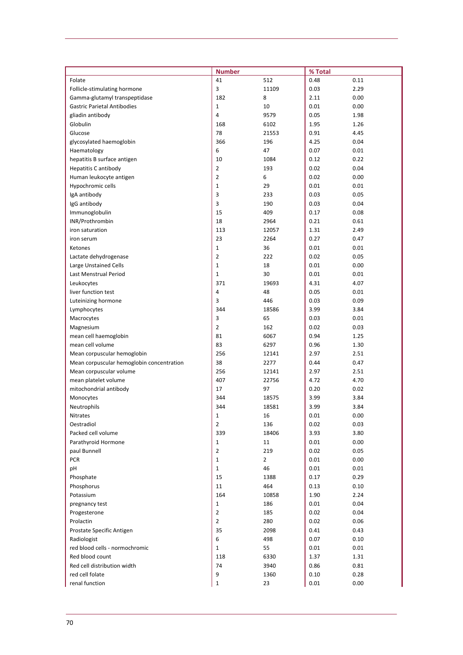|                                           | <b>Number</b>  |                | % Total |      |
|-------------------------------------------|----------------|----------------|---------|------|
| Folate                                    | 41             | 512            | 0.48    | 0.11 |
| Follicle-stimulating hormone              | 3              | 11109          | 0.03    | 2.29 |
| Gamma-glutamyl transpeptidase             | 182            | 8              | 2.11    | 0.00 |
| <b>Gastric Parietal Antibodies</b>        | $\mathbf{1}$   | 10             | 0.01    | 0.00 |
| gliadin antibody                          | $\overline{4}$ | 9579           | 0.05    | 1.98 |
| Globulin                                  | 168            | 6102           | 1.95    | 1.26 |
| Glucose                                   | 78             | 21553          | 0.91    | 4.45 |
| glycosylated haemoglobin                  | 366            | 196            | 4.25    | 0.04 |
| Haematology                               | 6              | 47             | 0.07    | 0.01 |
| hepatitis B surface antigen               | 10             | 1084           | 0.12    | 0.22 |
| <b>Hepatitis C antibody</b>               | $\overline{2}$ | 193            | 0.02    | 0.04 |
| Human leukocyte antigen                   | $\overline{2}$ | 6              | 0.02    | 0.00 |
| Hypochromic cells                         | $\mathbf{1}$   | 29             | 0.01    | 0.01 |
| IgA antibody                              | 3              | 233            | 0.03    | 0.05 |
| IgG antibody                              | 3              | 190            | 0.03    | 0.04 |
| Immunoglobulin                            | 15             | 409            | 0.17    | 0.08 |
| INR/Prothrombin                           | 18             | 2964           | 0.21    | 0.61 |
| iron saturation                           | 113            | 12057          | 1.31    | 2.49 |
| iron serum                                | 23             | 2264           | 0.27    | 0.47 |
| Ketones                                   | $\mathbf{1}$   | 36             | 0.01    | 0.01 |
| Lactate dehydrogenase                     | $\overline{2}$ | 222            | 0.02    | 0.05 |
| Large Unstained Cells                     | $\mathbf{1}$   | 18             | 0.01    | 0.00 |
| Last Menstrual Period                     | $\mathbf 1$    | 30             | 0.01    | 0.01 |
| Leukocytes                                | 371            | 19693          | 4.31    | 4.07 |
| liver function test                       | $\overline{4}$ | 48             | 0.05    | 0.01 |
| Luteinizing hormone                       | 3              | 446            | 0.03    | 0.09 |
| Lymphocytes                               | 344            | 18586          | 3.99    | 3.84 |
| Macrocytes                                | 3              | 65             | 0.03    | 0.01 |
| Magnesium                                 | $\overline{2}$ | 162            | 0.02    | 0.03 |
| mean cell haemoglobin                     | 81             | 6067           | 0.94    | 1.25 |
| mean cell volume                          | 83             | 6297           | 0.96    | 1.30 |
| Mean corpuscular hemoglobin               | 256            | 12141          | 2.97    | 2.51 |
| Mean corpuscular hemoglobin concentration | 38             | 2277           | 0.44    | 0.47 |
| Mean corpuscular volume                   | 256            | 12141          | 2.97    | 2.51 |
| mean platelet volume                      | 407            | 22756          | 4.72    | 4.70 |
| mitochondrial antibody                    | 17             | 97             | 0.20    | 0.02 |
| Monocytes                                 | 344            | 18575          | 3.99    | 3.84 |
| Neutrophils                               | 344            | 18581          | 3.99    | 3.84 |
| Nitrates                                  | 1              | 16             | 0.01    | 0.00 |
| Oestradiol                                | $\overline{2}$ | 136            | 0.02    | 0.03 |
| Packed cell volume                        | 339            | 18406          | 3.93    | 3.80 |
| Parathyroid Hormone                       | $\mathbf 1$    | 11             | 0.01    | 0.00 |
| paul Bunnell                              | $\overline{2}$ | 219            | 0.02    | 0.05 |
| PCR                                       | $\mathbf{1}$   | $\overline{2}$ | 0.01    | 0.00 |
| pH                                        | $\mathbf{1}$   | 46             | 0.01    | 0.01 |
| Phosphate                                 | 15             | 1388           | 0.17    | 0.29 |
| Phosphorus                                | 11             | 464            | 0.13    | 0.10 |
| Potassium                                 | 164            | 10858          | 1.90    | 2.24 |
| pregnancy test                            | $\mathbf{1}$   | 186            | 0.01    | 0.04 |
| Progesterone                              | $\overline{2}$ | 185            | 0.02    | 0.04 |
| Prolactin                                 | $\overline{2}$ | 280            | 0.02    | 0.06 |
| Prostate Specific Antigen                 | 35             | 2098           | 0.41    | 0.43 |
| Radiologist                               | 6              | 498            | 0.07    | 0.10 |
| red blood cells - normochromic            | $\mathbf{1}$   | 55             | 0.01    | 0.01 |
| Red blood count                           | 118            | 6330           | 1.37    | 1.31 |
| Red cell distribution width               | 74             | 3940           | 0.86    | 0.81 |
| red cell folate                           | 9              | 1360           | 0.10    | 0.28 |
| renal function                            | 1              | 23             | 0.01    | 0.00 |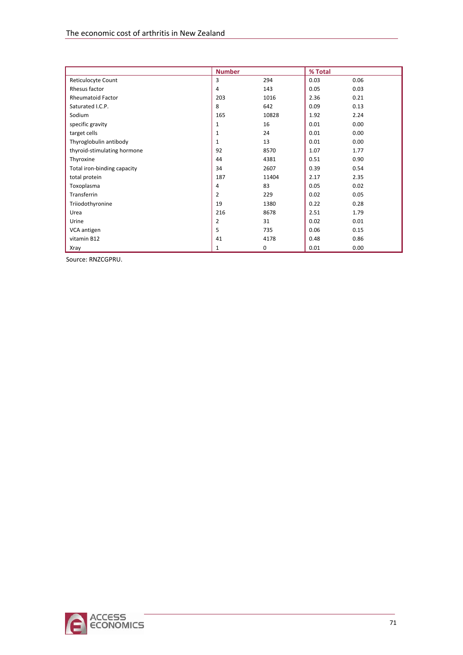|                             | <b>Number</b>  |       | % Total |      |
|-----------------------------|----------------|-------|---------|------|
| Reticulocyte Count          | 3              | 294   | 0.03    | 0.06 |
| Rhesus factor               | 4              | 143   | 0.05    | 0.03 |
| <b>Rheumatoid Factor</b>    | 203            | 1016  | 2.36    | 0.21 |
| Saturated I.C.P.            | 8              | 642   | 0.09    | 0.13 |
| Sodium                      | 165            | 10828 | 1.92    | 2.24 |
| specific gravity            | $\mathbf{1}$   | 16    | 0.01    | 0.00 |
| target cells                | $\mathbf{1}$   | 24    | 0.01    | 0.00 |
| Thyroglobulin antibody      | 1              | 13    | 0.01    | 0.00 |
| thyroid-stimulating hormone | 92             | 8570  | 1.07    | 1.77 |
| Thyroxine                   | 44             | 4381  | 0.51    | 0.90 |
| Total iron-binding capacity | 34             | 2607  | 0.39    | 0.54 |
| total protein               | 187            | 11404 | 2.17    | 2.35 |
| Toxoplasma                  | 4              | 83    | 0.05    | 0.02 |
| Transferrin                 | $\overline{2}$ | 229   | 0.02    | 0.05 |
| Triiodothyronine            | 19             | 1380  | 0.22    | 0.28 |
| Urea                        | 216            | 8678  | 2.51    | 1.79 |
| Urine                       | 2              | 31    | 0.02    | 0.01 |
| VCA antigen                 | 5              | 735   | 0.06    | 0.15 |
| vitamin B12                 | 41             | 4178  | 0.48    | 0.86 |
| Xray                        | 1              | 0     | 0.01    | 0.00 |

Source: RNZCGPRU.

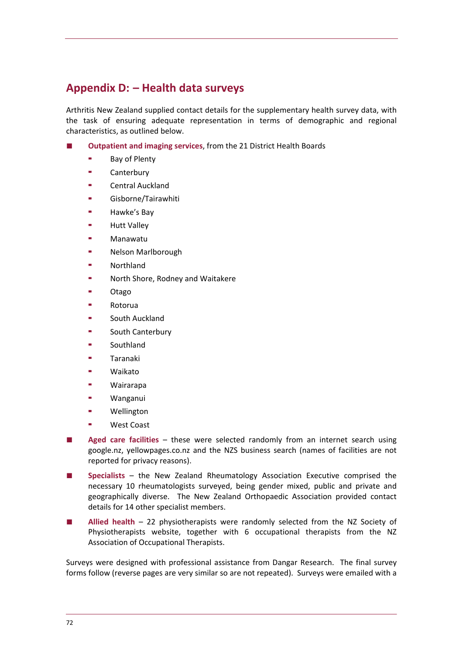# **Appendix D: – Health data surveys**

Arthritis New Zealand supplied contact details for the supplementary health survey data, with the task of ensuring adequate representation in terms of demographic and regional characteristics, as outlined below.

- **Outpatient and imaging services**, from the 21 District Health Boards
	- Bay of Plenty
	- **Canterbury**
	- Central Auckland
	- Gisborne/Tairawhiti
	- Hawke's Bay
	- Hutt Valley
	- Manawatu
	- Nelson Marlborough
	- Northland
	- North Shore, Rodney and Waitakere
	- Otago
	- Rotorua
	- South Auckland
	- South Canterbury
	- Southland
	- Taranaki
	- Waikato
	- Wairarapa
	- Wanganui
	- Wellington
	- West Coast
- Aged care facilities these were selected randomly from an internet search using google.nz, yellowpages.co.nz and the NZS business search (names of facilities are not reported for privacy reasons).
- **Specialists** the New Zealand Rheumatology Association Executive comprised the necessary 10 rheumatologists surveyed, being gender mixed, public and private and geographically diverse. The New Zealand Orthopaedic Association provided contact details for 14 other specialist members.
- **Allied health** 22 physiotherapists were randomly selected from the NZ Society of Physiotherapists website, together with 6 occupational therapists from the NZ Association of Occupational Therapists.

Surveys were designed with professional assistance from Dangar Research. The final survey forms follow (reverse pages are very similar so are not repeated). Surveys were emailed with a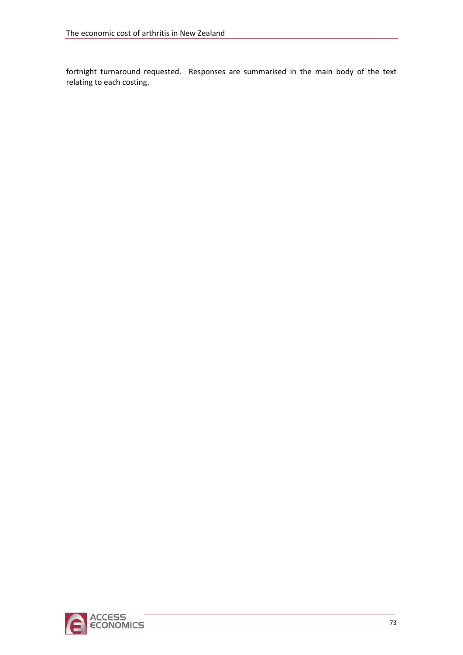fortnight turnaround requested. Responses are summarised in the main body of the text relating to each costing.

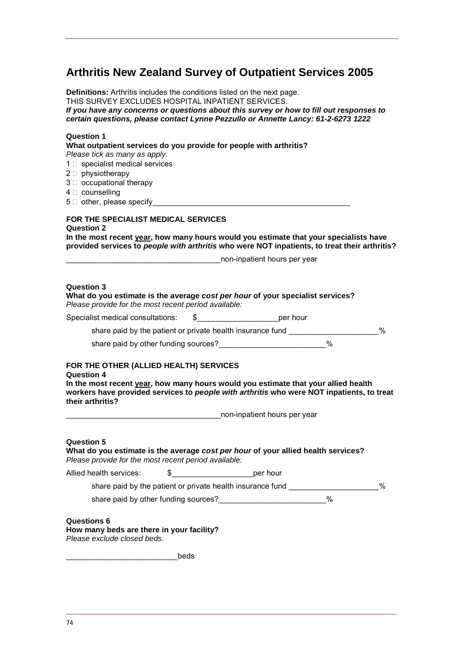## **Arthritis New Zealand Survey of Outpatient Services 2005**

**Definitions:** Arthritis includes the conditions listed on the next page. THIS SURVEY EXCLUDES HOSPITAL INPATIENT SERVICES. *If you have any concerns or questions about this survey or how to fill out responses to certain questions, please contact Lynne Pezzullo or Annette Lancy: 61-2-6273 1222* 

### **Question 1**

**What outpatient services do you provide for people with arthritis?**  *Please tick as many as apply.*

- $1 \square$  specialist medical services
- $2 \Box$  physiotherapy
- $3  $\square$  occupational therapy$
- $4 \Box$  counselling
- $5 \square$  other, please specify

#### **FOR THE SPECIALIST MEDICAL SERVICES Question 2**

**In the most recent year, how many hours would you estimate that your specialists have provided services to** *people with arthritis* **who were NOT inpatients, to treat their arthritis?**

\_non-inpatient hours per year

### **Question 3**

| What do you estimate is the average cost per hour of your specialist services?<br>Please provide for the most recent period available:                                                                                                                                     |      |                                                                                  |      |
|----------------------------------------------------------------------------------------------------------------------------------------------------------------------------------------------------------------------------------------------------------------------------|------|----------------------------------------------------------------------------------|------|
|                                                                                                                                                                                                                                                                            |      |                                                                                  |      |
|                                                                                                                                                                                                                                                                            |      | share paid by the patient or private health insurance fund ____________________% |      |
|                                                                                                                                                                                                                                                                            |      | share paid by other funding sources?<br>2%                                       |      |
| FOR THE OTHER (ALLIED HEALTH) SERVICES<br><b>Question 4</b><br>In the most recent <u>year</u> , how many hours would you estimate that your allied health<br>workers have provided services to people with arthritis who were NOT inpatients, to treat<br>their arthritis? |      |                                                                                  |      |
|                                                                                                                                                                                                                                                                            |      |                                                                                  |      |
| <b>Question 5</b><br>What do you estimate is the average cost per hour of your allied health services?<br>Please provide for the most recent period available:                                                                                                             |      |                                                                                  |      |
| Allied health services:                                                                                                                                                                                                                                                    |      | \$    per hour                                                                   |      |
|                                                                                                                                                                                                                                                                            |      | share paid by the patient or private health insurance fund _____________________ | $\%$ |
|                                                                                                                                                                                                                                                                            |      | share paid by other funding sources?___________________________%                 |      |
| <b>Questions 6</b><br>How many beds are there in your facility?<br>Please exclude closed beds.                                                                                                                                                                             |      |                                                                                  |      |
|                                                                                                                                                                                                                                                                            | beds |                                                                                  |      |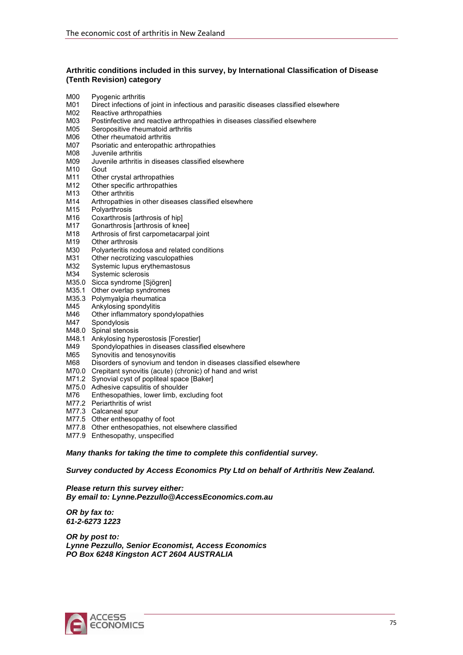#### **Arthritic conditions included in this survey, by International Classification of Disease (Tenth Revision) category**

- M00 Pyogenic arthritis
- M01 Direct infections of joint in infectious and parasitic diseases classified elsewhere
- M02 Reactive arthropathies
- M03 Postinfective and reactive arthropathies in diseases classified elsewhere<br>M05 Seropositive rheumatoid arthritis
- Seropositive rheumatoid arthritis
- M06 Other rheumatoid arthritis
- M07 Psoriatic and enteropathic arthropathies
- M08 Juvenile arthritis
- M09 Juvenile arthritis in diseases classified elsewhere
- M10 Gout<br>M11 Othe
- Other crystal arthropathies
- M12 Other specific arthropathies
- M13 Other arthritis<br>M14 Arthropathies
- M14 Arthropathies in other diseases classified elsewhere<br>M15 Polvarthrosis
- Polyarthrosis
- M16 Coxarthrosis [arthrosis of hip]
- M17 Gonarthrosis [arthrosis of knee]
- M18 Arthrosis of first carpometacarpal joint
- M19 Other arthrosis
- M30 Polyarteritis nodosa and related conditions
- M31 Other necrotizing vasculopathies
- M32 Systemic lupus erythemastosus
- M34 Systemic sclerosis
- M35.0 Sicca syndrome [Sjögren]
- M35.1 Other overlap syndromes
- M35.3 Polymyalgia rheumatica
- M45 Ankylosing spondylitis
- M46 Other inflammatory spondylopathies
- M47 Spondylosis
- M48.0 Spinal stenosis
- M48.1 Ankylosing hyperostosis [Forestier]
- M49 Spondylopathies in diseases classified elsewhere
- M65 Synovitis and tenosynovitis
- M68 Disorders of synovium and tendon in diseases classified elsewhere
- M70.0 Crepitant synovitis (acute) (chronic) of hand and wrist
- M71.2 Synovial cyst of popliteal space [Baker]
- M75.0 Adhesive capsulitis of shoulder
- M76 Enthesopathies, lower limb, excluding foot
- M77.2 Periarthritis of wrist
- M77.3 Calcaneal spur
- M77.5 Other enthesopathy of foot
- M77.8 Other enthesopathies, not elsewhere classified
- M77.9 Enthesopathy, unspecified

*Many thanks for taking the time to complete this confidential survey.* 

*Survey conducted by Access Economics Pty Ltd on behalf of Arthritis New Zealand.* 

*Please return this survey either: By email to: Lynne.Pezzullo@AccessEconomics.com.au* 

*OR by fax to: 61-2-6273 1223* 

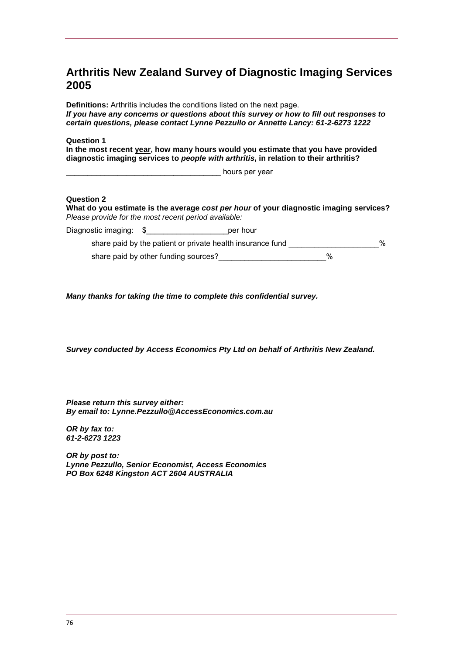## **Arthritis New Zealand Survey of Diagnostic Imaging Services 2005**

**Definitions:** Arthritis includes the conditions listed on the next page. *If you have any concerns or questions about this survey or how to fill out responses to certain questions, please contact Lynne Pezzullo or Annette Lancy: 61-2-6273 1222* 

#### **Question 1**

**In the most recent year, how many hours would you estimate that you have provided diagnostic imaging services to** *people with arthritis***, in relation to their arthritis?** 

\_\_\_\_\_\_\_\_\_\_\_\_\_\_\_\_\_\_\_\_\_\_\_\_\_\_\_\_\_\_\_\_\_\_\_\_ hours per year

#### **Question 2**

**What do you estimate is the average** *cost per hour* **of your diagnostic imaging services?**  *Please provide for the most recent period available:* 

Diagnostic imaging:  $\sqrt{s}$  erhour

share paid by the patient or private health insurance fund \_\_\_\_\_\_\_\_\_\_\_\_\_\_\_\_\_\_\_\_% share paid by other funding sources?  $\%$ 

*Many thanks for taking the time to complete this confidential survey.* 

*Survey conducted by Access Economics Pty Ltd on behalf of Arthritis New Zealand.* 

*Please return this survey either: By email to: Lynne.Pezzullo@AccessEconomics.com.au* 

*OR by fax to: 61-2-6273 1223*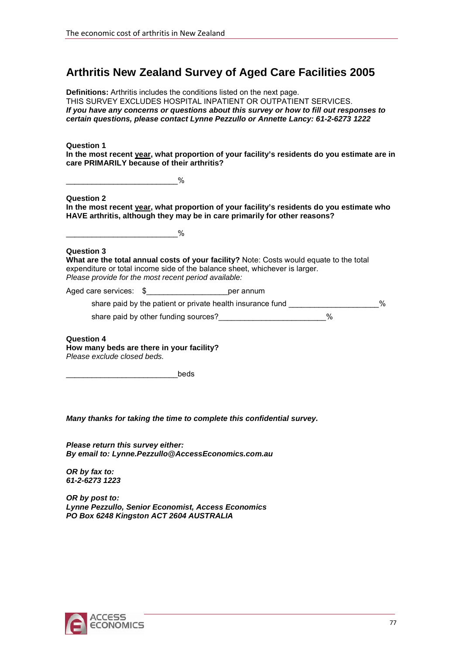## **Arthritis New Zealand Survey of Aged Care Facilities 2005**

**Definitions:** Arthritis includes the conditions listed on the next page. THIS SURVEY EXCLUDES HOSPITAL INPATIENT OR OUTPATIENT SERVICES. *If you have any concerns or questions about this survey or how to fill out responses to certain questions, please contact Lynne Pezzullo or Annette Lancy: 61-2-6273 1222* 

**Question 1 In the most recent year, what proportion of your facility's residents do you estimate are in care PRIMARILY because of their arthritis?** 

| ົ |
|---|
|   |

**Question 2** 

**In the most recent year, what proportion of your facility's residents do you estimate who HAVE arthritis, although they may be in care primarily for other reasons?** 

 $\%$ 

### **Question 3**

**What are the total annual costs of your facility?** Note: Costs would equate to the total expenditure or total income side of the balance sheet, whichever is larger. *Please provide for the most recent period available:* 

Aged care services:  $\sqrt{s}$  er annum

share paid by the patient or private health insurance fund  $\%$ share paid by other funding sources?  $\%$ 

**Question 4 How many beds are there in your facility?** *Please exclude closed beds.*

beds

*Many thanks for taking the time to complete this confidential survey.* 

*Please return this survey either: By email to: Lynne.Pezzullo@AccessEconomics.com.au* 

*OR by fax to: 61-2-6273 1223* 

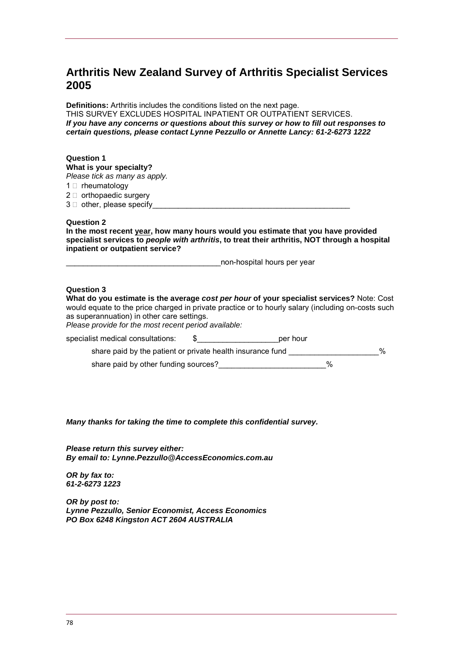### **Arthritis New Zealand Survey of Arthritis Specialist Services 2005**

**Definitions:** Arthritis includes the conditions listed on the next page. THIS SURVEY EXCLUDES HOSPITAL INPATIENT OR OUTPATIENT SERVICES. *If you have any concerns or questions about this survey or how to fill out responses to certain questions, please contact Lynne Pezzullo or Annette Lancy: 61-2-6273 1222* 

#### **Question 1**

**What is your specialty?** 

*Please tick as many as apply.*

 $1 \cap$  rheumatology

 $2 \Box$  orthopaedic surgery  $3 \Box$  other, please specify

#### **Question 2**

**In the most recent year, how many hours would you estimate that you have provided specialist services to** *people with arthritis***, to treat their arthritis, NOT through a hospital inpatient or outpatient service?** 

\_\_\_\_\_\_\_\_\_\_\_\_\_\_\_\_\_\_\_\_\_\_\_\_\_\_\_\_\_\_\_\_\_\_\_\_non-hospital hours per year

### **Question 3**

**What do you estimate is the average** *cost per hour* **of your specialist services?** Note: Cost would equate to the price charged in private practice or to hourly salary (including on-costs such as superannuation) in other care settings. *Please provide for the most recent period available:* 

| specialist medical consultations:                          | per hour |   |      |
|------------------------------------------------------------|----------|---|------|
| share paid by the patient or private health insurance fund |          |   | $\%$ |
| share paid by other funding sources?                       |          | % |      |

*Many thanks for taking the time to complete this confidential survey.* 

*Please return this survey either: By email to: Lynne.Pezzullo@AccessEconomics.com.au* 

*OR by fax to: 61-2-6273 1223*